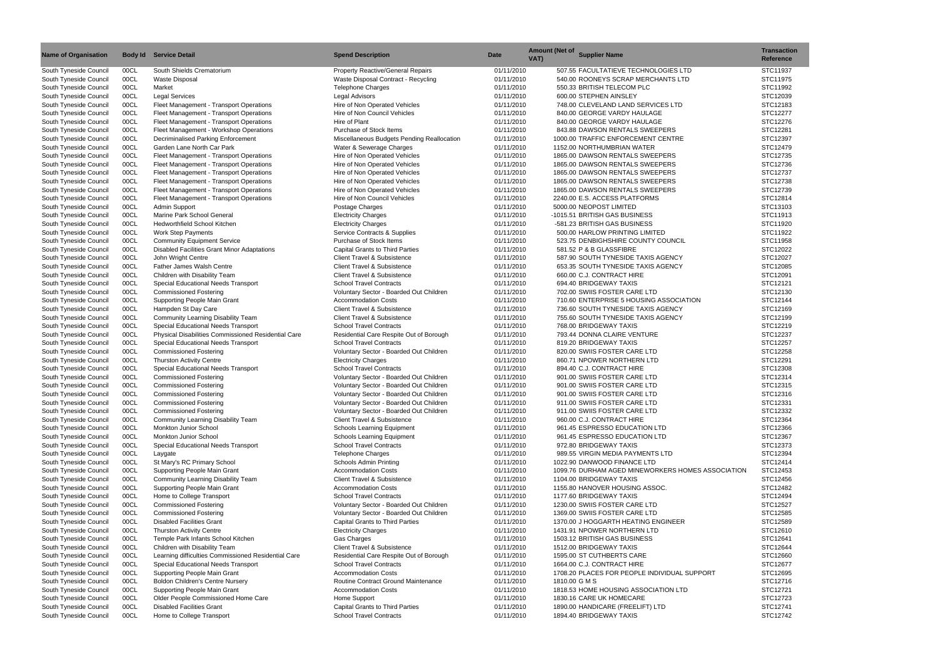| <b>Name of Organisation</b>                      |              | <b>Body Id Service Detail</b>                                                     | <b>Spend Description</b>                                                 | <b>Date</b>              | <b>Amount (Net of Supplier Name)</b><br>VAT).               | <b>Transaction</b><br><b>Reference</b> |
|--------------------------------------------------|--------------|-----------------------------------------------------------------------------------|--------------------------------------------------------------------------|--------------------------|-------------------------------------------------------------|----------------------------------------|
| South Tyneside Council                           | 00CL         | South Shields Crematorium                                                         | Property Reactive/General Repairs                                        | 01/11/2010               | 507.55 FACULTATIEVE TECHNOLOGIES LTD                        | STC11937                               |
| South Tyneside Council                           | 00CL         | <b>Waste Disposal</b>                                                             | Waste Disposal Contract - Recycling                                      | 01/11/2010               | 540.00 ROONEYS SCRAP MERCHANTS LTD                          | STC11975                               |
| South Tyneside Council                           | 00CL         | Market                                                                            | <b>Telephone Charges</b>                                                 | 01/11/2010               | 550.33 BRITISH TELECOM PLC                                  | STC11992                               |
| South Tyneside Council                           | 00CL         | <b>Legal Services</b>                                                             | <b>Legal Advisors</b>                                                    | 01/11/2010               | 600.00 STEPHEN AINSLEY                                      | STC12039                               |
| South Tyneside Council                           | 00CL         | Fleet Management - Transport Operations                                           | Hire of Non Operated Vehicles                                            | 01/11/2010               | 748.00 CLEVELAND LAND SERVICES LTD                          | STC12183                               |
| South Tyneside Council                           | 00CL         | Fleet Management - Transport Operations                                           | Hire of Non Council Vehicles<br>Hire of Plant                            | 01/11/2010<br>01/11/2010 | 840.00 GEORGE VARDY HAULAGE<br>840.00 GEORGE VARDY HAULAGE  | STC12277<br>STC12276                   |
| South Tyneside Council<br>South Tyneside Council | 00CL<br>00CL | Fleet Management - Transport Operations<br>Fleet Management - Workshop Operations | Purchase of Stock Items                                                  | 01/11/2010               | 843.88 DAWSON RENTALS SWEEPERS                              | STC12281                               |
| South Tyneside Council                           | 00CL         | <b>Decriminalised Parking Enforcement</b>                                         | Miscellaneous Budgets Pending Reallocation                               | 01/11/2010               | 1000.00 TRAFFIC ENFORCEMENT CENTRE                          | STC12397                               |
| South Tyneside Council                           | 00CL         | Garden Lane North Car Park                                                        | Water & Sewerage Charges                                                 | 01/11/2010               | 1152.00 NORTHUMBRIAN WATER                                  | STC12479                               |
| South Tyneside Council                           | 00CL         | Fleet Management - Transport Operations                                           | Hire of Non Operated Vehicles                                            | 01/11/2010               | 1865.00 DAWSON RENTALS SWEEPERS                             | STC12735                               |
| South Tyneside Council                           | 00CL         | Fleet Management - Transport Operations                                           | Hire of Non Operated Vehicles                                            | 01/11/2010               | 1865.00 DAWSON RENTALS SWEEPERS                             | STC12736                               |
| South Tyneside Council                           | 00CL         | Fleet Management - Transport Operations                                           | Hire of Non Operated Vehicles                                            | 01/11/2010               | 1865.00 DAWSON RENTALS SWEEPERS                             | STC12737                               |
| South Tyneside Council                           | 00CL         | Fleet Management - Transport Operations                                           | Hire of Non Operated Vehicles                                            | 01/11/2010               | 1865.00 DAWSON RENTALS SWEEPERS                             | STC12738                               |
| South Tyneside Council                           | 00CL         | Fleet Management - Transport Operations                                           | Hire of Non Operated Vehicles                                            | 01/11/2010               | 1865.00 DAWSON RENTALS SWEEPERS                             | STC12739                               |
| South Tyneside Council                           | 00CL         | Fleet Management - Transport Operations                                           | Hire of Non Council Vehicles                                             | 01/11/2010               | 2240.00 E.S. ACCESS PLATFORMS                               | STC12814                               |
| South Tyneside Council                           | 00CL         | Admin Support                                                                     | Postage Charges                                                          | 01/11/2010               | 5000.00 NEOPOST LIMITED                                     | STC13103                               |
| South Tyneside Council                           | 00CL         | Marine Park School General                                                        | <b>Electricity Charges</b>                                               | 01/11/2010               | -1015.51 BRITISH GAS BUSINESS                               | STC11913                               |
| South Tyneside Council                           | 00CL         | <b>Hedworthfield School Kitchen</b>                                               | <b>Electricity Charges</b>                                               | 01/11/2010               | -581.23 BRITISH GAS BUSINESS                                | STC11920                               |
| South Tyneside Council                           | 00CL         | <b>Work Step Payments</b>                                                         | Service Contracts & Supplies                                             | 01/11/2010               | 500.00 HARLOW PRINTING LIMITED                              | STC11922                               |
| South Tyneside Council                           | 00CL         | <b>Community Equipment Service</b>                                                | Purchase of Stock Items                                                  | 01/11/2010               | 523.75 DENBIGHSHIRE COUNTY COUNCIL                          | STC11958                               |
| South Tyneside Council                           | 00CL         | Disabled Facilities Grant Minor Adaptations                                       | <b>Capital Grants to Third Parties</b>                                   | 01/11/2010               | 581.52 P & B GLASSFIBRE                                     | STC12022                               |
| South Tyneside Council                           | 00CL         | John Wright Centre                                                                | Client Travel & Subsistence                                              | 01/11/2010               | 587.90 SOUTH TYNESIDE TAXIS AGENCY                          | STC12027                               |
| South Tyneside Council                           | 00CL         | Father James Walsh Centre                                                         | <b>Client Travel &amp; Subsistence</b>                                   | 01/11/2010               | 653.35 SOUTH TYNESIDE TAXIS AGENCY                          | STC12085                               |
| South Tyneside Council                           | 00CL         | Children with Disability Team                                                     | Client Travel & Subsistence                                              | 01/11/2010               | 660.00 C.J. CONTRACT HIRE                                   | STC12091                               |
| South Tyneside Council                           | 00CL         | <b>Special Educational Needs Transport</b>                                        | <b>School Travel Contracts</b>                                           | 01/11/2010               | 694.40 BRIDGEWAY TAXIS                                      | STC12121                               |
| South Tyneside Council                           | 00CL         | <b>Commissioned Fostering</b>                                                     | Voluntary Sector - Boarded Out Children                                  | 01/11/2010               | 702.00 SWIIS FOSTER CARE LTD                                | STC12130                               |
| South Tyneside Council                           | 00CL         | Supporting People Main Grant                                                      | <b>Accommodation Costs</b>                                               | 01/11/2010               | 710.60 ENTERPRISE 5 HOUSING ASSOCIATION                     | STC12144                               |
| South Tyneside Council                           | 00CL         | Hampden St Day Care                                                               | <b>Client Travel &amp; Subsistence</b>                                   | 01/11/2010               | 736.60 SOUTH TYNESIDE TAXIS AGENCY                          | STC12169                               |
| South Tyneside Council                           | 00CL         | Community Learning Disability Team                                                | Client Travel & Subsistence                                              | 01/11/2010               | 755.60 SOUTH TYNESIDE TAXIS AGENCY                          | STC12199                               |
| South Tyneside Council                           | 00CL         | Special Educational Needs Transport                                               | <b>School Travel Contracts</b>                                           | 01/11/2010               | 768.00 BRIDGEWAY TAXIS                                      | STC12219                               |
| South Tyneside Council                           | 00CL         | Physical Disabilities Commissioned Residential Care                               | Residential Care Respite Out of Borough                                  | 01/11/2010               | 793.44 DONNA CLAIRE VENTURE                                 | STC12237                               |
| South Tyneside Council                           | 00CL         | Special Educational Needs Transport                                               | <b>School Travel Contracts</b>                                           | 01/11/2010               | 819.20 BRIDGEWAY TAXIS                                      | STC12257                               |
| South Tyneside Council                           | 00CL<br>00CL | <b>Commissioned Fostering</b>                                                     | Voluntary Sector - Boarded Out Children                                  | 01/11/2010<br>01/11/2010 | 820.00 SWIIS FOSTER CARE LTD<br>860.71 NPOWER NORTHERN LTD  | STC12258<br>STC12291                   |
| South Tyneside Council<br>South Tyneside Council | 00CL         | <b>Thurston Activity Centre</b><br>Special Educational Needs Transport            | <b>Electricity Charges</b><br><b>School Travel Contracts</b>             | 01/11/2010               | 894.40 C.J. CONTRACT HIRE                                   | STC12308                               |
| South Tyneside Council                           | 00CL         | <b>Commissioned Fostering</b>                                                     | Voluntary Sector - Boarded Out Children                                  | 01/11/2010               | 901.00 SWIIS FOSTER CARE LTD                                | STC12314                               |
| South Tyneside Council                           | 00CL         | <b>Commissioned Fostering</b>                                                     | Voluntary Sector - Boarded Out Children                                  | 01/11/2010               | 901.00 SWIIS FOSTER CARE LTD                                | STC12315                               |
| South Tyneside Council                           | 00CL         | <b>Commissioned Fostering</b>                                                     | Voluntary Sector - Boarded Out Children                                  | 01/11/2010               | 901.00 SWIIS FOSTER CARE LTD                                | STC12316                               |
| South Tyneside Council                           | 00CL         | <b>Commissioned Fostering</b>                                                     | Voluntary Sector - Boarded Out Children                                  | 01/11/2010               | 911.00 SWIIS FOSTER CARE LTD                                | STC12331                               |
| South Tyneside Council                           | 00CL         | <b>Commissioned Fostering</b>                                                     | Voluntary Sector - Boarded Out Children                                  | 01/11/2010               | 911.00 SWIIS FOSTER CARE LTD                                | STC12332                               |
| South Tyneside Council                           | 00CL         | Community Learning Disability Team                                                | Client Travel & Subsistence                                              | 01/11/2010               | 960.00 C.J. CONTRACT HIRE                                   | STC12364                               |
| South Tyneside Council                           | 00CL         | Monkton Junior School                                                             | Schools Learning Equipment                                               | 01/11/2010               | 961.45 ESPRESSO EDUCATION LTD                               | STC12366                               |
| South Tyneside Council                           | 00CL         | Monkton Junior School                                                             | <b>Schools Learning Equipment</b>                                        | 01/11/2010               | 961.45 ESPRESSO EDUCATION LTD                               | STC12367                               |
| South Tyneside Council                           | 00CL         | Special Educational Needs Transport                                               | <b>School Travel Contracts</b>                                           | 01/11/2010               | 972.80 BRIDGEWAY TAXIS                                      | STC12373                               |
| South Tyneside Council                           | 00CL         | Laygate                                                                           | <b>Telephone Charges</b>                                                 | 01/11/2010               | 989.55 VIRGIN MEDIA PAYMENTS LTD                            | STC12394                               |
| South Tyneside Council                           | 00CL         | St Mary's RC Primary School                                                       | Schools Admin Printing                                                   | 01/11/2010               | 1022.90 DANWOOD FINANCE LTD                                 | STC12414                               |
| South Tyneside Council                           | 00CL         | Supporting People Main Grant                                                      | <b>Accommodation Costs</b>                                               | 01/11/2010               | 1099.76 DURHAM AGED MINEWORKERS HOMES ASSOCIATION           | STC12453                               |
| South Tyneside Council                           | 00CL         | Community Learning Disability Team                                                | Client Travel & Subsistence                                              | 01/11/2010               | 1104.00 BRIDGEWAY TAXIS                                     | STC12456                               |
| South Tyneside Council                           | 00CL         | Supporting People Main Grant                                                      | <b>Accommodation Costs</b>                                               | 01/11/2010               | 1155.80 HANOVER HOUSING ASSOC.                              | STC12482                               |
| South Tyneside Council                           | 00CL         | Home to College Transport                                                         | <b>School Travel Contracts</b>                                           | 01/11/2010               | 1177.60 BRIDGEWAY TAXIS                                     | STC12494                               |
| South Tyneside Council                           | 00CL         | <b>Commissioned Fostering</b>                                                     | Voluntary Sector - Boarded Out Children                                  | 01/11/2010               | 1230.00 SWIIS FOSTER CARE LTD                               | STC12527                               |
| South Tyneside Council                           | 00CL         | <b>Commissioned Fostering</b>                                                     | Voluntary Sector - Boarded Out Children                                  | 01/11/2010               | 1369.00 SWIIS FOSTER CARE LTD                               | STC12585                               |
| South Tyneside Council                           | 00CL         | <b>Disabled Facilities Grant</b>                                                  | <b>Capital Grants to Third Parties</b>                                   | 01/11/2010               | 1370.00 J HOGGARTH HEATING ENGINEER                         | STC12589                               |
| South Tyneside Council                           | 00CL         | <b>Thurston Activity Centre</b>                                                   | <b>Electricity Charges</b>                                               | 01/11/2010               | 1431.91 NPOWER NORTHERN LTD                                 | STC12610                               |
| South Tyneside Council                           | 00CL         | Temple Park Infants School Kitchen                                                | Gas Charges                                                              | 01/11/2010               | 1503.12 BRITISH GAS BUSINESS                                | STC12641                               |
| South Tyneside Council                           | 00CL         | Children with Disability Team                                                     | Client Travel & Subsistence                                              | 01/11/2010               | 1512.00 BRIDGEWAY TAXIS                                     | STC12644                               |
| South Tyneside Council                           | 00CL         | Learning difficulties Commissioned Residential Care                               | Residential Care Respite Out of Borough                                  | 01/11/2010               | 1595.00 ST CUTHBERTS CARE                                   | STC12660                               |
| South Tyneside Council                           | 00CL         | Special Educational Needs Transport                                               | <b>School Travel Contracts</b>                                           | 01/11/2010               | 1664.00 C.J. CONTRACT HIRE                                  | STC12677                               |
| South Tyneside Council                           | 00CL         | Supporting People Main Grant                                                      | <b>Accommodation Costs</b>                                               | 01/11/2010               | 1708.20 PLACES FOR PEOPLE INDIVIDUAL SUPPORT                | STC12695                               |
| South Tyneside Council                           | 00CL         | <b>Boldon Children's Centre Nursery</b>                                           | <b>Routine Contract Ground Maintenance</b>                               | 01/11/2010               | 1810.00 G M S                                               | STC12716                               |
| South Tyneside Council                           | 00CL         | Supporting People Main Grant                                                      | <b>Accommodation Costs</b>                                               | 01/11/2010               | 1818.53 HOME HOUSING ASSOCIATION LTD                        | STC12721<br>STC12723                   |
| South Tyneside Council                           | 00CL         | Older People Commissioned Home Care<br><b>Disabled Facilities Grant</b>           | Home Support                                                             | 01/11/2010               | 1830.16 CARE UK HOMECARE                                    | STC12741                               |
| South Tyneside Council<br>South Tyneside Council | 00CL<br>00CL |                                                                                   | <b>Capital Grants to Third Parties</b><br><b>School Travel Contracts</b> | 01/11/2010<br>01/11/2010 | 1890.00 HANDICARE (FREELIFT) LTD<br>1894.40 BRIDGEWAY TAXIS | STC12742                               |
|                                                  |              | Home to College Transport                                                         |                                                                          |                          |                                                             |                                        |

|         | Transaction<br>Reference         |
|---------|----------------------------------|
|         | STC11937<br>STC11975<br>STC11992 |
|         | STC12039<br>STC12183             |
|         | STC12277<br>STC12276             |
|         | STC12281                         |
|         | STC12397<br>STC12479             |
|         | STC12735<br>STC12736             |
|         | STC12737<br>STC12738             |
|         | STC12739                         |
|         | STC12814<br>STC13103             |
|         | STC11913<br>STC11920             |
|         | STC11922<br>STC11958             |
|         | STC12022                         |
|         | STC12027<br>STC12085             |
|         | STC12091<br>STC12121             |
|         | STC12130<br>STC12144             |
|         | STC12169                         |
|         | STC12199<br>STC12219             |
|         | STC12237<br>STC12257             |
|         | STC12258<br>STC12291             |
|         | STC12308<br>STC12314             |
|         | STC12315                         |
|         | STC12316<br>STC12331             |
|         | STC12332<br>STC12364             |
|         | STC12366<br>STC12367             |
|         | STC12373                         |
|         | STC12394<br>STC12414             |
| CIATION | STC12453<br>STC12456             |
|         | STC12482<br>STC12494             |
|         | STC12527                         |
|         | STC12585<br>STC12589             |
|         | STC12610<br>STC12641             |
|         | STC12644<br>STC12660             |
|         | STC12677<br>STC12695             |
|         | STC12716                         |
|         | STC12721<br>STC12723             |
|         | STC12741<br>CTC12712             |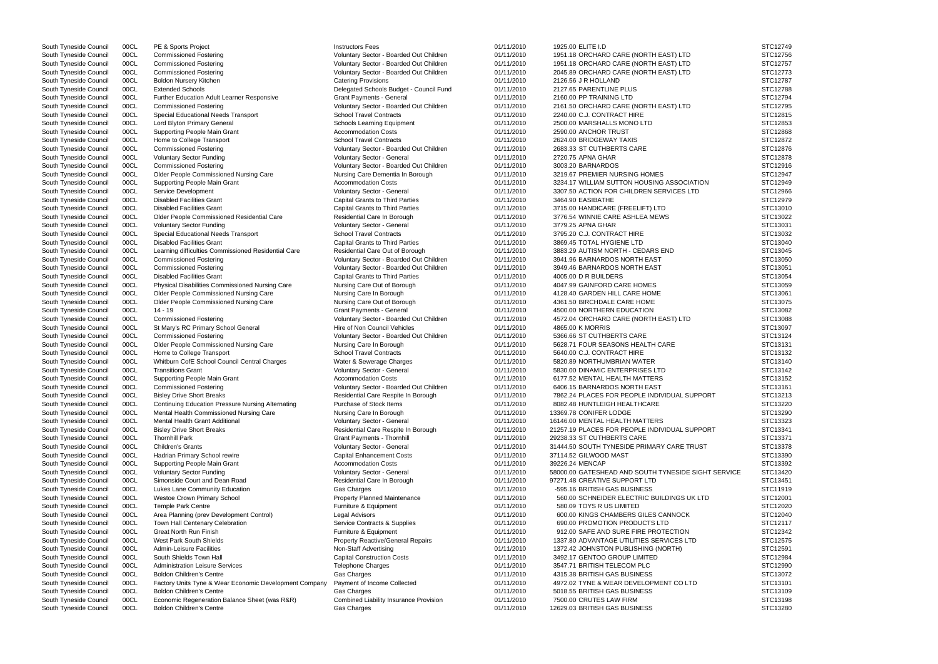| South Tyneside Council | 00CL | PE & Sports Project                                      | <b>Instructors Fees</b>                  | 01/11/2010 | 1925.00 ELITE I.D                                   | STC12749 |
|------------------------|------|----------------------------------------------------------|------------------------------------------|------------|-----------------------------------------------------|----------|
| South Tyneside Council | 00CL | <b>Commissioned Fostering</b>                            | Voluntary Sector - Boarded Out Children  | 01/11/2010 | 1951.18 ORCHARD CARE (NORTH EAST) LTD               | STC12756 |
| South Tyneside Council | 00CL | <b>Commissioned Fostering</b>                            | Voluntary Sector - Boarded Out Children  | 01/11/2010 | 1951.18 ORCHARD CARE (NORTH EAST) LTD               | STC12757 |
| South Tyneside Council | 00CL | <b>Commissioned Fostering</b>                            | Voluntary Sector - Boarded Out Children  | 01/11/2010 | 2045.89 ORCHARD CARE (NORTH EAST) LTD               | STC12773 |
|                        |      |                                                          |                                          |            |                                                     |          |
| South Tyneside Council | 00CL | <b>Boldon Nursery Kitchen</b>                            | <b>Catering Provisions</b>               | 01/11/2010 | 2126.56 J R HOLLAND                                 | STC12787 |
| South Tyneside Council | 00CL | <b>Extended Schools</b>                                  | Delegated Schools Budget - Council Fund  | 01/11/2010 | 2127.65 PARENTLINE PLUS                             | STC12788 |
| South Tyneside Council | 00CL | Further Education Adult Learner Responsive               | <b>Grant Payments - General</b>          | 01/11/2010 | 2160.00 PP TRAINING LTD                             | STC12794 |
| South Tyneside Council | 00CL | <b>Commissioned Fostering</b>                            | Voluntary Sector - Boarded Out Children  | 01/11/2010 | 2161.50 ORCHARD CARE (NORTH EAST) LTD               | STC12795 |
| South Tyneside Council | 00CL | Special Educational Needs Transport                      | <b>School Travel Contracts</b>           | 01/11/2010 | 2240.00 C.J. CONTRACT HIRE                          | STC12815 |
| South Tyneside Council | 00CL | Lord Blyton Primary General                              | Schools Learning Equipment               | 01/11/2010 | 2500.00 MARSHALLS MONO LTD                          | STC12853 |
| South Tyneside Council | 00CL | Supporting People Main Grant                             | <b>Accommodation Costs</b>               | 01/11/2010 | 2590.00 ANCHOR TRUST                                | STC12868 |
|                        |      |                                                          |                                          |            |                                                     |          |
| South Tyneside Council | 00CL | Home to College Transport                                | <b>School Travel Contracts</b>           | 01/11/2010 | 2624.00 BRIDGEWAY TAXIS                             | STC12872 |
| South Tyneside Council | 00CL | <b>Commissioned Fostering</b>                            | Voluntary Sector - Boarded Out Children  | 01/11/2010 | 2683.33 ST CUTHBERTS CARE                           | STC12876 |
| South Tyneside Council | 00CL | <b>Voluntary Sector Funding</b>                          | Voluntary Sector - General               | 01/11/2010 | 2720.75 APNA GHAR                                   | STC12878 |
| South Tyneside Council | 00CL | <b>Commissioned Fostering</b>                            | Voluntary Sector - Boarded Out Children  | 01/11/2010 | 3003.20 BARNARDOS                                   | STC12916 |
| South Tyneside Council | 00CL | Older People Commissioned Nursing Care                   | Nursing Care Dementia In Borough         | 01/11/2010 | 3219.67 PREMIER NURSING HOMES                       | STC12947 |
| South Tyneside Council | 00CL | Supporting People Main Grant                             | <b>Accommodation Costs</b>               | 01/11/2010 | 3234.17 WILLIAM SUTTON HOUSING ASSOCIATION          | STC12949 |
| South Tyneside Council | 00CL | Service Development                                      | Voluntary Sector - General               | 01/11/2010 | 3307.50 ACTION FOR CHILDREN SERVICES LTD            | STC12966 |
| South Tyneside Council | 00CL |                                                          |                                          |            |                                                     |          |
|                        |      | <b>Disabled Facilities Grant</b>                         | <b>Capital Grants to Third Parties</b>   | 01/11/2010 | 3464.90 EASIBATHE                                   | STC12979 |
| South Tyneside Council | 00CL | <b>Disabled Facilities Grant</b>                         | <b>Capital Grants to Third Parties</b>   | 01/11/2010 | 3715.00 HANDICARE (FREELIFT) LTD                    | STC13010 |
| South Tyneside Council | 00CL | Older People Commissioned Residential Care               | Residential Care In Borough              | 01/11/2010 | 3776.54 WINNIE CARE ASHLEA MEWS                     | STC13022 |
| South Tyneside Council | 00CL | <b>Voluntary Sector Funding</b>                          | Voluntary Sector - General               | 01/11/2010 | 3779.25 APNA GHAR                                   | STC13031 |
| South Tyneside Council | 00CL | Special Educational Needs Transport                      | <b>School Travel Contracts</b>           | 01/11/2010 | 3795.20 C.J. CONTRACT HIRE                          | STC13032 |
| South Tyneside Council | 00CL | <b>Disabled Facilities Grant</b>                         | <b>Capital Grants to Third Parties</b>   | 01/11/2010 | 3869.45 TOTAL HYGIENE LTD                           | STC13040 |
|                        |      |                                                          |                                          |            |                                                     |          |
| South Tyneside Council | 00CL | Learning difficulties Commissioned Residential Care      | Residential Care Out of Borough          | 01/11/2010 | 3883.29 AUTISM NORTH - CEDARS END                   | STC13045 |
| South Tyneside Council | 00CL | <b>Commissioned Fostering</b>                            | Voluntary Sector - Boarded Out Children  | 01/11/2010 | 3941.96 BARNARDOS NORTH EAST                        | STC13050 |
| South Tyneside Council | 00CL | <b>Commissioned Fostering</b>                            | Voluntary Sector - Boarded Out Children  | 01/11/2010 | 3949.46 BARNARDOS NORTH EAST                        | STC13051 |
| South Tyneside Council | 00CL | <b>Disabled Facilities Grant</b>                         | <b>Capital Grants to Third Parties</b>   | 01/11/2010 | 4005.00 D R BUILDERS                                | STC13054 |
| South Tyneside Council | 00CL | <b>Physical Disabilities Commissioned Nursing Care</b>   | Nursing Care Out of Borough              | 01/11/2010 | 4047.99 GAINFORD CARE HOMES                         | STC13059 |
| South Tyneside Council | 00CL | Older People Commissioned Nursing Care                   | Nursing Care In Borough                  | 01/11/2010 | 4128.40 GARDEN HILL CARE HOME                       | STC13061 |
|                        | 00CL |                                                          |                                          |            |                                                     |          |
| South Tyneside Council |      | Older People Commissioned Nursing Care                   | Nursing Care Out of Borough              | 01/11/2010 | 4361.50 BIRCHDALE CARE HOME                         | STC13075 |
| South Tyneside Council | 00CL | 14 - 19                                                  | <b>Grant Payments - General</b>          | 01/11/2010 | 4500.00 NORTHERN EDUCATION                          | STC13082 |
| South Tyneside Council | 00CL | <b>Commissioned Fostering</b>                            | Voluntary Sector - Boarded Out Children  | 01/11/2010 | 4572.04 ORCHARD CARE (NORTH EAST) LTD               | STC13088 |
| South Tyneside Council | 00CL | St Mary's RC Primary School General                      | Hire of Non Council Vehicles             | 01/11/2010 | 4865.00 K MORRIS                                    | STC13097 |
| South Tyneside Council | 00CL | <b>Commissioned Fostering</b>                            | Voluntary Sector - Boarded Out Children  | 01/11/2010 | 5366.66 ST CUTHBERTS CARE                           | STC13124 |
| South Tyneside Council | 00CL | Older People Commissioned Nursing Care                   | Nursing Care In Borough                  | 01/11/2010 | 5628.71 FOUR SEASONS HEALTH CARE                    | STC13131 |
| South Tyneside Council | 00CL |                                                          | <b>School Travel Contracts</b>           | 01/11/2010 | 5640.00 C.J. CONTRACT HIRE                          | STC13132 |
|                        |      | Home to College Transport                                |                                          |            |                                                     |          |
| South Tyneside Council | 00CL | Whitburn CofE School Council Central Charges             | Water & Sewerage Charges                 | 01/11/2010 | 5820.89 NORTHUMBRIAN WATER                          | STC13140 |
| South Tyneside Council | 00CL | <b>Transitions Grant</b>                                 | Voluntary Sector - General               | 01/11/2010 | 5830.00 DINAMIC ENTERPRISES LTD                     | STC13142 |
| South Tyneside Council | 00CL | Supporting People Main Grant                             | <b>Accommodation Costs</b>               | 01/11/2010 | 6177.52 MENTAL HEALTH MATTERS                       | STC13152 |
| South Tyneside Council | 00CL | <b>Commissioned Fostering</b>                            | Voluntary Sector - Boarded Out Children  | 01/11/2010 | 6406.15 BARNARDOS NORTH EAST                        | STC13161 |
| South Tyneside Council | 00CL | <b>Bisley Drive Short Breaks</b>                         | Residential Care Respite In Borough      | 01/11/2010 | 7862.24 PLACES FOR PEOPLE INDIVIDUAL SUPPORT        | STC13213 |
| South Tyneside Council | 00CL | <b>Continuing Education Pressure Nursing Alternating</b> | Purchase of Stock Items                  | 01/11/2010 | 8082.48 HUNTLEIGH HEALTHCARE                        | STC13220 |
|                        |      |                                                          |                                          |            |                                                     |          |
| South Tyneside Council | 00CL | Mental Health Commissioned Nursing Care                  | Nursing Care In Borough                  | 01/11/2010 | 13369.78 CONIFER LODGE                              | STC13290 |
| South Tyneside Council | 00CL | Mental Health Grant Additional                           | Voluntary Sector - General               | 01/11/2010 | 16146.00 MENTAL HEALTH MATTERS                      | STC13323 |
| South Tyneside Council | 00CL | <b>Bisley Drive Short Breaks</b>                         | Residential Care Respite In Borough      | 01/11/2010 | 21257.19 PLACES FOR PEOPLE INDIVIDUAL SUPPORT       | STC13341 |
| South Tyneside Council | 00CL | <b>Thornhill Park</b>                                    | Grant Payments - Thornhill               | 01/11/2010 | 29238.33 ST CUTHBERTS CARE                          | STC13371 |
| South Tyneside Council | 00CL | <b>Children's Grants</b>                                 | Voluntary Sector - General               | 01/11/2010 | 31444.50 SOUTH TYNESIDE PRIMARY CARE TRUST          | STC13378 |
| South Tyneside Council | 00CL | Hadrian Primary School rewire                            | <b>Capital Enhancement Costs</b>         | 01/11/2010 | 37114.52 GILWOOD MAST                               | STC13390 |
|                        |      |                                                          | <b>Accommodation Costs</b>               |            |                                                     |          |
| South Tyneside Council | 00CL | Supporting People Main Grant                             |                                          | 01/11/2010 | 39226.24 MENCAP                                     | STC13392 |
| South Tyneside Council | 00CL | <b>Voluntary Sector Funding</b>                          | Voluntary Sector - General               | 01/11/2010 | 58000.00 GATESHEAD AND SOUTH TYNESIDE SIGHT SERVICE | STC13420 |
| South Tyneside Council | 00CL | Simonside Court and Dean Road                            | Residential Care In Borough              | 01/11/2010 | 97271.48 CREATIVE SUPPORT LTD                       | STC13451 |
| South Tyneside Council | 00CL | Lukes Lane Community Education                           | Gas Charges                              | 01/11/2010 | -595.16 BRITISH GAS BUSINESS                        | STC11919 |
| South Tyneside Council | 00CL | Westoe Crown Primary School                              | Property Planned Maintenance             | 01/11/2010 | 560.00 SCHNEIDER ELECTRIC BUILDINGS UK LTD          | STC12001 |
| South Tyneside Council | 00CL | <b>Temple Park Centre</b>                                | Furniture & Equipment                    | 01/11/2010 | 580.09 TOYS R US LIMITED                            | STC12020 |
|                        |      |                                                          |                                          |            |                                                     |          |
| South Tyneside Council | 00CL | Area Planning (prev Development Control)                 | Legal Advisors                           | 01/11/2010 | 600.00 KINGS CHAMBERS GILES CANNOCK                 | STC12040 |
| South Tyneside Council | 00CL | Town Hall Centenary Celebration                          | Service Contracts & Supplies             | 01/11/2010 | 690.00 PROMOTION PRODUCTS LTD                       | STC12117 |
| South Tyneside Council | 00CL | Great North Run Finish                                   | Furniture & Equipment                    | 01/11/2010 | 912.00 SAFE AND SURE FIRE PROTECTION                | STC12342 |
| South Tyneside Council | 00CL | West Park South Shields                                  | <b>Property Reactive/General Repairs</b> | 01/11/2010 | 1337.80 ADVANTAGE UTILITIES SERVICES LTD            | STC12575 |
| South Tyneside Council | 00CL | <b>Admin-Leisure Facilities</b>                          | Non-Staff Advertising                    | 01/11/2010 | 1372.42 JOHNSTON PUBLISHING (NORTH)                 | STC12591 |
| South Tyneside Council | 00CL | South Shields Town Hall                                  | <b>Capital Construction Costs</b>        | 01/11/2010 | 3492.17 GENTOO GROUP LIMITED                        | STC12984 |
|                        |      |                                                          |                                          |            |                                                     |          |
| South Tyneside Council | 00CL | <b>Administration Leisure Services</b>                   | <b>Telephone Charges</b>                 | 01/11/2010 | 3547.71 BRITISH TELECOM PLC                         | STC12990 |
| South Tyneside Council | 00CL | <b>Boldon Children's Centre</b>                          | Gas Charges                              | 01/11/2010 | 4315.38 BRITISH GAS BUSINESS                        | STC13072 |
| South Tyneside Council | 00CL | Factory Units Tyne & Wear Economic Development Company   | Payment of Income Collected              | 01/11/2010 | 4972.02 TYNE & WEAR DEVELOPMENT CO LTD              | STC13101 |
| South Tyneside Council | 00CL | <b>Boldon Children's Centre</b>                          | Gas Charges                              | 01/11/2010 | 5018.55 BRITISH GAS BUSINESS                        | STC13109 |
| South Tyneside Council | 00CL | Economic Regeneration Balance Sheet (was R&R)            | Combined Liability Insurance Provision   | 01/11/2010 | 7500.00 CRUTES LAW FIRM                             | STC13198 |
| South Tyneside Council | 00CL | <b>Boldon Children's Centre</b>                          | Gas Charges                              | 01/11/2010 | 12629.03 BRITISH GAS BUSINESS                       | STC13280 |
|                        |      |                                                          |                                          |            |                                                     |          |

|         | STC12749 |
|---------|----------|
|         | STC12756 |
|         |          |
|         | STC12757 |
|         | STC12773 |
|         |          |
|         | STC12787 |
|         |          |
|         | STC12788 |
|         | STC12794 |
|         |          |
|         | STC12795 |
|         |          |
|         | STC12815 |
|         | STC12853 |
|         |          |
|         | STC12868 |
|         | STC12872 |
|         |          |
|         | STC12876 |
|         |          |
|         | STC12878 |
|         | STC12916 |
|         |          |
|         | STC12947 |
|         | STC12949 |
|         |          |
|         | STC12966 |
|         |          |
|         | STC12979 |
|         | STC13010 |
|         |          |
|         | STC13022 |
|         | STC13031 |
|         |          |
|         | STC13032 |
|         |          |
|         | STC13040 |
|         | STC13045 |
|         |          |
|         | STC13050 |
|         | STC13051 |
|         |          |
|         | STC13054 |
|         | STC13059 |
|         |          |
|         | STC13061 |
|         |          |
|         | STC13075 |
|         | STC13082 |
|         |          |
|         | STC13088 |
|         | STC13097 |
|         |          |
|         | STC13124 |
|         |          |
|         | STC13131 |
|         | STC13132 |
|         |          |
|         | STC13140 |
|         | STC13142 |
|         |          |
|         | STC13152 |
|         |          |
|         | STC13161 |
| T       | STC13213 |
|         |          |
|         | STC13220 |
|         | STC13290 |
|         |          |
|         | STC13323 |
| т       |          |
|         | STC13341 |
|         | STC13371 |
|         |          |
|         | STC13378 |
|         | STC13390 |
|         |          |
|         | STC13392 |
| SERVICE | STC13420 |
|         |          |
|         | STC13451 |
|         |          |
|         | STC11919 |
|         | STC12001 |
|         |          |
|         | STC12020 |
|         | STC12040 |
|         |          |
|         | STC12117 |
|         | STC12342 |
|         |          |
|         | STC12575 |
|         |          |
|         | STC12591 |
|         | STC12984 |
|         |          |
|         | STC12990 |
|         | STC13072 |
|         |          |
|         | STC13101 |
|         |          |
|         | STC13109 |
|         | STC13198 |
|         |          |
|         | STC13280 |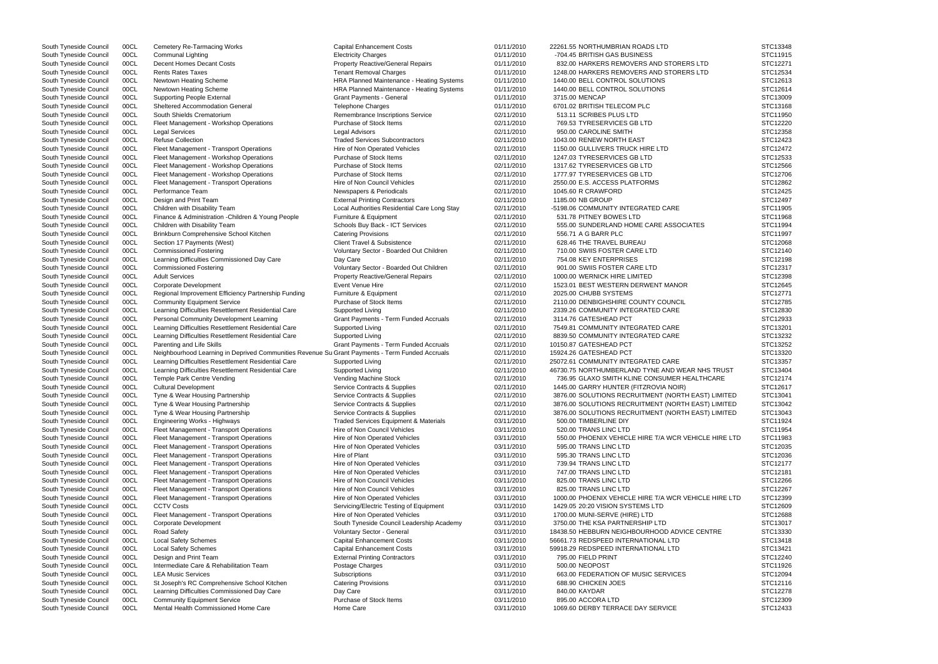| South Tyneside Council | 00CL | <b>Cemetery Re-Tarmacing Works</b>                                                              | <b>Capital Enhancement Costs</b>                 | 01/11/2010 | 22261.55 NORTHUMBRIAN ROADS LTD                       | STC13348 |
|------------------------|------|-------------------------------------------------------------------------------------------------|--------------------------------------------------|------------|-------------------------------------------------------|----------|
| South Tyneside Council | 00CL | <b>Communal Lighting</b>                                                                        | <b>Electricity Charges</b>                       | 01/11/2010 | -704.45 BRITISH GAS BUSINESS                          | STC11915 |
| South Tyneside Council | 00CL | Decent Homes Decant Costs                                                                       | <b>Property Reactive/General Repairs</b>         | 01/11/2010 | 832.00 HARKERS REMOVERS AND STORERS LTD               | STC12271 |
| South Tyneside Council | 00CL | <b>Rents Rates Taxes</b>                                                                        | <b>Tenant Removal Charges</b>                    | 01/11/2010 | 1248.00 HARKERS REMOVERS AND STORERS LTD              | STC12534 |
| South Tyneside Council | 00CL | Newtown Heating Scheme                                                                          | HRA Planned Maintenance - Heating Systems        | 01/11/2010 | 1440.00 BELL CONTROL SOLUTIONS                        | STC12613 |
| South Tyneside Council | 00CL | Newtown Heating Scheme                                                                          | HRA Planned Maintenance - Heating Systems        | 01/11/2010 | 1440.00 BELL CONTROL SOLUTIONS                        | STC12614 |
| South Tyneside Council | 00CL | <b>Supporting People External</b>                                                               | <b>Grant Payments - General</b>                  | 01/11/2010 | 3715.00 MENCAP                                        | STC13009 |
| South Tyneside Council | 00CL | <b>Sheltered Accommodation General</b>                                                          | <b>Telephone Charges</b>                         | 01/11/2010 | 6701.02 BRITISH TELECOM PLC                           | STC13168 |
| South Tyneside Council | 00CL | South Shields Crematorium                                                                       | Remembrance Inscriptions Service                 | 02/11/2010 | 513.11 SCRIBES PLUS LTD                               | STC11950 |
| South Tyneside Council | 00CL | Fleet Management - Workshop Operations                                                          | Purchase of Stock Items                          | 02/11/2010 | 769.53 TYRESERVICES GB LTD                            | STC12220 |
| South Tyneside Council | 00CL | <b>Legal Services</b>                                                                           | <b>Legal Advisors</b>                            | 02/11/2010 | 950.00 CAROLINE SMITH                                 | STC12358 |
| South Tyneside Council | 00CL | <b>Refuse Collection</b>                                                                        | <b>Traded Services Subcontractors</b>            | 02/11/2010 | 1043.00 RENEW NORTH EAST                              | STC12423 |
| South Tyneside Council | 00CL | Fleet Management - Transport Operations                                                         | Hire of Non Operated Vehicles                    | 02/11/2010 | 1150.00 GULLIVERS TRUCK HIRE LTD                      | STC12472 |
| South Tyneside Council | 00CL | Fleet Management - Workshop Operations                                                          | Purchase of Stock Items                          | 02/11/2010 | 1247.03 TYRESERVICES GB LTD                           | STC12533 |
| South Tyneside Council | 00CL | Fleet Management - Workshop Operations                                                          | Purchase of Stock Items                          | 02/11/2010 | 1317.62 TYRESERVICES GB LTD                           | STC12566 |
| South Tyneside Council | 00CL | Fleet Management - Workshop Operations                                                          | Purchase of Stock Items                          | 02/11/2010 | 1777.97 TYRESERVICES GB LTD                           | STC12706 |
| South Tyneside Council | 00CL | Fleet Management - Transport Operations                                                         | Hire of Non Council Vehicles                     | 02/11/2010 | 2550.00 E.S. ACCESS PLATFORMS                         | STC12862 |
| South Tyneside Council | 00CL | Performance Team                                                                                | Newspapers & Periodicals                         | 02/11/2010 | 1045.60 R CRAWFORD                                    | STC12425 |
| South Tyneside Council | 00CL | Design and Print Team                                                                           | <b>External Printing Contractors</b>             | 02/11/2010 | 1185.00 NB GROUP                                      | STC12497 |
| South Tyneside Council | 00CL | Children with Disability Team                                                                   | Local Authorities Residential Care Long Stay     | 02/11/2010 | -5198.06 COMMUNITY INTEGRATED CARE                    | STC11905 |
| South Tyneside Council | 00CL | Finance & Administration - Children & Young People                                              | Furniture & Equipment                            | 02/11/2010 | 531.78 PITNEY BOWES LTD                               | STC11968 |
| South Tyneside Council | 00CL | Children with Disability Team                                                                   | Schools Buy Back - ICT Services                  | 02/11/2010 | 555.00 SUNDERLAND HOME CARE ASSOCIATES                | STC11994 |
| South Tyneside Council | 00CL | Brinkburn Comprehensive School Kitchen                                                          | <b>Catering Provisions</b>                       | 02/11/2010 | 556.71 A G BARR PLC                                   | STC11997 |
| South Tyneside Council | 00CL | Section 17 Payments (West)                                                                      | Client Travel & Subsistence                      | 02/11/2010 | 628.46 THE TRAVEL BUREAU                              | STC12068 |
| South Tyneside Council | 00CL | <b>Commissioned Fostering</b>                                                                   | Voluntary Sector - Boarded Out Children          | 02/11/2010 | 710.00 SWIIS FOSTER CARE LTD                          | STC12140 |
| South Tyneside Council | 00CL | Learning Difficulties Commissioned Day Care                                                     | Day Care                                         | 02/11/2010 | 754.08 KEY ENTERPRISES                                | STC12198 |
| South Tyneside Council | 00CL | <b>Commissioned Fostering</b>                                                                   | Voluntary Sector - Boarded Out Children          | 02/11/2010 | 901.00 SWIIS FOSTER CARE LTD                          | STC12317 |
| South Tyneside Council | 00CL | <b>Adult Services</b>                                                                           | <b>Property Reactive/General Repairs</b>         | 02/11/2010 | 1000.00 WERNICK HIRE LIMITED                          | STC12398 |
| South Tyneside Council | 00CL | <b>Corporate Development</b>                                                                    | Event Venue Hire                                 | 02/11/2010 | 1523.01 BEST WESTERN DERWENT MANOR                    | STC12645 |
| South Tyneside Council | 00CL | Regional Improvement Efficiency Partnership Funding                                             | Furniture & Equipment                            | 02/11/2010 | 2025.00 CHUBB SYSTEMS                                 | STC12771 |
| South Tyneside Council | 00CL | <b>Community Equipment Service</b>                                                              | Purchase of Stock Items                          | 02/11/2010 | 2110.00 DENBIGHSHIRE COUNTY COUNCIL                   | STC12785 |
| South Tyneside Council | 00CL | Learning Difficulties Resettlement Residential Care                                             | Supported Living                                 | 02/11/2010 | 2339.26 COMMUNITY INTEGRATED CARE                     | STC12830 |
| South Tyneside Council | 00CL | Personal Community Development Learning                                                         | Grant Payments - Term Funded Accruals            | 02/11/2010 | 3114.76 GATESHEAD PCT                                 | STC12933 |
| South Tyneside Council | 00CL | Learning Difficulties Resettlement Residential Care                                             | Supported Living                                 | 02/11/2010 | 7549.81 COMMUNITY INTEGRATED CARE                     | STC13201 |
| South Tyneside Council | 00CL | Learning Difficulties Resettlement Residential Care                                             | Supported Living                                 | 02/11/2010 | 8839.50 COMMUNITY INTEGRATED CARE                     | STC13232 |
| South Tyneside Council | 00CL | Parenting and Life Skills                                                                       | Grant Payments - Term Funded Accruals            | 02/11/2010 | 10150.87 GATESHEAD PCT                                | STC13252 |
| South Tyneside Council | 00CL | Neighbourhood Learning in Deprived Communities Revenue Su Grant Payments - Term Funded Accruals |                                                  | 02/11/2010 | 15924.26 GATESHEAD PCT                                | STC13320 |
| South Tyneside Council | 00CL | Learning Difficulties Resettlement Residential Care                                             | Supported Living                                 | 02/11/2010 | 25072.61 COMMUNITY INTEGRATED CARE                    | STC13357 |
| South Tyneside Council | 00CL | Learning Difficulties Resettlement Residential Care                                             | Supported Living                                 | 02/11/2010 | 46730.75 NORTHUMBERLAND TYNE AND WEAR NHS TRUST       | STC13404 |
| South Tyneside Council | 00CL | Temple Park Centre Vending                                                                      | Vending Machine Stock                            | 02/11/2010 | 736.95 GLAXO SMITH KLINE CONSUMER HEALTHCARE          | STC12174 |
| South Tyneside Council | 00CL | <b>Cultural Development</b>                                                                     | Service Contracts & Supplies                     | 02/11/2010 | 1445.00 GARRY HUNTER (FITZROVIA NOIR)                 | STC12617 |
| South Tyneside Council | 00CL | Tyne & Wear Housing Partnership                                                                 | Service Contracts & Supplies                     | 02/11/2010 | 3876.00 SOLUTIONS RECRUITMENT (NORTH EAST) LIMITED    | STC13041 |
| South Tyneside Council | 00CL | Tyne & Wear Housing Partnership                                                                 | Service Contracts & Supplies                     | 02/11/2010 | 3876.00 SOLUTIONS RECRUITMENT (NORTH EAST) LIMITED    | STC13042 |
| South Tyneside Council | 00CL | Tyne & Wear Housing Partnership                                                                 | Service Contracts & Supplies                     | 02/11/2010 | 3876.00 SOLUTIONS RECRUITMENT (NORTH EAST) LIMITED    | STC13043 |
| South Tyneside Council | 00CL | Engineering Works - Highways                                                                    | <b>Traded Services Equipment &amp; Materials</b> | 03/11/2010 | 500.00 TIMBERLINE DIY                                 | STC11924 |
| South Tyneside Council | 00CL | Fleet Management - Transport Operations                                                         | Hire of Non Council Vehicles                     | 03/11/2010 | 520.00 TRANS LINC LTD                                 | STC11954 |
| South Tyneside Council | 00CL | Fleet Management - Transport Operations                                                         | Hire of Non Operated Vehicles                    | 03/11/2010 | 550.00 PHOENIX VEHICLE HIRE T/A WCR VEHICLE HIRE LTD  | STC11983 |
| South Tyneside Council | 00CL | Fleet Management - Transport Operations                                                         | Hire of Non Operated Vehicles                    | 03/11/2010 | 595.00 TRANS LINC LTD                                 | STC12035 |
| South Tyneside Council | 00CL | Fleet Management - Transport Operations                                                         | Hire of Plant                                    | 03/11/2010 | 595.30 TRANS LINC LTD                                 | STC12036 |
| South Tyneside Council | 00CL | Fleet Management - Transport Operations                                                         | Hire of Non Operated Vehicles                    | 03/11/2010 | 739.94 TRANS LINC LTD                                 | STC12177 |
| South Tyneside Council | 00CL | Fleet Management - Transport Operations                                                         | Hire of Non Operated Vehicles                    | 03/11/2010 | 747.00 TRANS LINC LTD                                 | STC12181 |
| South Tyneside Council | 00CL | Fleet Management - Transport Operations                                                         | Hire of Non Council Vehicles                     | 03/11/2010 | 825.00 TRANS LINC LTD                                 | STC12266 |
| South Tyneside Council | 00CL | Fleet Management - Transport Operations                                                         | Hire of Non Council Vehicles                     | 03/11/2010 | 825.00 TRANS LINC LTD                                 | STC12267 |
| South Tyneside Council | 00CL | Fleet Management - Transport Operations                                                         | Hire of Non Operated Vehicles                    | 03/11/2010 | 1000.00 PHOENIX VEHICLE HIRE T/A WCR VEHICLE HIRE LTD | STC12399 |
| South Tyneside Council | 00CL | <b>CCTV Costs</b>                                                                               | Servicing/Electric Testing of Equipment          | 03/11/2010 | 1429.05 20:20 VISION SYSTEMS LTD                      | STC12609 |
| South Tyneside Council | 00CL | Fleet Management - Transport Operations                                                         | Hire of Non Operated Vehicles                    | 03/11/2010 | 1700.00 MUNI-SERVE (HIRE) LTD                         | STC12688 |
| South Tyneside Council | 00CL | Corporate Development                                                                           | South Tyneside Council Leadership Academy        | 03/11/2010 | 3750.00 THE KSA PARTNERSHIP LTD                       | STC13017 |
| South Tyneside Council | 00CL | Road Safety                                                                                     | Voluntary Sector - General                       | 03/11/2010 | 18438.50 HEBBURN NEIGHBOURHOOD ADVICE CENTRE          | STC13330 |
| South Tyneside Council | 00CL | <b>Local Safety Schemes</b>                                                                     | <b>Capital Enhancement Costs</b>                 | 03/11/2010 | 56661.73 REDSPEED INTERNATIONAL LTD                   | STC13418 |
| South Tyneside Council | 00CL | <b>Local Safety Schemes</b>                                                                     | <b>Capital Enhancement Costs</b>                 | 03/11/2010 | 59918.29 REDSPEED INTERNATIONAL LTD                   | STC13421 |
| South Tyneside Council | 00CL | Design and Print Team                                                                           | <b>External Printing Contractors</b>             | 03/11/2010 | 795.00 FIELD PRINT                                    | STC12240 |
| South Tyneside Council | 00CL | Intermediate Care & Rehabilitation Team                                                         | Postage Charges                                  | 03/11/2010 | 500.00 NEOPOST                                        | STC11926 |
| South Tyneside Council | 00CL | <b>LEA Music Services</b>                                                                       | Subscriptions                                    | 03/11/2010 | 663.00 FEDERATION OF MUSIC SERVICES                   | STC12094 |
|                        |      |                                                                                                 |                                                  | 03/11/2010 | 688.90 CHICKEN JOES                                   | STC12116 |
| South Tyneside Council | 00CL | St Joseph's RC Comprehensive School Kitchen                                                     | <b>Catering Provisions</b>                       | 03/11/2010 |                                                       | STC12278 |
| South Tyneside Council | 00CL | Learning Difficulties Commissioned Day Care                                                     | Day Care                                         |            | 840.00 KAYDAR                                         |          |
| South Tyneside Council | 00CL | <b>Community Equipment Service</b>                                                              | Purchase of Stock Items                          | 03/11/2010 | 895.00 ACCORA LTD                                     | STC12309 |
| South Tyneside Council | 00CL | Mental Health Commissioned Home Care                                                            | Home Care                                        | 03/11/2010 | 1069.60 DERBY TERRACE DAY SERVICE                     | STC12433 |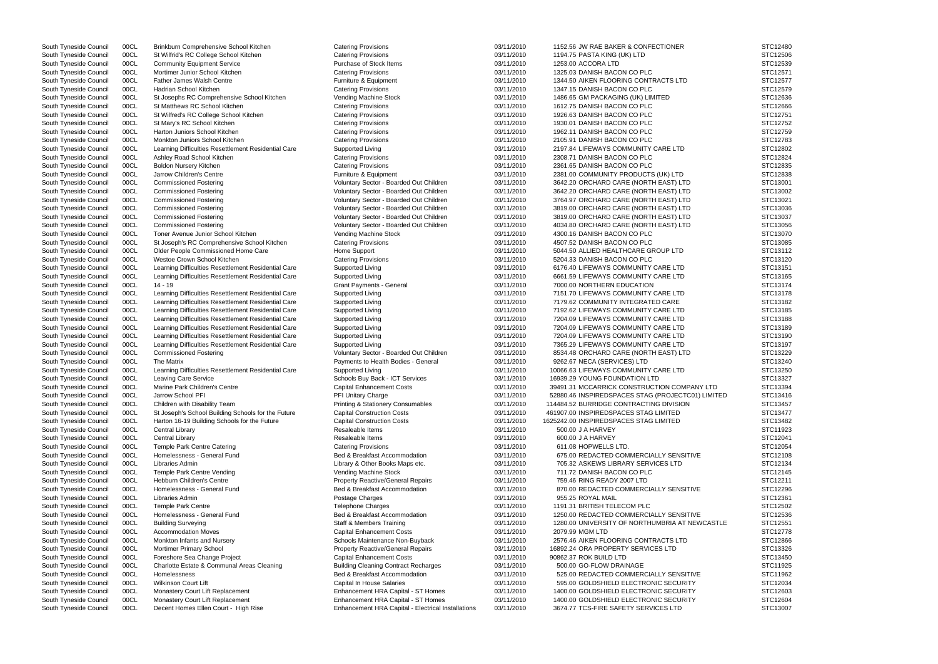| South Tyneside Council | 00CL | Brinkburn Comprehensive School Kitchen              | <b>Catering Provisions</b>                         | 03/11/2010 | 1152.56 JW RAE BAKER & CONFECTIONER               | STC12480 |
|------------------------|------|-----------------------------------------------------|----------------------------------------------------|------------|---------------------------------------------------|----------|
| South Tyneside Council | 00CL | St Wilfrid's RC College School Kitchen              | <b>Catering Provisions</b>                         | 03/11/2010 | 1194.75 PASTA KING (UK) LTD                       | STC12506 |
| South Tyneside Council | 00CL | <b>Community Equipment Service</b>                  | Purchase of Stock Items                            | 03/11/2010 | 1253.00 ACCORA LTD                                | STC12539 |
| South Tyneside Council | 00CL | Mortimer Junior School Kitchen                      | <b>Catering Provisions</b>                         | 03/11/2010 | 1325.03 DANISH BACON CO PLC                       | STC12571 |
|                        |      |                                                     |                                                    |            |                                                   |          |
| South Tyneside Council | 00CL | <b>Father James Walsh Centre</b>                    | Furniture & Equipment                              | 03/11/2010 | 1344.50 AIKEN FLOORING CONTRACTS LTD              | STC12577 |
| South Tyneside Council | 00CL | Hadrian School Kitchen                              | <b>Catering Provisions</b>                         | 03/11/2010 | 1347.15 DANISH BACON CO PLC                       | STC12579 |
| South Tyneside Council | 00CL | St Josephs RC Comprehensive School Kitchen          | Vending Machine Stock                              | 03/11/2010 | 1486.65 GM PACKAGING (UK) LIMITED                 | STC12636 |
| South Tyneside Council | 00CL | St Matthews RC School Kitchen                       | <b>Catering Provisions</b>                         | 03/11/2010 | 1612.75 DANISH BACON CO PLC                       | STC12666 |
| South Tyneside Council | 00CL | St Wilfred's RC College School Kitchen              | <b>Catering Provisions</b>                         | 03/11/2010 | 1926.63 DANISH BACON CO PLC                       | STC12751 |
| South Tyneside Council | 00CL | St Mary's RC School Kitchen                         | <b>Catering Provisions</b>                         | 03/11/2010 | 1930.01 DANISH BACON CO PLC                       | STC12752 |
|                        |      |                                                     |                                                    |            |                                                   |          |
| South Tyneside Council | 00CL | Harton Juniors School Kitchen                       | <b>Catering Provisions</b>                         | 03/11/2010 | 1962.11 DANISH BACON CO PLC                       | STC12759 |
| South Tyneside Council | 00CL | Monkton Juniors School Kitchen                      | <b>Catering Provisions</b>                         | 03/11/2010 | 2105.91 DANISH BACON CO PLC                       | STC12783 |
| South Tyneside Council | 00CL | Learning Difficulties Resettlement Residential Care | Supported Living                                   | 03/11/2010 | 2197.84 LIFEWAYS COMMUNITY CARE LTD               | STC12802 |
| South Tyneside Council | 00CL | Ashley Road School Kitchen                          | <b>Catering Provisions</b>                         | 03/11/2010 | 2308.71 DANISH BACON CO PLC                       | STC12824 |
| South Tyneside Council | 00CL | <b>Boldon Nursery Kitchen</b>                       | <b>Catering Provisions</b>                         | 03/11/2010 | 2361.65 DANISH BACON CO PLC                       | STC12835 |
| South Tyneside Council | 00CL | Jarrow Children's Centre                            | Furniture & Equipment                              | 03/11/2010 | 2381.00 COMMUNITY PRODUCTS (UK) LTD               | STC12838 |
|                        |      |                                                     |                                                    |            |                                                   |          |
| South Tyneside Council | 00CL | <b>Commissioned Fostering</b>                       | Voluntary Sector - Boarded Out Children            | 03/11/2010 | 3642.20 ORCHARD CARE (NORTH EAST) LTD             | STC13001 |
| South Tyneside Council | 00CL | <b>Commissioned Fostering</b>                       | Voluntary Sector - Boarded Out Children            | 03/11/2010 | 3642.20 ORCHARD CARE (NORTH EAST) LTD             | STC13002 |
| South Tyneside Council | 00CL | <b>Commissioned Fostering</b>                       | Voluntary Sector - Boarded Out Children            | 03/11/2010 | 3764.97 ORCHARD CARE (NORTH EAST) LTD             | STC13021 |
| South Tyneside Council | 00CL | <b>Commissioned Fostering</b>                       | Voluntary Sector - Boarded Out Children            | 03/11/2010 | 3819.00 ORCHARD CARE (NORTH EAST) LTD             | STC13036 |
| South Tyneside Council | 00CL | <b>Commissioned Fostering</b>                       | Voluntary Sector - Boarded Out Children            | 03/11/2010 | 3819.00 ORCHARD CARE (NORTH EAST) LTD             | STC13037 |
| South Tyneside Council | 00CL | <b>Commissioned Fostering</b>                       | Voluntary Sector - Boarded Out Children            | 03/11/2010 | 4034.80 ORCHARD CARE (NORTH EAST) LTD             | STC13056 |
|                        |      |                                                     |                                                    |            |                                                   |          |
| South Tyneside Council | 00CL | Toner Avenue Junior School Kitchen                  | Vending Machine Stock                              | 03/11/2010 | 4300.16 DANISH BACON CO PLC                       | STC13070 |
| South Tyneside Council | 00CL | St Joseph's RC Comprehensive School Kitchen         | <b>Catering Provisions</b>                         | 03/11/2010 | 4507.52 DANISH BACON CO PLC                       | STC13085 |
| South Tyneside Council | 00CL | Older People Commissioned Home Care                 | Home Support                                       | 03/11/2010 | 5044.50 ALLIED HEALTHCARE GROUP LTD               | STC13112 |
| South Tyneside Council | 00CL | Westoe Crown School Kitchen                         | <b>Catering Provisions</b>                         | 03/11/2010 | 5204.33 DANISH BACON CO PLC                       | STC13120 |
| South Tyneside Council | 00CL | Learning Difficulties Resettlement Residential Care | Supported Living                                   | 03/11/2010 | 6176.40 LIFEWAYS COMMUNITY CARE LTD               | STC13151 |
| South Tyneside Council | 00CL | Learning Difficulties Resettlement Residential Care | Supported Living                                   | 03/11/2010 | 6661.59 LIFEWAYS COMMUNITY CARE LTD               | STC13165 |
|                        |      |                                                     |                                                    |            |                                                   |          |
| South Tyneside Council | 00CL | $14 - 19$                                           | <b>Grant Payments - General</b>                    | 03/11/2010 | 7000.00 NORTHERN EDUCATION                        | STC13174 |
| South Tyneside Council | 00CL | Learning Difficulties Resettlement Residential Care | Supported Living                                   | 03/11/2010 | 7151.70 LIFEWAYS COMMUNITY CARE LTD               | STC13178 |
| South Tyneside Council | 00CL | Learning Difficulties Resettlement Residential Care | Supported Living                                   | 03/11/2010 | 7179.62 COMMUNITY INTEGRATED CARE                 | STC13182 |
| South Tyneside Council | 00CL | Learning Difficulties Resettlement Residential Care | Supported Living                                   | 03/11/2010 | 7192.62 LIFEWAYS COMMUNITY CARE LTD               | STC13185 |
| South Tyneside Council | 00CL | Learning Difficulties Resettlement Residential Care | Supported Living                                   | 03/11/2010 | 7204.09 LIFEWAYS COMMUNITY CARE LTD               | STC13188 |
| South Tyneside Council | 00CL | Learning Difficulties Resettlement Residential Care | Supported Living                                   | 03/11/2010 | 7204.09 LIFEWAYS COMMUNITY CARE LTD               | STC13189 |
|                        |      |                                                     |                                                    |            |                                                   |          |
| South Tyneside Council | 00CL | Learning Difficulties Resettlement Residential Care | Supported Living                                   | 03/11/2010 | 7204.09 LIFEWAYS COMMUNITY CARE LTD               | STC13190 |
| South Tyneside Council | 00CL | Learning Difficulties Resettlement Residential Care | Supported Living                                   | 03/11/2010 | 7365.29 LIFEWAYS COMMUNITY CARE LTD               | STC13197 |
| South Tyneside Council | 00CL | <b>Commissioned Fostering</b>                       | Voluntary Sector - Boarded Out Children            | 03/11/2010 | 8534.48 ORCHARD CARE (NORTH EAST) LTD             | STC13229 |
| South Tyneside Council | 00CL | The Matrix                                          | Payments to Health Bodies - General                | 03/11/2010 | 9262.67 NECA (SERVICES) LTD                       | STC13240 |
| South Tyneside Council | 00CL | Learning Difficulties Resettlement Residential Care | Supported Living                                   | 03/11/2010 | 10066.63 LIFEWAYS COMMUNITY CARE LTD              | STC13250 |
| South Tyneside Council | 00CL | <b>Leaving Care Service</b>                         | Schools Buy Back - ICT Services                    | 03/11/2010 | 16939.29 YOUNG FOUNDATION LTD                     | STC13327 |
|                        |      |                                                     |                                                    |            |                                                   |          |
| South Tyneside Council | 00CL | Marine Park Children's Centre                       | <b>Capital Enhancement Costs</b>                   | 03/11/2010 | 39491.31 MCCARRICK CONSTRUCTION COMPANY LTD       | STC13394 |
| South Tyneside Council | 00CL | Jarrow School PFI                                   | PFI Unitary Charge                                 | 03/11/2010 | 52880.46 INSPIREDSPACES STAG (PROJECTC01) LIMITED | STC13416 |
| South Tyneside Council | 00CL | Children with Disability Team                       | <b>Printing &amp; Stationery Consumables</b>       | 03/11/2010 | 114484.52 BURRIDGE CONTRACTING DIVISION           | STC13457 |
| South Tyneside Council | 00CL | St Joseph's School Building Schools for the Future  | <b>Capital Construction Costs</b>                  | 03/11/2010 | 461907.00 INSPIREDSPACES STAG LIMITED             | STC13477 |
| South Tyneside Council | 00CL | Harton 16-19 Building Schools for the Future        | <b>Capital Construction Costs</b>                  | 03/11/2010 | 1625242.00 INSPIREDSPACES STAG LIMITED            | STC13482 |
|                        |      |                                                     | Resaleable Items                                   |            |                                                   | STC11923 |
| South Tyneside Council | 00CL | Central Library                                     |                                                    | 03/11/2010 | 500.00 J A HARVEY                                 |          |
| South Tyneside Council | 00CL | Central Library                                     | Resaleable Items                                   | 03/11/2010 | 600.00 J A HARVEY                                 | STC12041 |
| South Tyneside Council | 00CL | Temple Park Centre Catering                         | <b>Catering Provisions</b>                         | 03/11/2010 | 611.08 HOPWELLS LTD.                              | STC12054 |
| South Tyneside Council | 00CL | Homelessness - General Fund                         | Bed & Breakfast Accommodation                      | 03/11/2010 | 675.00 REDACTED COMMERCIALLY SENSITIVE            | STC12108 |
| South Tyneside Council | 00CL | Libraries Admin                                     | Library & Other Books Maps etc.                    | 03/11/2010 | 705.32 ASKEWS LIBRARY SERVICES LTD                | STC12134 |
| South Tyneside Council | 00CL | Temple Park Centre Vending                          | Vending Machine Stock                              | 03/11/2010 | 711.72 DANISH BACON CO PLC                        | STC12145 |
|                        |      |                                                     |                                                    |            |                                                   |          |
| South Tyneside Council | 00CL | <b>Hebburn Children's Centre</b>                    | <b>Property Reactive/General Repairs</b>           | 03/11/2010 | 759.46 RING READY 2007 LTD                        | STC12211 |
| South Tyneside Council | 00CL | Homelessness - General Fund                         | Bed & Breakfast Accommodation                      | 03/11/2010 | 870.00 REDACTED COMMERCIALLY SENSITIVE            | STC12296 |
| South Tyneside Council | 00CL | Libraries Admin                                     | Postage Charges                                    | 03/11/2010 | 955.25 ROYAL MAIL                                 | STC12361 |
| South Tyneside Council | 00CL | <b>Temple Park Centre</b>                           | <b>Telephone Charges</b>                           | 03/11/2010 | 1191.31 BRITISH TELECOM PLC                       | STC12502 |
| South Tyneside Council | 00CL | Homelessness - General Fund                         | Bed & Breakfast Accommodation                      | 03/11/2010 | 1250.00 REDACTED COMMERCIALLY SENSITIVE           | STC12536 |
|                        | 00CL |                                                     | Staff & Members Training                           | 03/11/2010 | 1280.00 UNIVERSITY OF NORTHUMBRIA AT NEWCASTLE    | STC12551 |
| South Tyneside Council |      | <b>Building Surveying</b>                           |                                                    |            |                                                   |          |
| South Tyneside Council | 00CL | <b>Accommodation Moves</b>                          | <b>Capital Enhancement Costs</b>                   | 03/11/2010 | 2079.99 MGM LTD                                   | STC12778 |
| South Tyneside Council | 00CL | Monkton Infants and Nursery                         | Schools Maintenance Non-Buyback                    | 03/11/2010 | 2576.46 AIKEN FLOORING CONTRACTS LTD              | STC12866 |
| South Tyneside Council | 00CL | <b>Mortimer Primary School</b>                      | <b>Property Reactive/General Repairs</b>           | 03/11/2010 | 16892.24 ORA PROPERTY SERVICES LTD                | STC13326 |
| South Tyneside Council | 00CL | Foreshore Sea Change Project                        | <b>Capital Enhancement Costs</b>                   | 03/11/2010 | 90862.37 ROK BUILD LTD                            | STC13450 |
| South Tyneside Council | 00CL | Charlotte Estate & Communal Areas Cleaning          | <b>Building Cleaning Contract Recharges</b>        | 03/11/2010 | 500.00 GO-FLOW DRAINAGE                           | STC11925 |
|                        |      |                                                     |                                                    |            |                                                   |          |
| South Tyneside Council | 00CL | Homelessness                                        | Bed & Breakfast Accommodation                      | 03/11/2010 | 525.00 REDACTED COMMERCIALLY SENSITIVE            | STC11962 |
| South Tyneside Council | 00CL | <b>Wilkinson Court Lift</b>                         | Capital In House Salaries                          | 03/11/2010 | 595.00 GOLDSHIELD ELECTRONIC SECURITY             | STC12034 |
| South Tyneside Council | 00CL | Monastery Court Lift Replacement                    | Enhancement HRA Capital - ST Homes                 | 03/11/2010 | 1400.00 GOLDSHIELD ELECTRONIC SECURITY            | STC12603 |
| South Tyneside Council | 00CL | Monastery Court Lift Replacement                    | Enhancement HRA Capital - ST Homes                 | 03/11/2010 | 1400.00 GOLDSHIELD ELECTRONIC SECURITY            | STC12604 |
| South Tyneside Council | 00CL | Decent Homes Ellen Court - High Rise                | Enhancement HRA Capital - Electrical Installations | 03/11/2010 | 3674.77 TCS-FIRE SAFETY SERVICES LTD              | STC13007 |
|                        |      |                                                     |                                                    |            |                                                   |          |

|       | STC12480 |
|-------|----------|
|       | STC12506 |
|       | STC12539 |
|       | STC12571 |
|       | STC12577 |
|       | STC12579 |
|       | STC12636 |
|       | STC12666 |
|       | STC12751 |
|       | STC12752 |
|       |          |
|       | STC12759 |
|       | STC12783 |
|       | STC12802 |
|       | STC12824 |
|       | STC12835 |
|       | STC12838 |
|       | STC13001 |
|       | STC13002 |
|       | STC13021 |
|       | STC13036 |
|       | STC13037 |
|       |          |
|       | STC13056 |
|       | STC13070 |
|       | STC13085 |
|       | STC13112 |
|       | STC13120 |
|       | STC13151 |
|       | STC13165 |
|       | STC13174 |
|       | STC13178 |
|       | STC13182 |
|       | STC13185 |
|       | STC13188 |
|       | STC13189 |
|       | STC13190 |
|       |          |
|       | STC13197 |
|       | STC13229 |
|       | STC13240 |
|       | STC13250 |
|       | STC13327 |
| ГD    | STC13394 |
| 1ITED | STC13416 |
|       | STC13457 |
|       | STC13477 |
|       | STC13482 |
|       | STC11923 |
|       | STC12041 |
|       | STC12054 |
|       | STC12108 |
|       | STC12134 |
|       | STC12145 |
|       |          |
|       | STC12211 |
|       | STC12296 |
|       | STC12361 |
|       | STC12502 |
|       | STC12536 |
| STLE  | STC12551 |
|       | STC12778 |
|       | STC12866 |
|       | STC13326 |
|       | STC13450 |
|       | STC11925 |
|       | STC11962 |
|       | STC12034 |
|       | STC12603 |
|       | STC12604 |
|       |          |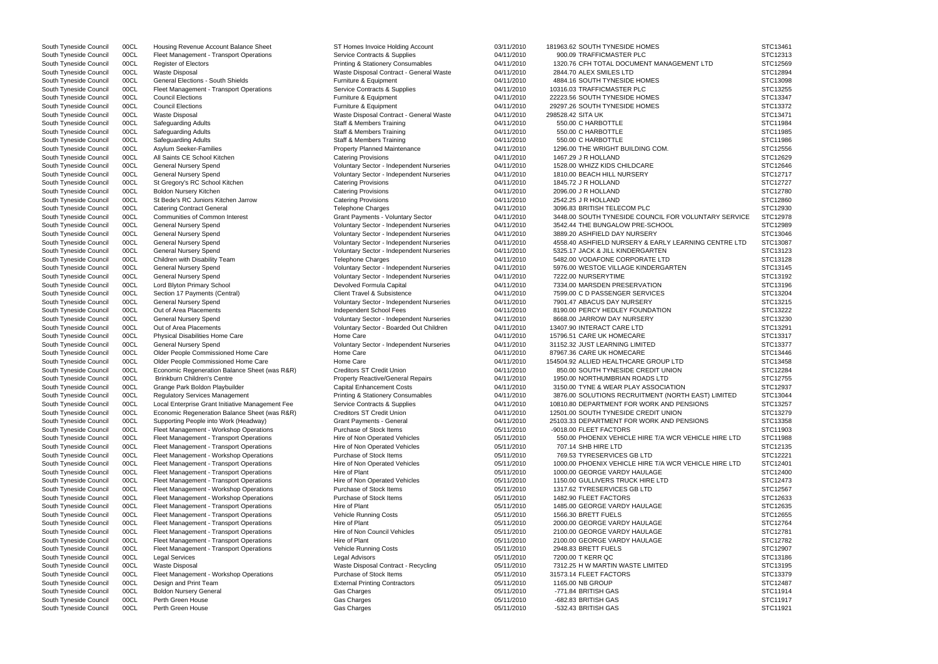South Tyneside Council 00CL Fleet Management - Transport Operations Service Contracts & Supplies 04/11/2010 900.09 TRAFFICMASTER PLC South Tyneside Council 00CL Register of Electors **Printing & Stationery Consumables** 04/11/2010 1320.76 CFH TOTAL DOCUMENT MANAGEMENT LTI South Tyneside Council 00CL Waste Disposal Contract - General Waste Contract - General Waste Muste 2844.70 ALEX SMILES LTD South Tyneside Council 00CL General Elections - South Shields Furniture & Equipment 6 Council 64/11/2010 4884.16 SOUTH TYNESIDE HOMES South Tyneside Council 00CL Fleet Management - Transport Operations Service Contracts & Supplies 04/11/2010 10316.03 TRAFFICMASTER PLC South Tyneside Council 00CL Council Elections Council Elections Council Elections Furniture & Equipment 6 Council 22223.56 SOUTH TYNESIDE HOMES South Tyneside Council 00CL Council Elections **Furniture & Equipment** 6 Equipment 04/11/2010 29297.26 SOUTH TYNESIDE HOMES South Tyneside Council 00CL Waste Disposal Waste Disposal Waste Disposal Contract - General Waste 04/11/2010 298528.42 SITA UK South Tyneside Council 00CL Safeguarding Adults Staff & Members Training 550.00 C HARBOTTLE STC11984 South Tyneside Council 00CL Safeguarding Adults Staff & Members Training 550.00 C HARBOTTLE STC11985 South Tyneside Council COCL Safeguarding Adults (STC11986 Staff & Members Training 04/11/2010 550.00 C HARBOTTLE STC11986 STC11986 South Tyneside Council 00CL Asylum Seeker-Families **Property Planned Maintenance** 194/11/2010 1296.00 THE WRIGHT BUILDING COM. South Tyneside Council COCL All Saints CE School Kitchen Catering Provisions Catering Provisions Culture of the Collection of the Control of the Control of the STC12629 (Catering Provisions CE School All Street of the STC1 South Tyneside Council 00CL General Nursery Spend Voluntary Sector - Independent Nurseries 04/11/2010 1528.00 WHIZZ KIDS CHILDCARE South Tyneside Council 00CL General Nursery Spend Council Council Council Council Council Council OCL General Nursery Spend Council Council Council Council OCL General Nursery Spend Council Council Council Council Council South Tyneside Council 00CL St Gregory's RC School Kitchen Catering Provisions Catering Provisions 04/11/2010 1845.72 J R HOLLAND South Tyneside Council COCL Boldon Nursery Kitchen Catering Provisions Catering Provisions Catering Provisions Catering Provisions Catering Provisions CACLAND 2096.00 J R HOLLAND STC12780 South Tyneside Council 00CL St Bede's RC Juniors Kitchen Jarrow Catering Provisions 04/11/2010 2542.25 J R HOLLAND South Tyneside Council 00CL Catering Contract General **Network Contract Contract Contract General** Telephone Charges 64/11/2010 3096.83 BRITISH TELECOM PLC South Tyneside Council 00CL Communities of Common Interest Grant Payments - Voluntary Sector 04/11/2010 3448.00 SOUTH TYNESIDE COUNCIL FOR VOLUNTA South Tyneside Council 00CL General Nursery Spend Voluntary Sector - Independent Nurseries 04/11/2010 3542.44 THE BUNGALOW PRE-SCHOOL South Tyneside Council 00CL General Nursery Spend Voluntary Sector - Independent Nurseries 04/11/2010 3889.20 ASHFIELD DAY NURSERY South Tyneside Council 00CL General Nursery Spend Voluntary Sector - Independent Nurseries 04/11/2010 4558.40 ASHFIELD NURSERY & EARLY LEARNING CI South Tyneside Council 00CL General Nursery Spend **Ware and State of Countary Sector** - Independent Nurseries 04/11/2010 5325.17 JACK & JILL KINDERGARTEN South Tyneside Council 00CL Children with Disability Team Telephone Charges Telephone Charges 04/11/2010 5482.00 VODAFONE CORPORATE LTD South Tyneside Council 00CL General Nursery Spend Voluntary Sector - Independent Nurseries 04/11/2010 5976.00 WESTOE VILLAGE KINDERGARTEN South Tyneside Council 00CL General Nursery Spend Council Council Council Council Council Council Council Council Council Council Council Council Council Council Council Council General Nursery Spend Council Council Counci South Tyneside Council 00CL Lord Blyton Primary School **Devolved Formula Capital 24/11/2010** 7334.00 MARSDEN PRESERVATION South Tyneside Council 00CL Section 17 Payments (Central) Client Travel & Subsistence 04/11/2010 7599.00 C D PASSENGER SERVICES South Tyneside Council 00CL General Nursery Spend Voluntary Sector - Independent Nurseries 04/11/2010 7901.47 ABACUS DAY NURSERY South Tyneside Council 00CL Out of Area Placements **Independent School Fees** 04/11/2010 8190.00 PERCY HEDLEY FOUNDATION South Tyneside Council 00CL General Nursery Spend Voluntary Sector - Independent Nurseries 04/11/2010 8668.00 JARROW DAY NURSERY South Tyneside Council 00CL Out of Area Placements COUNTERACT CARE LTD Voluntary Sector - Boarded Out Children 04/11/2010 13407.90 INTERACT CARE LTD South Tyneside Council 00CL Physical Disabilities Home Care Home Care Home Care 15796.51 CARE UK HOMECARE South Tyneside Council 00CL General Nursery Spend Voluntary Sector - Independent Nurseries 04/11/2010 31152.32 JUST LEARNING LIMITED South Tyneside Council 00CL Older People Commissioned Home Care Home Care Home Care 04/11/2010 87967.36 CARE UK HOMECARE South Tyneside Council 00CL Older People Commissioned Home Care Home Care Home Care and David Number 204/11/2010 154504.92 ALLIED HEALTHCARE GROUP LTD South Tyneside Council 00CL Economic Regeneration Balance Sheet (was R&R) Creditors ST Credit Union 04/11/2010 850.00 SOUTH TYNESIDE CREDIT UNION South Tyneside Council 00CL Brinkburn Children's Centre **Property Reactive/General Repairs** 04/11/2010 1950.00 NORTHUMBRIAN ROADS LTD South Tyneside Council 00CL Grange Park Boldon Playbuilder Capital Enhancement Costs 04/11/2010 3150.00 TYNE & WEAR PLAY ASSOCIATION South Tyneside Council 00CL Regulatory Services Management Printing & Stationery Consumables 04/11/2010 3876.00 SOLUTIONS RECRUITMENT (NORTH EAST) South Tyneside Council 00CL Local Enterprise Grant Initiative Management Fee Service Contracts & Supplies 04/11/2010 10810.80 DEPARTMENT FOR WORK AND PENSIONS South Tyneside Council 00CL Economic Regeneration Balance Sheet (was R&R) Creditors ST Credit Union 04/11/2010 12501.00 SOUTH TYNESIDE CREDIT UNION South Tyneside Council 00CL Supporting People into Work (Headway) Grant Payments - General 64/11/2010 25103.33 DEPARTMENT FOR WORK AND PENSIONS South Tyneside Council 00CL Fleet Management - Workshop Operations Purchase of Stock Items 05/11/2010 -9018.00 FLEET FACTORS South Tyneside Council 00CL Fleet Management - Transport Operations Hire of Non Operated Vehicles 05/11/2010 550.00 PHOENIX VEHICLE HIRE T/A WCR VEHICLE South Tyneside Council 00CL Fleet Management - Transport Operations Hire of Non Operated Vehicles 05/11/2010 707.14 SHB HIRE LTD South Tyneside Council 00CL Fleet Management - Workshop Operations Purchase of Stock Items 05/11/2010 769.53 TYRESERVICES GB LTD South Tyneside Council 00CL Fleet Management - Transport Operations Hire of Non Operated Vehicles 05/11/2010 1000.00 PHOENIX VEHICLE HIRE T/A WCR VEHICLE South Tyneside Council 00CL Fleet Management - Transport Operations Hire of Plant Chant Council 05/11/2010 1000.00 GEORGE VARDY HAULAGE South Tyneside Council 00CL Fleet Management - Transport Operations Hire of Non Operated Vehicles 05/11/2010 1150.00 GULLIVERS TRUCK HIRE LTD South Tyneside Council 00CL Fleet Management - Workshop Operations Purchase of Stock Items 05/11/2010 1317.62 TYRESERVICES GB LTD South Tyneside Council 00CL Fleet Management - Workshop Operations Purchase of Stock Items 0 South Tyneside Council 00CL Fleet Management - Workshop Operations Purchase of Stock Items 05/11/2010 South Tyneside Council 00CL Fleet Management - Transport Operations Hire of Plant Chant Council 05/11/2010 1485.00 GEORGE VARDY HAULAGE South Tyneside Council 00CL Fleet Management - Transport Operations Vehicle Running Costs 05/11/2010 1566.30 BRETT FUELS South Tyneside Council 00CL Fleet Management - Transport Operations Hire of Plant Chant 2000.00 CHAULAGE 2000.00 GEORGE VARDY HAULAGE South Tyneside Council 00CL Fleet Management - Transport Operations Hire of Non Council Vehicles 05/11/2010 2100.00 GEORGE VARDY HAULAGE South Tyneside Council 00CL Fleet Management - Transport Operations Hire of Plant Changement of Plant 2100.00 GEORGE VARDY HAULAGE South Tyneside Council 00CL Fleet Management - Transport Operations Vehicle Running Costs 05/11/2010 2948.83 BRETT FUELS South Tyneside Council 00CL Legal Services Legal Advisors 05/11/2010 7200.00 T KERR QC STC13186 South Tyneside Council 00CL Waste Disposal 
South Tyneside Council 00CL Waste Disposal 
Steed and the Martin Waste Disposal Contract - Recycling 2011/2010 7312.25 H W MARTIN WASTE LIMITED South Tyneside Council 00CL Fleet Management - Workshop Operations Purchase of Stock Items 05/11/2010 31573.14 FLEET FACTORS South Tyneside Council COCL Design and Print Team **External Printing Contractors** 05/11/2010 1165.00 NB GROUP STC12487 South Tyneside Council 00CL Boldon Nursery General Gas Charges 05/11/2010 -771.84 BRITISH GAS STC11914 South Tyneside Council COCL Perth Green House  $\,$  Gas Charges Gas Charges  $\,$  05/11/2010 -682.83 BRITISH GAS  $\,$  STC11917  $\,$ South Tyneside Council COCL Perth Green House  $\,$  Gas Charges  $\,$  Gas Charges  $\,$   $\,$  05/11/2010  $\,$  -532.43 BRITISH GAS  $\,$  STC11921  $\,$ 

South Tyneside Council 00CL Housing Revenue Account Balance Sheet ST Homes Invoice Holding Account 03/11/2010 181963.62 SOUTH TYNESIDE HOMES

|                   | STC13461 |
|-------------------|----------|
|                   | STC12313 |
| כ                 | STC12569 |
|                   | STC12894 |
|                   | STC13098 |
|                   | STC13255 |
|                   | STC13347 |
|                   | STC13372 |
|                   | STC13471 |
|                   | STC11984 |
|                   | STC11985 |
|                   | STC11986 |
|                   | STC12556 |
|                   | STC12629 |
|                   | STC12646 |
|                   | STC12717 |
|                   | STC12727 |
|                   | STC12780 |
|                   | STC12860 |
|                   | STC12930 |
| <b>RY SERVICE</b> | STC12978 |
|                   | STC12989 |
|                   | STC13046 |
| <b>ENTRE LTD</b>  | STC13087 |
|                   | STC13123 |
|                   | STC13128 |
|                   | STC13145 |
|                   | STC13192 |
|                   | STC13196 |
|                   | STC13204 |
|                   | STC13215 |
|                   | STC13222 |
|                   | STC13230 |
|                   | STC13291 |
|                   | STC13317 |
|                   | STC13377 |
|                   | STC13446 |
|                   | STC13458 |
|                   | STC12284 |
|                   | STC12755 |
|                   | STC12937 |
| LIMITED           | STC13044 |
|                   | STC13257 |
|                   | STC13279 |
|                   | STC13358 |
|                   | STC11903 |
| HIRE LTD          | STC11988 |
|                   | STC12135 |
|                   | STC12221 |
| HIRE LTD          | STC12401 |
|                   | STC12400 |
|                   | STC12473 |
|                   | STC12567 |
|                   | STC12633 |
|                   | STC12635 |
|                   | STC12655 |
|                   | STC12764 |
|                   | STC12781 |
|                   | STC12782 |
|                   | STC12907 |
|                   | STC13186 |
|                   | STC13195 |
|                   | STC13379 |
|                   | STC12487 |
|                   | STC11914 |
|                   | STC11917 |
|                   | STC11921 |
|                   |          |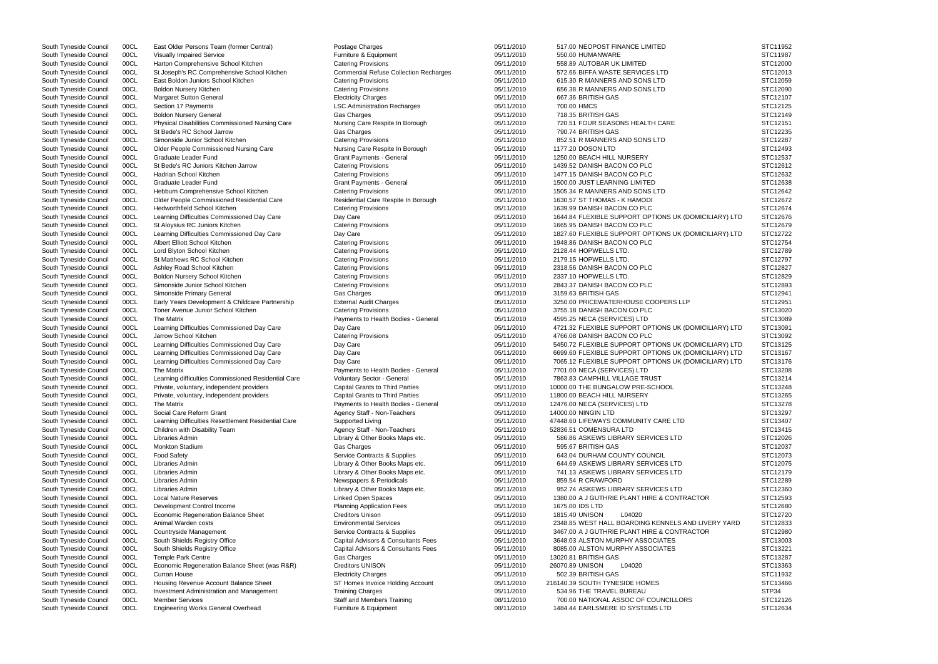|                                        | STC11952<br>STC11987<br>STC12000<br>STC12013<br>STC12059<br>STC12090<br>STC12107<br>STC12125<br>STC12149<br>STC12151<br>STC12235<br>STC12287<br>STC12493<br>STC12537<br>STC12612<br>STC12632<br>STC12638<br>STC12642<br>STC12672 |
|----------------------------------------|----------------------------------------------------------------------------------------------------------------------------------------------------------------------------------------------------------------------------------|
| LIARY) LTD                             | STC12674<br>STC12676                                                                                                                                                                                                             |
|                                        | STC12679                                                                                                                                                                                                                         |
| LIARY) LTD                             | STC12722<br>STC12754<br>STC12789<br>STC12797<br>STC12827<br>STC12829<br>STC12893<br>STC12941<br>STC12951<br>STC13020                                                                                                             |
|                                        | STC13089                                                                                                                                                                                                                         |
| LIARY) LTD                             | STC13091<br>STC13092                                                                                                                                                                                                             |
| LIARY) LTD<br>LIARY) LTD<br>LIARY) LTD | STC13125<br>STC13167<br>STC13176<br>STC13208<br>STC13214<br>STC13248<br>STC13265<br>STC13278<br>STC13297<br>STC13407                                                                                                             |
|                                        | STC13415                                                                                                                                                                                                                         |
|                                        | STC12026<br>STC12037<br>STC12073<br>STC12075<br>STC12179<br>STC12289<br>STC12360                                                                                                                                                 |
|                                        | STC12593<br>STC12680                                                                                                                                                                                                             |
| ERY YARD<br>່                          | STC12720<br>STC12833<br>STC12980<br>STC13003<br>STC13221<br>STC13287<br>STC13363<br>STC11932<br>STC13466<br>STP34<br>STC12126<br>STC12634                                                                                        |

| South Tyneside Council | 00CL | East Older Persons Team (former Central)               | Postage Charges                               | 05/11/2010 | 517.00 NEOPOST FINANCE LIMITED                        | STC11952 |
|------------------------|------|--------------------------------------------------------|-----------------------------------------------|------------|-------------------------------------------------------|----------|
| South Tyneside Council | 00CL | <b>Visually Impaired Service</b>                       | Furniture & Equipment                         | 05/11/2010 | 550.00 HUMANWARE                                      | STC11987 |
| South Tyneside Council | 00CL | Harton Comprehensive School Kitchen                    | <b>Catering Provisions</b>                    | 05/11/2010 | 558.89 AUTOBAR UK LIMITED                             | STC12000 |
| South Tyneside Council | 00CL | St Joseph's RC Comprehensive School Kitchen            | <b>Commercial Refuse Collection Recharges</b> | 05/11/2010 | 572.66 BIFFA WASTE SERVICES LTD                       | STC12013 |
| South Tyneside Council | 00CL | East Boldon Juniors School Kitchen                     | <b>Catering Provisions</b>                    | 05/11/2010 | 615.30 R MANNERS AND SONS LTD                         | STC12059 |
|                        |      |                                                        |                                               |            |                                                       |          |
| South Tyneside Council | 00CL | <b>Boldon Nursery Kitchen</b>                          | <b>Catering Provisions</b>                    | 05/11/2010 | 656.38 R MANNERS AND SONS LTD                         | STC12090 |
| South Tyneside Council | 00CL | <b>Margaret Sutton General</b>                         | <b>Electricity Charges</b>                    | 05/11/2010 | 667.36 BRITISH GAS                                    | STC12107 |
| South Tyneside Council | 00CL | Section 17 Payments                                    | <b>LSC Administration Recharges</b>           | 05/11/2010 | 700.00 HMCS                                           | STC12125 |
| South Tyneside Council | 00CL | <b>Boldon Nursery General</b>                          | <b>Gas Charges</b>                            | 05/11/2010 | 718.35 BRITISH GAS                                    | STC12149 |
| South Tyneside Council | 00CL | <b>Physical Disabilities Commissioned Nursing Care</b> | Nursing Care Respite In Borough               | 05/11/2010 | 720.51 FOUR SEASONS HEALTH CARE                       | STC12151 |
| South Tyneside Council | 00CL | St Bede's RC School Jarrow                             | Gas Charges                                   | 05/11/2010 | 790.74 BRITISH GAS                                    | STC12235 |
|                        |      | Simonside Junior School Kitchen                        | <b>Catering Provisions</b>                    |            |                                                       |          |
| South Tyneside Council | 00CL |                                                        |                                               | 05/11/2010 | 852.51 R MANNERS AND SONS LTD                         | STC12287 |
| South Tyneside Council | 00CL | Older People Commissioned Nursing Care                 | Nursing Care Respite In Borough               | 05/11/2010 | 1177.20 DOSON LTD                                     | STC12493 |
| South Tyneside Council | 00CL | Graduate Leader Fund                                   | <b>Grant Payments - General</b>               | 05/11/2010 | 1250.00 BEACH HILL NURSERY                            | STC12537 |
| South Tyneside Council | 00CL | St Bede's RC Juniors Kitchen Jarrow                    | <b>Catering Provisions</b>                    | 05/11/2010 | 1439.52 DANISH BACON CO PLC                           | STC12612 |
| South Tyneside Council | 00CL | Hadrian School Kitchen                                 | <b>Catering Provisions</b>                    | 05/11/2010 | 1477.15 DANISH BACON CO PLC                           | STC12632 |
| South Tyneside Council | 00CL | Graduate Leader Fund                                   | Grant Payments - General                      | 05/11/2010 | 1500.00 JUST LEARNING LIMITED                         | STC12638 |
| South Tyneside Council | 00CL | Hebburn Comprehensive School Kitchen                   | <b>Catering Provisions</b>                    | 05/11/2010 | 1505.34 R MANNERS AND SONS LTD                        | STC12642 |
|                        |      |                                                        |                                               |            |                                                       |          |
| South Tyneside Council | 00CL | Older People Commissioned Residential Care             | Residential Care Respite In Borough           | 05/11/2010 | 1630.57 ST THOMAS - K HAMODI                          | STC12672 |
| South Tyneside Council | 00CL | <b>Hedworthfield School Kitchen</b>                    | <b>Catering Provisions</b>                    | 05/11/2010 | 1639.99 DANISH BACON CO PLC                           | STC12674 |
| South Tyneside Council | 00CL | Learning Difficulties Commissioned Day Care            | Day Care                                      | 05/11/2010 | 1644.84 FLEXIBLE SUPPORT OPTIONS UK (DOMICILIARY) LTD | STC12676 |
| South Tyneside Council | 00CL | St Aloysius RC Juniors Kitchen                         | <b>Catering Provisions</b>                    | 05/11/2010 | 1665.95 DANISH BACON CO PLC                           | STC12679 |
| South Tyneside Council | 00CL | Learning Difficulties Commissioned Day Care            | Day Care                                      | 05/11/2010 | 1827.60 FLEXIBLE SUPPORT OPTIONS UK (DOMICILIARY) LTD | STC12722 |
| South Tyneside Council | 00CL | Albert Elliott School Kitchen                          | <b>Catering Provisions</b>                    | 05/11/2010 | 1948.86 DANISH BACON CO PLC                           | STC12754 |
|                        |      |                                                        |                                               |            |                                                       |          |
| South Tyneside Council | 00CL | Lord Blyton School Kitchen                             | <b>Catering Provisions</b>                    | 05/11/2010 | 2128.44 HOPWELLS LTD.                                 | STC12789 |
| South Tyneside Council | 00CL | St Matthews RC School Kitchen                          | <b>Catering Provisions</b>                    | 05/11/2010 | 2179.15 HOPWELLS LTD.                                 | STC12797 |
| South Tyneside Council | 00CL | Ashley Road School Kitchen                             | <b>Catering Provisions</b>                    | 05/11/2010 | 2318.56 DANISH BACON CO PLC                           | STC12827 |
| South Tyneside Council | 00CL | Boldon Nursery School Kitchen                          | <b>Catering Provisions</b>                    | 05/11/2010 | 2337.10 HOPWELLS LTD.                                 | STC12829 |
| South Tyneside Council | 00CL | Simonside Junior School Kitchen                        | <b>Catering Provisions</b>                    | 05/11/2010 | 2843.37 DANISH BACON CO PLC                           | STC12893 |
|                        |      |                                                        |                                               |            | 3159.63 BRITISH GAS                                   | STC12941 |
| South Tyneside Council | 00CL | Simonside Primary General                              | Gas Charges                                   | 05/11/2010 |                                                       |          |
| South Tyneside Council | 00CL | Early Years Development & Childcare Partnership        | <b>External Audit Charges</b>                 | 05/11/2010 | 3250.00 PRICEWATERHOUSE COOPERS LLP                   | STC12951 |
| South Tyneside Council | 00CL | Toner Avenue Junior School Kitchen                     | <b>Catering Provisions</b>                    | 05/11/2010 | 3755.18 DANISH BACON CO PLC                           | STC13020 |
| South Tyneside Council | 00CL | The Matrix                                             | Payments to Health Bodies - General           | 05/11/2010 | 4595.25 NECA (SERVICES) LTD                           | STC13089 |
| South Tyneside Council | 00CL | Learning Difficulties Commissioned Day Care            | Day Care                                      | 05/11/2010 | 4721.32 FLEXIBLE SUPPORT OPTIONS UK (DOMICILIARY) LTD | STC13091 |
| South Tyneside Council | 00CL | Jarrow School Kitchen                                  | <b>Catering Provisions</b>                    | 05/11/2010 | 4766.08 DANISH BACON CO PLC                           | STC13092 |
|                        | 00CL |                                                        |                                               | 05/11/2010 | 5450.72 FLEXIBLE SUPPORT OPTIONS UK (DOMICILIARY) LTD | STC13125 |
| South Tyneside Council |      | Learning Difficulties Commissioned Day Care            | Day Care                                      |            |                                                       |          |
| South Tyneside Council | 00CL | Learning Difficulties Commissioned Day Care            | Day Care                                      | 05/11/2010 | 6699.60 FLEXIBLE SUPPORT OPTIONS UK (DOMICILIARY) LTD | STC13167 |
| South Tyneside Council | 00CL | Learning Difficulties Commissioned Day Care            | Day Care                                      | 05/11/2010 | 7065.12 FLEXIBLE SUPPORT OPTIONS UK (DOMICILIARY) LTD | STC13176 |
| South Tyneside Council | 00CL | The Matrix                                             | Payments to Health Bodies - General           | 05/11/2010 | 7701.00 NECA (SERVICES) LTD                           | STC13208 |
| South Tyneside Council | 00CL | Learning difficulties Commissioned Residential Care    | Voluntary Sector - General                    | 05/11/2010 | 7863.83 CAMPHILL VILLAGE TRUST                        | STC13214 |
| South Tyneside Council | 00CL | Private, voluntary, independent providers              | <b>Capital Grants to Third Parties</b>        | 05/11/2010 | 10000.00 THE BUNGALOW PRE-SCHOOL                      | STC13248 |
|                        |      |                                                        |                                               |            |                                                       |          |
| South Tyneside Council | 00CL | Private, voluntary, independent providers              | <b>Capital Grants to Third Parties</b>        | 05/11/2010 | 11800.00 BEACH HILL NURSERY                           | STC13265 |
| South Tyneside Council | 00CL | The Matrix                                             | Payments to Health Bodies - General           | 05/11/2010 | 12476.00 NECA (SERVICES) LTD                          | STC13278 |
| South Tyneside Council | 00CL | Social Care Reform Grant                               | Agency Staff - Non-Teachers                   | 05/11/2010 | 14000.00 NINGIN LTD                                   | STC13297 |
| South Tyneside Council | 00CL | Learning Difficulties Resettlement Residential Care    | Supported Living                              | 05/11/2010 | 47448.60 LIFEWAYS COMMUNITY CARE LTD                  | STC13407 |
| South Tyneside Council | 00CL | Children with Disability Team                          | Agency Staff - Non-Teachers                   | 05/11/2010 | 52836.51 COMENSURA LTD                                | STC13415 |
| South Tyneside Council | 00CL | Libraries Admin                                        | Library & Other Books Maps etc.               | 05/11/2010 | 586.86 ASKEWS LIBRARY SERVICES LTD                    | STC12026 |
|                        |      |                                                        |                                               |            |                                                       |          |
| South Tyneside Council | 00CL | <b>Monkton Stadium</b>                                 | Gas Charges                                   | 05/11/2010 | 595.67 BRITISH GAS                                    | STC12037 |
| South Tyneside Council | 00CL | <b>Food Safety</b>                                     | Service Contracts & Supplies                  | 05/11/2010 | 643.04 DURHAM COUNTY COUNCIL                          | STC12073 |
| South Tyneside Council | 00CL | Libraries Admin                                        | Library & Other Books Maps etc.               | 05/11/2010 | 644.69 ASKEWS LIBRARY SERVICES LTD                    | STC12075 |
| South Tyneside Council | 00CL | Libraries Admin                                        | Library & Other Books Maps etc.               | 05/11/2010 | 741.13 ASKEWS LIBRARY SERVICES LTD                    | STC12179 |
| South Tyneside Council | 00CL | Libraries Admin                                        | Newspapers & Periodicals                      | 05/11/2010 | 859.54 R CRAWFORD                                     | STC12289 |
| South Tyneside Council | 00CL | Libraries Admin                                        |                                               | 05/11/2010 | 952.74 ASKEWS LIBRARY SERVICES LTD                    | STC12360 |
|                        |      |                                                        | Library & Other Books Maps etc.               |            |                                                       |          |
| South Tyneside Council | 00CL | <b>Local Nature Reserves</b>                           | <b>Linked Open Spaces</b>                     | 05/11/2010 | 1380.00 A J GUTHRIE PLANT HIRE & CONTRACTOR           | STC12593 |
| South Tyneside Council | 00CL | Development Control Income                             | <b>Planning Application Fees</b>              | 05/11/2010 | 1675.00 IDS LTD                                       | STC12680 |
| South Tyneside Council | 00CL | <b>Economic Regeneration Balance Sheet</b>             | <b>Creditors Unison</b>                       | 05/11/2010 | 1815.40 UNISON<br>L04020                              | STC12720 |
| South Tyneside Council | 00CL | Animal Warden costs                                    | <b>Environmental Services</b>                 | 05/11/2010 | 2348.85 WEST HALL BOARDING KENNELS AND LIVERY YARD    | STC12833 |
| South Tyneside Council | 00CL | Countryside Management                                 | Service Contracts & Supplies                  | 05/11/2010 | 3467.00 A J GUTHRIE PLANT HIRE & CONTRACTOR           | STC12980 |
|                        |      |                                                        |                                               |            |                                                       |          |
| South Tyneside Council | 00CL | South Shields Registry Office                          | Capital Advisors & Consultants Fees           | 05/11/2010 | 3648.03 ALSTON MURPHY ASSOCIATES                      | STC13003 |
| South Tyneside Council | 00CL | South Shields Registry Office                          | Capital Advisors & Consultants Fees           | 05/11/2010 | 8085.00 ALSTON MURPHY ASSOCIATES                      | STC13221 |
| South Tyneside Council | 00CL | <b>Temple Park Centre</b>                              | Gas Charges                                   | 05/11/2010 | 13020.81 BRITISH GAS                                  | STC13287 |
| South Tyneside Council | 00CL | Economic Regeneration Balance Sheet (was R&R)          | <b>Creditors UNISON</b>                       | 05/11/2010 | 26070.89 UNISON<br>L04020                             | STC13363 |
| South Tyneside Council | 00CL | <b>Curran House</b>                                    | <b>Electricity Charges</b>                    | 05/11/2010 | 502.39 BRITISH GAS                                    | STC11932 |
| South Tyneside Council | 00CL | Housing Revenue Account Balance Sheet                  | ST Homes Invoice Holding Account              | 05/11/2010 | 216140.39 SOUTH TYNESIDE HOMES                        | STC13466 |
|                        |      |                                                        |                                               |            |                                                       | STP34    |
| South Tyneside Council | 00CL | Investment Administration and Management               | <b>Training Charges</b>                       | 05/11/2010 | 534.96 THE TRAVEL BUREAU                              |          |
| South Tyneside Council | 00CL | <b>Member Services</b>                                 | Staff and Members Training                    | 08/11/2010 | 700.00 NATIONAL ASSOC OF COUNCILLORS                  | STC12126 |
| South Tyneside Council | 00CL | <b>Engineering Works General Overhead</b>              | Furniture & Equipment                         | 08/11/2010 | 1484.44 EARLSMERE ID SYSTEMS LTD                      | STC12634 |
|                        |      |                                                        |                                               |            |                                                       |          |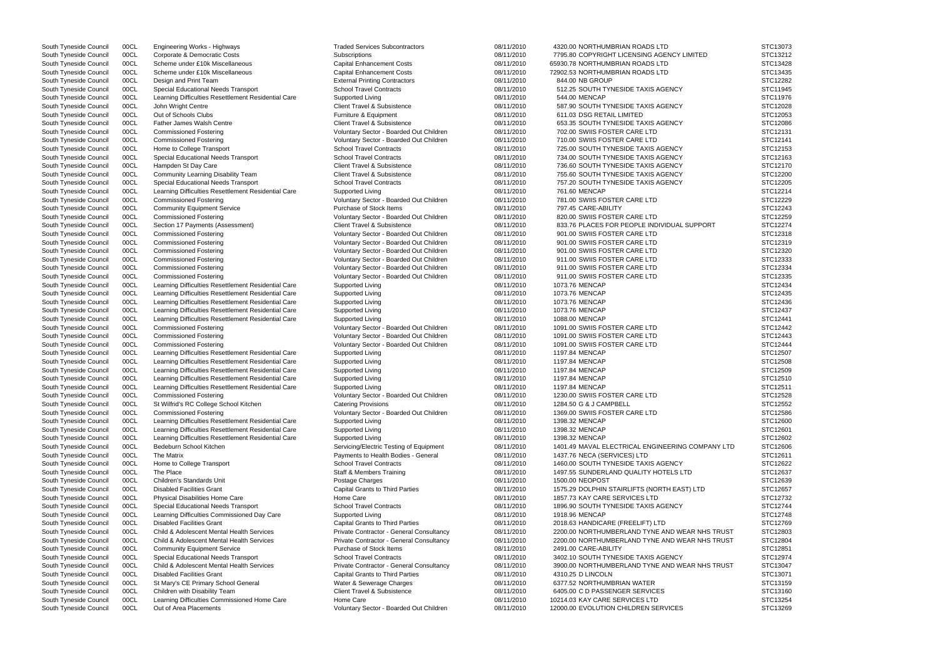South Tyneside Council 00CL Corporate & Democratic Costs Subscriptions Subscriptions 08/11/2010 7795.80 COPYRIGHT LICENSING AGENCY LIMITED South Tyneside Council 00CL Scheme under £10k Miscellaneous Capital Enhancement Costs 08/11/2010 65930.78 NORTHUMBRIAN ROADS LTD South Tyneside Council 00CL Scheme under £10k Miscellaneous Capital Enhancement Costs 08/11/2010 72902.53 NORTHUMBRIAN ROADS LTD South Tyneside Council 00CL Design and Print Team **External Printing Contractors** 08/11/2010 844.00 NB GROUP South Tyneside Council 00CL Special Educational Needs Transport School Travel Contracts 08/11/2010 512.25 SOUTH TYNESIDE TAXIS AGENCY South Tyneside Council 00CL Learning Difficulties Resettlement Residential Care Supported Living 08/11/2010 544.00 MENCAP South Tyneside Council 00CL John Wright Centre Client Travel & Subsistence 68/11/2010 587.90 SOUTH TYNESIDE TAXIS AGENCY South Tyneside Council 00CL Out of Schools Clubs **Furniture & Equipment** 68/11/2010 611.03 DSG RETAIL LIMITED State of Schools Clubs South Tyneside Council 00CL Father James Walsh Centre Client Travel & Subsistence 68/11/2010 653.35 SOUTH TYNESIDE TAXIS AGENCY South Tyneside Council 00CL Commissioned Fostering COM States and Municary Sector - Boarded Out Children 08/11/2010 702.00 SWIIS FOSTER CARE LTD South Tyneside Council 00CL Commissioned Fostering variable voluntary Sector - Boarded Out Children 08/11/2010 710.00 SWIIS FOSTER CARE LTD South Tyneside Council 00CL Home to College Transport School Travel Contracts 08/11/2010 725.00 SOUTH TYNESIDE TAXIS AGENCY South Tyneside Council 00CL Special Educational Needs Transport School Travel Contracts 08/11/2010 734.00 SOUTH TYNESIDE TAXIS AGENCY South Tyneside Council 00CL Hampden St Day Care Client Travel & Subsistence 08/11/2010 736.60 SOUTH TYNESIDE TAXIS AGENCY South Tyneside Council 00CL Community Learning Disability Team Client Travel & Subsistence 08/11/2010 755.60 SOUTH TYNESIDE TAXIS AGENCY South Tyneside Council 00CL Special Educational Needs Transport School Travel Contracts 08/11/2010 757.20 SOUTH TYNESIDE TAXIS AGENCY South Tyneside Council 00CL Learning Difficulties Resettlement Residential Care Supported Living 08/11/2010 761.60 MENCAP South Tyneside Council 00CL Commissioned Fostering COM States and Mountary Sector - Boarded Out Children 08/11/2010 781.00 SWIIS FOSTER CARE LTD South Tyneside Council 00CL Community Equipment Service Purchase of Stock Items 08/11/2010 797.45 CARE-ABILITY South Tyneside Council 00CL Commissioned Fostering COM States and Voluntary Sector - Boarded Out Children 08/11/2010 820.00 SWIIS FOSTER CARE LTD South Tyneside Council 00CL Section 17 Payments (Assessment) Client Travel & Subsistence 08/11/2010 833.76 PLACES FOR PEOPLE INDIVIDUAL SUPPOI South Tyneside Council 00CL Commissioned Fostering COM States and Mountary Sector - Boarded Out Children 08/11/2010 901.00 SWIIS FOSTER CARE LTD South Tyneside Council 00CL Commissioned Fostering Commissioned Fostering Voluntary Sector - Boarded Out Children 08/11/2010 901.00 SWIIS FOSTER CARE LTD South Tyneside Council 00CL Commissioned Fostering COM States and Municary Sector - Boarded Out Children 08/11/2010 901.00 SWIIS FOSTER CARE LTD South Tyneside Council 00CL Commissioned Fostering COM State Commissioned Fostering Commissioned Fostering Commissioned Fostering Commissioned Fostering Commissioned Fostering Commissioned Fostering Commissioned Trumburg C South Tyneside Council 00CL Commissioned Fostering values of Voluntary Sector - Boarded Out Children 08/11/2010 911.00 SWIIS FOSTER CARE LTD South Tyneside Council 00CL Commissioned Fostering COM State Commissioned Fostering Voluntary Sector - Boarded Out Children 08/11/2010 911.00 SWIIS FOSTER CARE LTD South Tyneside Council 00CL Learning Difficulties Resettlement Residential Care Supported Living 08/11/2010 1073.76 MENCAP South Tyneside Council 00CL Learning Difficulties Resettlement Residential Care Supported Living 08/11/2010 1073.76 MENCAP South Tyneside Council 00CL Learning Difficulties Resettlement Residential Care Supported Living 08/11/2010 1073.76 MENCAP South Tyneside Council 00CL Learning Difficulties Resettlement Residential Care Supported Living 08/11/2010 1073.76 MENCAP South Tyneside Council 00CL Learning Difficulties Resettlement Residential Care Supported Living 08/8 08/11/2010 1088.00 MENCAP South Tyneside Council 00CL Commissioned Fostering COUNTRING Voluntary Sector - Boarded Out Children 08/11/2010 1091.00 SWIIS FOSTER CARE LTD South Tyneside Council 00CL Commissioned Fostering COUNTRING Voluntary Sector - Boarded Out Children 08/11/2010 1091.00 SWIIS FOSTER CARE LTD South Tyneside Council 00CL Commissioned Fostering COM States and More Voluntary Sector - Boarded Out Children 08/11/2010 1091.00 SWIIS FOSTER CARE LTD South Tyneside Council 00CL Learning Difficulties Resettlement Residential Care Supported Living 08/11/2010 1197.84 MENCAP South Tyneside Council 00CL Learning Difficulties Resettlement Residential Care Supported Living 08/11/2010 1197.84 MENCAP South Tyneside Council 00CL Learning Difficulties Resettlement Residential Care Supported Living 08/11/2010 08/11/2010 1197.84 MENCAP South Tyneside Council 00CL Learning Difficulties Resettlement Residential Care Supported Living 08/11/2010 1197.84 MENCAP South Tyneside Council 00CL Learning Difficulties Resettlement Residential Care Supported Living 08/11/2010 1197.84 MENCAP South Tyneside Council 00CL Commissioned Fostering COM State Commissioned Fostering Commissioned Fostering Commissioned Fostering Commissioned Fostering Commissioned Fostering Commissioned Fostering Commissioned Translatio South Tyneside Council 00CL St Wilfrid's RC College School Kitchen Catering Provisions Catering Provisions 08/11/2010 1284.50 G & J CAMPBELL South Tyneside Council 00CL Commissioned Fostering values of Voluntary Sector - Boarded Out Children 08/11/2010 1369.00 SWIIS FOSTER CARE LTD South Tyneside Council 00CL Learning Difficulties Resettlement Residential Care Supported Living 08/11/2010 1398.32 MENCAP South Tyneside Council 00CL Learning Difficulties Resettlement Residential Care Supported Living 08/11/2010 1398.32 MENCAP South Tyneside Council 00CL Learning Difficulties Resettlement Residential Care Supported Living 08/11/2010 1398.32 MENCAP South Tyneside Council 00CL Bedeburn School Kitchen School Stervicing Servicing/Electric Testing of Equipment 08/11/2010 1401.49 MAVAL ELECTRICAL ENGINEERING COMP South Tyneside Council 00CL The Matrix example and the Payments to Health Bodies - General 208/11/2010 1437.76 NECA (SERVICES) LTD South Tyneside Council 00CL Home to College Transport School Travel Contracts 08/11/2010 1460.00 SOUTH TYNESIDE TAXIS AGENCY South Tyneside Council 00CL The Place Council The Place Standards Unit Comment Staff & Members Training Council Council Council 00CL Children's Standards Unit Comment Council Council Council Council Council Children's Stan South Tyneside Council COCL Children's Standards Unit New Postage Charges New 1508/11/2010 1500.00 NEOPOST STC12639 South Tyneside Council 00CL Disabled Facilities Grant Capital Grants to Third Parties 08/11/2010 1575.29 DOLPHIN STAIRLIFTS (NORTH EAST) LTD South Tyneside Council 00CL Physical Disabilities Home Care Home Care Home Care 198/11/2010 1857.73 KAY CARE SERVICES LTD South Tyneside Council 00CL Special Educational Needs Transport School Travel Contracts 08/11/2010 1896.90 SOUTH TYNESIDE TAXIS AGENCY South Tyneside Council 00CL Learning Difficulties Commissioned Day Care Supported Living Current Commissioned Day Care Supported Living 08/11/2010 1918.96 MENCAP South Tyneside Council 00CL Disabled Facilities Grant Capital Grants to Third Parties 08/11/2010 2018.63 HANDICARE (FREELIFT) LTD South Tyneside Council 00CL Child & Adolescent Mental Health Services Private Contractor - General Consultancy 08/11/2010 2200.00 NORTHUMBERLAND TYNE AND WEAR NHS South Tyneside Council 00CL Child & Adolescent Mental Health Services Private Contractor - General Consultancy 08/11/2010 2200.00 NORTHUMBERLAND TYNE AND WEAR NH South Tyneside Council COCL Community Equipment Service Purchase of Stock Items 08/11/2010 2491.00 CARE-ABILITY STC12851 STC12851 South Tyneside Council 00CL Special Educational Needs Transport School Travel Contracts 08/11/2010 3402.10 SOUTH TYNESIDE TAXIS AGENCY South Tyneside Council 00CL Child & Adolescent Mental Health Services Private Contractor - General Consultancy 08/11/2010 3900.00 NORTHUMBERLAND TYNE AND WEAR NH South Tyneside Council 00CL Disabled Facilities Grant Capital Grants to Third Parties 08/11/2010 4310.25 D LINCOLN South Tyneside Council 00CL St Mary's CE Primary School General Water & Sewerage Charges 08/11/2010 6377.52 NORTHUMBRIAN WATER South Tyneside Council 00CL Children with Disability Team Client Travel & Subsistence 08/11/2010 6405.00 C D PASSENGER SERVICES South Tyneside Council 00CL Learning Difficulties Commissioned Home Care Home Care Home Care 08/11/2010 10214.03 KAY CARE SERVICES LTD South Tyneside Council 00CL Out of Area Placements **Supplements** Voluntary Sector - Boarded Out Children 08/11/2010 12000.00 EVOLUTION CHILDREN SERVICES

South Tyneside Council 00CL Engineering Works - Highways Traded Services Subcontractors 08/11/2010 4320.00 NORTHUMBRIAN ROADS LTD

|                | STC13073             |
|----------------|----------------------|
|                | STC13212             |
|                | STC13428             |
|                | STC13435<br>STC12282 |
|                | STC11945             |
|                |                      |
|                | STC11976             |
|                | STC12028             |
|                | STC12053<br>STC12086 |
|                | STC12131             |
|                |                      |
|                | STC12141             |
|                | STC12153             |
|                | STC12163<br>STC12170 |
|                |                      |
|                | STC12200             |
|                | STC12205             |
|                | STC12214             |
|                | STC12229             |
|                | STC12243             |
|                | STC12259             |
| RT             | STC12274             |
|                | STC12318             |
|                | STC12319             |
|                | STC12320             |
|                | STC12333             |
|                | STC12334             |
|                | STC12335             |
|                | STC12434             |
|                | STC12435             |
|                | STC12436             |
|                | STC12437             |
|                | STC12441             |
|                | STC12442             |
|                | STC12443             |
|                | STC12444             |
|                | STC12507             |
|                | STC12508             |
|                | STC12509<br>STC12510 |
|                |                      |
|                | STC12511             |
|                | STC12528             |
|                | STC12552             |
|                | STC12586             |
|                | STC12600<br>STC12601 |
|                |                      |
| <b>ANY LTD</b> | STC12602             |
|                | STC12606<br>STC12611 |
|                | STC12622             |
|                | STC12637             |
|                |                      |
|                | STC12639             |
|                | STC12657             |
|                | STC12732<br>STC12744 |
|                | STC12748             |
|                | STC12769             |
| S TRUST        | STC12803             |
| S TRUST        |                      |
|                | STC12804<br>STC12851 |
|                | STC12974             |
|                |                      |
| S TRUST        | STC13047             |
|                | STC13071             |
|                | STC13159<br>STC13160 |
|                | STC13254             |
|                |                      |
|                | STC13269             |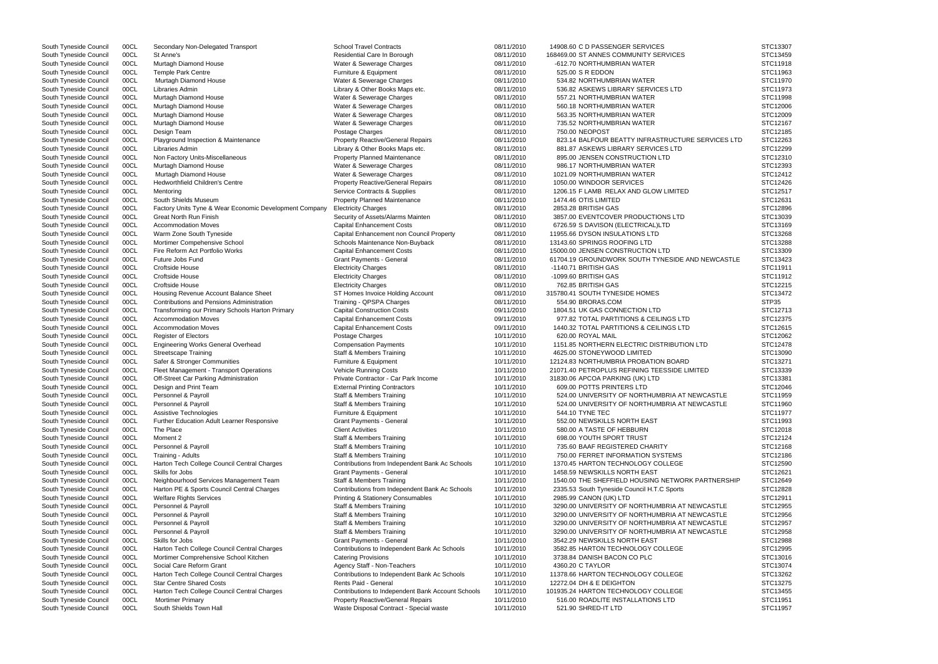South Tyneside Council 00CL St Anne's COMMUNITY SERVICES Residential Care In Borough 08/11/2010 168469.00 ST ANNES COMMUNITY SERVICES South Tyneside Council 00CL Murtagh Diamond House Water & Sewerage Charges 08/11/2010 -612.70 NORTHUMBRIAN WATER South Tyneside Council 00CL Temple Park Centre Furniture & Equipment 08/11/2010 525.00 S R EDDON STC11963 South Tyneside Council 00CL Murtagh Diamond House Water & Sewerage Charges 08/11/2010 534.82 NORTHUMBRIAN WATER South Tyneside Council 00CL Libraries Admin Case of the Council Council Council Council 00CL Library Services LTD Steven Library & Other Books Maps etc. 08/11/2010 536.82 ASKEWS LIBRARY SERVICES LTD South Tyneside Council 00CL Murtagh Diamond House Water Water & Sewerage Charges 08/11/2010 557.21 NORTHUMBRIAN WATER South Tyneside Council 00CL Murtagh Diamond House Water & Sewerage Charges 08/11/2010 560.18 NORTHUMBRIAN WATER South Tyneside Council 00CL Murtagh Diamond House Water & Sewerage Charges 08/11/2010 563.35 NORTHUMBRIAN WATER South Tyneside Council 00CL Murtagh Diamond House Water & Sewerage Charges 08/11/2010 735.52 NORTHUMBRIAN WATER South Tyneside Council 00CL Design Team Postage Charges 08/11/2010 750.00 NEOPOST STC12185 South Tyneside Council 00CL Playground Inspection & Maintenance Property Reactive/General Repairs 08/11/2010 823.14 BALFOUR BEATTY INFRASTRUCTURE SER South Tyneside Council 00CL Libraries Admin Case of the Council Council Council Council 00CL Library Services LTD Library & Other Books Maps etc. 08/11/2010 881.87 ASKEWS LIBRARY SERVICES LTD South Tyneside Council 00CL Non Factory Units-Miscellaneous **Property Planned Maintenance** 08/11/2010 895.00 JENSEN CONSTRUCTION LTD South Tyneside Council 00CL Murtagh Diamond House Water & Sewerage Charges 08/11/2010 986.17 NORTHUMBRIAN WATER South Tyneside Council 00CL Murtagh Diamond House Water & Sewerage Charges 08/11/2010 1021.09 NORTHUMBRIAN WATER South Tyneside Council 00CL Hedworthfield Children's Centre **Property Reactive/General Repairs** 08/11/2010 1050.00 WINDOOR SERVICES South Tyneside Council 00CL Mentoring Service Contracts & Supplies 68-Supplies 68/11/2010 1206.15 F LAMB RELAX AND GLOW LIMITED South Tyneside Council 00CL South Shields Museum **Property Planned Maintenance 198/11/2010** 1474.46 OTIS LIMITED South Tyneside Council 00CL Factory Units Tyne & Wear Economic Development Company Electricity Charges 08/11/2010 2853.28 BRITISH GAS South Tyneside Council 00CL Great North Run Finish Security of Assets/Alarms Mainten 08/11/2010 3857.00 EVENTCOVER PRODUCTIONS LTD South Tyneside Council 00CL Accommodation Moves Capital Enhancement Costs 08/11/2010 6726.59 S DAVISON (ELECTRICAL)LTD South Tyneside Council 00CL Warm Zone South Tyneside Capital Enhancement non Council Property 08/11/2010 11955.66 DYSON INSULATIONS LTD South Tyneside Council 00CL Mortimer Compehensive School School Schools Maintenance Non-Buyback 08/11/2010 13143.60 SPRINGS ROOFING LTD South Tyneside Council 00CL Fire Reform Act Portfolio Works Capital Enhancement Costs 08/11/2010 15000.00 JENSEN CONSTRUCTION LTD South Tyneside Council 00CL Future Jobs Fund Carries Council Crant Payments - General 68/11/2010 61704.19 GROUNDWORK SOUTH TYNESIDE AND NEW South Tyneside Council COCL Croftside House  $\sim$  Electricity Charges  $\sim$  08/11/2010 -1140.71 BRITISH GAS STC11911 South Tyneside Council COCL Croftside House  $\sim$  Electricity Charges  $\sim$  08/11/2010 -1099.60 BRITISH GAS STC11912 South Tyneside Council COCL Croftside House (STC12215 Electricity Charges 08/11/2010 762.85 BRITISH GAS STC12215 South Tyneside Council 00CL Housing Revenue Account Balance Sheet ST Homes Invoice Holding Account 08/11/2010 315780.41 SOUTH TYNESIDE HOMES South Tyneside Council 00CL Contributions and Pensions Administration Training - QPSPA Charges 08/11/2010 554.90 BRORAS.COM South Tyneside Council 00CL Transforming our Primary Schools Harton Primary Capital Construction Costs 09/11/2010 1804.51 UK GAS CONNECTION LTD South Tyneside Council 00CL Accommodation Moves Capital Enhancement Costs 09/11/2010 977.82 TOTAL PARTITIONS & CEILINGS LTD South Tyneside Council 00CL Accommodation Moves Capital Enhancement Costs 09/11/2010 1440.32 TOTAL PARTITIONS & CEILINGS LTD South Tyneside Council COCL Register of Electors (and the STC12062 Postage Charges 10/11/2010 620.00 ROYAL MAIL STC12062 STC12062 South Tyneside Council 00CL Engineering Works General Overhead Compensation Payments 10/11/2010 1151.85 NORTHERN ELECTRIC DISTRIBUTION LTD South Tyneside Council 00CL Streetscape Training National Staff & Members Training 10/11/2010 4625.00 STONEYWOOD LIMITED South Tyneside Council 00CL Safer & Stronger Communities Furniture & Equipment 10/11/2010 12124.83 NORTHUMBRIA PROBATION BOARD South Tyneside Council 00CL Fleet Management - Transport Operations Vehicle Running Costs 10/11/2010 21071.40 PETROPLUS REFINING TEESSIDE LIMITED South Tyneside Council 00CL Off-Street Car Parking Administration Private Contractor - Car Park Income 10/11/2010 31830.06 APCOA PARKING (UK) LTD South Tyneside Council 00CL Design and Print Team **External Printing Contractors** 10/11/2010 609.00 POTTS PRINTERS LTD South Tyneside Council 00CL Personnel & Payroll Staff & Members Training 10/11/2010 524.00 UNIVERSITY OF NORTHUMBRIA AT NEWCASTLE STEME AT NEW CASTLE STEME OF NORTHUMBRIA AT NEW CASTLE STEME OF NORTHUMBRIA AT NEW CASTLE ST South Tyneside Council 00CL Personnel & Payroll Staff & Members Training 3000 10/11/2010 524.00 UNIVERSITY OF NORTHUMBRIA AT NEWCA South Tyneside Council COCL Assistive Technologies **Function Concernent Concernent 10/11/2010** 544.10 TYNE TEC STC11977 South Tyneside Council 00CL Further Education Adult Learner Responsive Grant Payments - General 10/11/2010 552.00 NEWSKILLS NORTH EAST South Tyneside Council 00CL The Place Client Activities 10/11/2010 580.00 A TASTE OF HEBBURN STC12018 South Tyneside Council 00CL Moment 2 Staff & Members Training 10/11/2010 698.00 YOUTH SPORT TRUST South Tyneside Council 00CL Personnel & Payroll Staff Staff & Members Training 10/11/2010 735.60 BAAF REGISTERED CHARITY South Tyneside Council 00CL Training - Adults Stage Staff & Members Training 10/11/2010 750.00 FERRET INFORMATION SYSTEMS South Tyneside Council 00CL Harton Tech College Council Central Charges Contributions from Independent Bank Ac Schools 10/11/2010 1370.45 HARTON TECHNOLOGY COLLEGE South Tyneside Council 00CL Skills for Jobs Grant Payments - General 10/11/2010 1458.59 NEWSKILLS NORTH EAST STC12621 South Tyneside Council 00CL Neighbourhood Services Management Team Staff & Members Training 10/11/2010 1540.00 THE SHEFFIELD HOUSING NETWORK PART South Tyneside Council 00CL Harton PE & Sports Council Central Charges Contributions from Independent Bank Ac Schools 10/11/2010 2335.53 South Tyneside Council H.T.C Sports South Tyneside Council 00CL Welfare Rights Services **Printing & Stationery Consumables** 10/11/2010 2985.99 CANON (UK) LTD South Tyneside Council 00CL Personnel & Payroll Staff & Members Training 30000 Staff 3 North 2010 3290.00 UNIVERSITY OF NORTHUMBRIA AT NEWCASTLE STATING South Tyneside Council 00CL Personnel & Payroll Staff & Members Training 30000 Staff 30/11/2010 3290.00 UNIVERSITY OF NORTHUMBRIA AT NEWCA South Tyneside Council 00CL Personnel & Payroll Staff & Members Training 30000 Staff 30/11/2010 3290.00 UNIVERSITY OF NORTHUMBRIA AT NEWCA South Tyneside Council 00CL Personnel & Payroll Staff & Members Training Staff & Members Training 10/11/2010 3290.00 UNIVERSITY OF NORTHUMBRIA AT NEWCA South Tyneside Council 00CL Skills for Jobs Grant Payments - General Grant Payments - General 3542.29 NEWSKILLS NORTH EAST South Tyneside Council 00CL Harton Tech College Council Central Charges Contributions to Independent Bank Ac Schools 10/11/2010 3582.85 HARTON TECHNOLOGY COLLEGE South Tyneside Council 00CL Mortimer Comprehensive School Kitchen Catering Provisions 10/11/2010 3738.84 DANISH BACON CO PLC South Tyneside Council 00CL Social Care Reform Grant Agency Staff - Non-Teachers 10/11/2010 4360.20 C TAYLOR South Tyneside Council 00CL Harton Tech College Council Central Charges Contributions to Independent Bank Ac Schools 10/11/2010 11378.66 HARTON TECHNOLOGY COLLEGE South Tyneside Council 00CL Star Centre Shared Costs **Rents Paid - General 10/11/2010** 12272.04 DH & E DEIGHTON South Tyneside Council 00CL Harton Tech College Council Central Charges Contributions to Independent Bank Account Schools 10/11/2010 101935.24 HARTON TECHNOLOGY COLLEGE South Tyneside Council 00CL Mortimer Primary **Notable 100 Access 2006 100 Access** 10/11/2010 516.00 ROADLITE INSTALLATIONS LTD South Tyneside Council 00CL South Shields Town Hall Waste Disposal Contract - Special waste 10/11/2010 521.90 SHRED-IT LTD

South Tyneside Council 00CL Secondary Non-Delegated Transport School Travel Contracts 08/11/2010 14908.60 C D PASSENGER SERVICES

|                | STC13307             |
|----------------|----------------------|
|                | STC13459             |
|                | STC11918             |
|                | STC11963             |
|                | STC11970             |
|                | STC11973             |
|                | STC11998             |
|                | STC12006             |
|                | STC12009             |
|                | STC12167             |
|                | STC12185             |
| VICES LTD      | STC12263             |
|                | STC12299             |
|                | STC12310             |
|                | STC12393             |
|                | STC12412             |
|                | STC12426<br>STC12517 |
|                | STC12631             |
|                | STC12896             |
|                | STC13039             |
|                | STC13169             |
|                | STC13268             |
|                | STC13288             |
|                | STC13309             |
| <b>WCASTLE</b> | STC13423             |
|                | STC11911             |
|                | STC11912             |
|                | STC12215             |
|                | STC13472             |
|                | STP35                |
|                | STC12713             |
|                | STC12375             |
|                | STC12615             |
|                | STC12062             |
|                | STC12478             |
|                | STC13090             |
|                | STC13271             |
|                | STC13339             |
|                | STC13381             |
|                | STC12046             |
| ASTLE          | STC11959             |
| ASTLE          | STC11960             |
|                | STC11977             |
|                | STC11993             |
|                | STC12018<br>STC12124 |
|                | STC12168             |
|                | STC12186             |
|                | STC12590             |
|                | STC12621             |
| TNERSHIP       | STC12649             |
|                | STC12828             |
|                | STC12911             |
| ASTLE          | STC12955             |
| ASTLE          | STC12956             |
| ASTLE          | STC12957             |
| ASTLE          | STC12958             |
|                | STC12988             |
|                | STC12995             |
|                | STC13016             |
|                | STC13074             |
|                | STC13262             |
|                | STC13275             |
|                | STC13455             |
|                | STC11951             |
|                | STC11957             |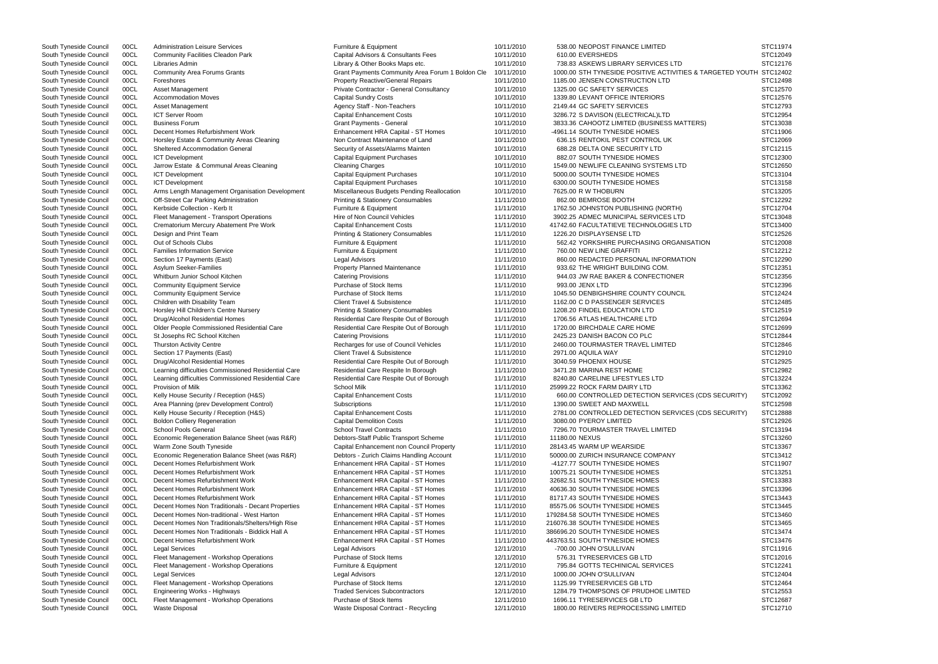South Tyneside Council 00CL Administration Leisure Services Furniture & Equipment 10/11/2010 538.00 NEOPOST FINANCE LIMITED South Tyneside Council 00CL Community Facilities Cleadon Park Capital Advisors & Consultants Fees 610/11/2010 610.00 EVERSHEDS South Tyneside Council 00CL Libraries Admin 2000 100 Library & Other Books Maps etc. 20011/2010 738.83 ASKEWS LIBRARY SERVICES LTD South Tyneside Council 00CL Community Area Forums Grants Grant Payments Community Area Forum 1 Boldon Cle 10/11/2010 1000.00 STH TYNESIDE POSITIVE ACTIVITIES & TAF South Tyneside Council 00CL Foreshores **Property Reactive/General Repairs** 10/11/2010 1185.00 JENSEN CONSTRUCTION LTD South Tyneside Council 00CL Asset Management example and the Private Contractor - General Consultancy 10/11/2010 1325.00 GC SAFETY SERVICES South Tyneside Council 00CL Accommodation Moves Capital Sundry Costs Capital Sundry Costs Capital Sundry Costs Current Movement Costs Capital Sundry Costs Current Costs (10/11/2010 1339.80 LEVANT OFFICE INTERIORS South Tyneside Council 00CL Asset Management Agency Staff - Non-Teachers 10/11/2010 2149.44 GC SAFETY SERVICES South Tyneside Council 00CL ICT Server Room Capital Enhancement Costs 10/11/2010 3286.72 S DAVISON (ELECTRICAL)LTD South Tyneside Council 00CL Business Forum Council 3833.36 CAHOOTZ LIMITED (BUSINESS MATTERS) South Tyneside Council 00CL Decent Homes Refurbishment Work Enhancement HRA Capital - ST Homes 10/11/2010 -4961.14 SOUTH TYNESIDE HOMES South Tyneside Council 00CL Horsley Estate & Community Areas Cleaning Non Contract Maintenance of Land 10/11/2010 636.15 RENTOKIL PEST CONTROL UK South Tyneside Council 00CL Sheltered Accommodation General Security of Assets/Alarms Mainten 10/11/2010 688.28 DELTA ONE SECURITY LTD South Tyneside Council 00CL ICT Development Capital Capital Equipment Purchases 10/11/2010 882.07 SOUTH TYNESIDE HOMES South Tyneside Council 00CL Jarrow Estate & Communal Areas Cleaning Cleaning Cleaning Charges 10/11/2010 1549.00 NEWLIFE CLEANING SYSTEMS LTD South Tyneside Council 00CL ICT Development Capital Capital Equipment Purchases 10/11/2010 5000.00 SOUTH TYNESIDE HOMES South Tyneside Council 00CL ICT Development Capital Capital Equipment Purchases 10/11/2010 6300.00 SOUTH TYNESIDE HOMES South Tyneside Council 00CL Arms Length Management Organisation Development Miscellaneous Budgets Pending Reallocation 10/11/2010 7625.00 R W THOBURN South Tyneside Council 00CL Off-Street Car Parking Administration Perint OOCL Off-Street Car Parking Administration **Printing & Stationery Consumables** 11/11/2010 862.00 BEMROSE BOOTH South Tyneside Council 00CL Kerbside Collection - Kerb It Furniture & Equipment 11/11/2010 1762.50 JOHNSTON PUBLISHING (NORTH) South Tyneside Council 00CL Fleet Management - Transport Operations Hire of Non Council Vehicles 11/11/2010 3902.25 ADMEC MUNICIPAL SERVICES LTD South Tyneside Council 00CL Crematorium Mercury Abatement Pre Work Capital Enhancement Costs 11/11/2010 41742.60 FACULTATIEVE TECHNOLOGIES LTD South Tyneside Council 00CL Design and Print Team **Printing & Stationery Consumables** 11/11/2010 1226.20 DISPLAYSENSE LTD South Tyneside Council 00CL Out of Schools Clubs **Furniture & Equipment** Furniture & Equipment 562.42 YORKSHIRE PURCHASING ORGANISATION South Tyneside Council 00CL Families Information Service Furniture & Equipment Furniture & Equipment 11/11/2010 760.00 NEW LINE GRAFFITI South Tyneside Council 00CL Section 17 Payments (East) Council Cegal Advisors Council 2010 860.00 REDACTED PERSONAL INFORMATION South Tyneside Council 00CL Asylum Seeker-Families **Property Planned Maintenance** 11/11/2010 933.62 THE WRIGHT BUILDING COM. South Tyneside Council 00CL Whitburn Junior School Kitchen Catering Provisions Catering Provisions 11/11/2010 944.03 JW RAE BAKER & CONFECTIONER South Tyneside Council 00CL Community Equipment Service **Purchase of Stock Items** 11/11/2010 993.00 JENX LTD South Tyneside Council 00CL Community Equipment Service Purchase of Stock Items 11/11/2010 1045.50 DENBIGHSHIRE COUNTY COUNCIL South Tyneside Council 00CL Children with Disability Team Client Travel & Subsistence 11/11/2010 1162.00 C D PASSENGER SERVICES South Tyneside Council 00CL Horsley Hill Children's Centre Nursery **Nursery** Printing & Stationery Consumables 11/11/2010 1208.20 FINDEL EDUCATION LTD South Tyneside Council 00CL Drug/Alcohol Residential Homes Residential Care Respite Out of Borough 11/11/2010 1706.56 ATLAS HEALTHCARE LTD South Tyneside Council 00CL Older People Commissioned Residential Care Residential Care Respite Out of Borough 11/11/2010 1720.00 BIRCHDALE CARE HOME South Tyneside Council 00CL St Josephs RC School Kitchen Catering Provisions Catering Provisions 11/11/2010 2425.23 DANISH BACON CO PLC South Tyneside Council 00CL Thurston Activity Centre **Recharges for use of Council Vehicles** 11/11/2010 2460.00 TOURMASTER TRAVEL LIMITED South Tyneside Council 00CL Section 17 Payments (East) Client Travel & Subsistence 11/11/2010 2971.00 AQUILA WAY South Tyneside Council 00CL Drug/Alcohol Residential Homes Residential Care Respite Out of Borough 11/11/2010 3040.59 PHOENIX HOUSE South Tyneside Council 00CL Learning difficulties Commissioned Residential Care Residential Care Respite In Borough 11/11/2010 3471.28 MARINA REST HOME South Tyneside Council 00CL Learning difficulties Commissioned Residential Care Residential Care Respite Out of Borough 11/11/2010 8240.80 CARELINE LIFESTYLES LTD South Tyneside Council 00CL Provision of Milk School Milk School Milk School Milk 11/11/2010 25999.22 ROCK FARM DAIRY LTD South Tyneside Council 00CL Kelly House Security / Reception (H&S) Capital Enhancement Costs 11/11/2010 660.00 CONTROLLED DETECTION SERVICES (CDS South Tyneside Council 00CL Area Planning (prev Development Control) Subscriptions 11/11/2010 1390.00 SWEET AND MAXWELL South Tyneside Council 00CL Kelly House Security / Reception (H&S) Capital Enhancement Costs 11/11/2010 2781.00 CONTROLLED DETECTION SERVICES (CDS South Tyneside Council 00CL Boldon Colliery Regeneration Capital Demolition Costs 11/11/2010 3080.00 PYEROY LIMITED South Tyneside Council 00CL School Pools General School Travel Contracts School Travel Contracts 5 11/11/2010 7296.70 TOURMASTER TRAVEL LIMITED South Tyneside Council 00CL Economic Regeneration Balance Sheet (was R&R) Debtors-Staff Public Transport Scheme 11/11/2010 11180.00 NEXUS South Tyneside Council 00CL Warm Zone South Tyneside Capital Enhancement non Council Property 11/11/2010 28143.45 WARM UP WEARSIDE South Tyneside Council 00CL Economic Regeneration Balance Sheet (was R&R) Debtors - Zurich Claims Handling Account 11/11/2010 50000.00 ZURICH INSURANCE COMPANY South Tyneside Council 00CL Decent Homes Refurbishment Work Enhancement HRA Capital - ST Homes 11/11/2010 -4127.77 SOUTH TYNESIDE HOMES South Tyneside Council 00CL Decent Homes Refurbishment Work Enhancement HRA Capital - ST Homes 11/11/2010 10075.21 SOUTH TYNESIDE HOMES South Tyneside Council 00CL Decent Homes Refurbishment Work Enhancement HRA Capital - ST Homes 31/11/2010 32682.51 SOUTH TYNESIDE HOMES South Tyneside Council 00CL Decent Homes Refurbishment Work Enhancement HRA Capital - ST Homes 11/11/2010 40636.30 SOUTH TYNESIDE HOMES South Tyneside Council 00CL Decent Homes Refurbishment Work Enhancement HRA Capital - ST Homes 11/11/2010 81717.43 SOUTH TYNESIDE HOMES South Tyneside Council 00CL Decent Homes Non Traditionals - Decant Properties Enhancement HRA Capital - ST Homes 11/11/2010 85575.06 SOUTH TYNESIDE HOMES South Tyneside Council 00CL Decent Homes Non-traditional - West Harton Enhancement HRA Capital - ST Homes 11/11/2010 179284.58 SOUTH TYNESIDE HOMES South Tyneside Council 00CL Decent Homes Non Traditionals/Shelters/High Rise Enhancement HRA Capital - ST Homes 11/11/2010 216076.38 SOUTH TYNESIDE HOMES South Tyneside Council 00CL Decent Homes Non Traditionals - Biddick Hall A Enhancement HRA Capital - ST Homes 11/11/2010 386696.20 SOUTH TYNESIDE HOMES South Tyneside Council 00CL Decent Homes Refurbishment Work Enhancement HRA Capital - ST Homes 443763.51 SOUTH TYNESIDE HOMES South Tyneside Council 00CL Legal Services Legal Advisors 12/11/2010 -700.00 JOHN O'SULLIVAN STC11916 South Tyneside Council 00CL Fleet Management - Workshop Operations Purchase of Stock Items 12/11/2010 576.31 TYRESERVICES GB LTD South Tyneside Council 00CL Fleet Management - Workshop Operations Furniture & Equipment 12/11/2010 795.84 GOTTS TECHINICAL SERVICES South Tyneside Council 00CL Legal Services Legal Advisors 12/11/2010 1000.00 JOHN O'SULLIVAN STC12404 South Tyneside Council 00CL Fleet Management - Workshop Operations Purchase of Stock Items 12/11/2010 12/11/2010 1125.99 TYRESERVICES GB LTD<br>South Tyneside Council 00CL Engineering Works - Highways Traded Services Subcontr South Tyneside Council 00CL Engineering Works - Highways Traded Services Subcontractors 12/11/2010 1284.79 THOMPSONS OF PRUDHOE LIMITED South Tyneside Council 00CL Fleet Management - Workshop Operations Purchase of Stock Items 12/11/2010 1696.11 TYRESERVICES GB LTD South Tyneside Council 00CL Waste Disposal **Waste Disposal Contract - Recycling** 12/11/2010 1800.00 REIVERS REPROCESSING LIMITED

| RGETED YOUTH STC12402 | STC11974<br>STC12049<br>STC12176             |
|-----------------------|----------------------------------------------|
|                       | STC12498<br>STC12570<br>STC12576             |
|                       | STC12793<br>STC12954<br>STC13038             |
|                       | STC11906<br>STC12069<br>STC12115<br>STC12300 |
|                       | STC12650<br>STC13104<br>STC13158             |
|                       | STC13205<br>STC12292<br>STC12704             |
|                       | STC13048<br>STC13400<br>STC12526             |
|                       | STC12008<br>STC12212<br>STC12290             |
|                       | STC12351<br>STC12356<br>STC12396<br>STC12424 |
|                       | STC12485<br>STC12519<br>STC12694             |
|                       | STC12699<br>STC12844<br>STC12846             |
|                       | STC12910<br>STC12925<br>STC12982             |
| SECURITY)             | STC13224<br>STC13362<br>STC12092             |
| SECURITY)             | STC12598<br>STC12888<br>STC12926<br>STC13194 |
|                       | STC13260<br>STC13367<br>STC13412             |
|                       | STC11907<br>STC13251<br>STC13383             |
|                       | STC13396<br>STC13443<br>STC13445             |
|                       | STC13460<br>STC13465<br>STC13474<br>STC13476 |
|                       | STC11916<br>STC12016<br>STC12241             |
|                       | STC12404<br>STC12464<br>STC12553             |
|                       | STC12687<br>STC12710                         |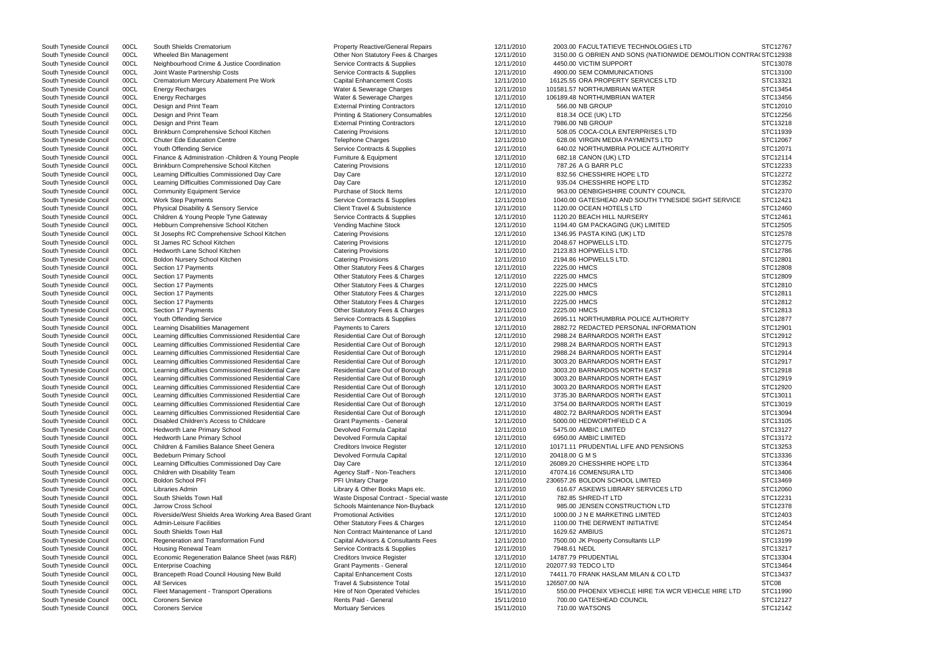| South Tyneside Council | 00CL | South Shields Crematorium                            | <b>Property Reactive/General Repairs</b>     | 12/11/2010 | 2003.00 FACULTATIEVE TECHNOLOGIES LTD                             | STC12767 |
|------------------------|------|------------------------------------------------------|----------------------------------------------|------------|-------------------------------------------------------------------|----------|
| South Tyneside Council | 00CL | Wheeled Bin Management                               | Other Non Statutory Fees & Charges           | 12/11/2010 | 3150.00 G OBRIEN AND SONS (NATIONWIDE DEMOLITION CONTRAI STC12938 |          |
| South Tyneside Council | 00CL | Neighbourhood Crime & Justice Coordination           | Service Contracts & Supplies                 | 12/11/2010 | 4450.00 VICTIM SUPPORT                                            | STC13078 |
| South Tyneside Council | 00CL | Joint Waste Partnership Costs                        | Service Contracts & Supplies                 | 12/11/2010 | 4900.00 SEM COMMUNICATIONS                                        | STC13100 |
| South Tyneside Council | 00CL | Crematorium Mercury Abatement Pre Work               | <b>Capital Enhancement Costs</b>             | 12/11/2010 | 16125.55 ORA PROPERTY SERVICES LTD                                | STC13321 |
| South Tyneside Council | 00CL | Energy Recharges                                     | Water & Sewerage Charges                     | 12/11/2010 | 101581.57 NORTHUMBRIAN WATER                                      | STC13454 |
| South Tyneside Council | 00CL | <b>Energy Recharges</b>                              | Water & Sewerage Charges                     | 12/11/2010 | 106189.48 NORTHUMBRIAN WATER                                      | STC13456 |
| South Tyneside Council | 00CL |                                                      |                                              | 12/11/2010 | 566.00 NB GROUP                                                   | STC12010 |
|                        |      | Design and Print Team                                | <b>External Printing Contractors</b>         |            |                                                                   |          |
| South Tyneside Council | 00CL | Design and Print Team                                | <b>Printing &amp; Stationery Consumables</b> | 12/11/2010 | 818.34 OCE (UK) LTD                                               | STC12256 |
| South Tyneside Council | 00CL | Design and Print Team                                | <b>External Printing Contractors</b>         | 12/11/2010 | 7986.00 NB GROUP                                                  | STC13218 |
| South Tyneside Council | 00CL | Brinkburn Comprehensive School Kitchen               | <b>Catering Provisions</b>                   | 12/11/2010 | 508.05 COCA-COLA ENTERPRISES LTD                                  | STC11939 |
| South Tyneside Council | 00CL | <b>Chuter Ede Education Centre</b>                   | <b>Telephone Charges</b>                     | 12/11/2010 | 628.06 VIRGIN MEDIA PAYMENTS LTD                                  | STC12067 |
| South Tyneside Council | 00CL | Youth Offending Service                              | Service Contracts & Supplies                 | 12/11/2010 | 640.02 NORTHUMBRIA POLICE AUTHORITY                               | STC12071 |
| South Tyneside Council | 00CL | Finance & Administration - Children & Young People   | Furniture & Equipment                        | 12/11/2010 | 682.18 CANON (UK) LTD                                             | STC12114 |
| South Tyneside Council | 00CL | Brinkburn Comprehensive School Kitchen               | <b>Catering Provisions</b>                   | 12/11/2010 | 787.26 A G BARR PLC                                               | STC12233 |
| South Tyneside Council | 00CL | Learning Difficulties Commissioned Day Care          | Day Care                                     | 12/11/2010 | 832.56 CHESSHIRE HOPE LTD                                         | STC12272 |
| South Tyneside Council | 00CL | Learning Difficulties Commissioned Day Care          | Day Care                                     | 12/11/2010 | 935.04 CHESSHIRE HOPE LTD                                         | STC12352 |
| South Tyneside Council | 00CL | <b>Community Equipment Service</b>                   | Purchase of Stock Items                      | 12/11/2010 | 963.00 DENBIGHSHIRE COUNTY COUNCIL                                | STC12370 |
| South Tyneside Council | 00CL | <b>Work Step Payments</b>                            | Service Contracts & Supplies                 | 12/11/2010 | 1040.00 GATESHEAD AND SOUTH TYNESIDE SIGHT SERVICE                | STC12421 |
|                        |      |                                                      | <b>Client Travel &amp; Subsistence</b>       |            |                                                                   | STC12460 |
| South Tyneside Council | 00CL | Physical Disability & Sensory Service                |                                              | 12/11/2010 | 1120.00 OCEAN HOTELS LTD                                          |          |
| South Tyneside Council | 00CL | Children & Young People Tyne Gateway                 | Service Contracts & Supplies                 | 12/11/2010 | 1120.20 BEACH HILL NURSERY                                        | STC12461 |
| South Tyneside Council | 00CL | Hebburn Comprehensive School Kitchen                 | Vending Machine Stock                        | 12/11/2010 | 1194.40 GM PACKAGING (UK) LIMITED                                 | STC12505 |
| South Tyneside Council | 00CL | St Josephs RC Comprehensive School Kitchen           | <b>Catering Provisions</b>                   | 12/11/2010 | 1346.95 PASTA KING (UK) LTD                                       | STC12578 |
| South Tyneside Council | 00CL | St James RC School Kitchen                           | <b>Catering Provisions</b>                   | 12/11/2010 | 2048.67 HOPWELLS LTD.                                             | STC12775 |
| South Tyneside Council | 00CL | Hedworth Lane School Kitchen                         | <b>Catering Provisions</b>                   | 12/11/2010 | 2123.83 HOPWELLS LTD.                                             | STC12786 |
| South Tyneside Council | 00CL | Boldon Nursery School Kitchen                        | <b>Catering Provisions</b>                   | 12/11/2010 | 2194.86 HOPWELLS LTD.                                             | STC12801 |
| South Tyneside Council | 00CL | Section 17 Payments                                  | Other Statutory Fees & Charges               | 12/11/2010 | 2225.00 HMCS                                                      | STC12808 |
| South Tyneside Council | 00CL | Section 17 Payments                                  | Other Statutory Fees & Charges               | 12/11/2010 | 2225.00 HMCS                                                      | STC12809 |
| South Tyneside Council | 00CL | Section 17 Payments                                  | Other Statutory Fees & Charges               | 12/11/2010 | 2225.00 HMCS                                                      | STC12810 |
| South Tyneside Council | 00CL | Section 17 Payments                                  | Other Statutory Fees & Charges               | 12/11/2010 | 2225.00 HMCS                                                      | STC12811 |
|                        |      |                                                      |                                              |            |                                                                   |          |
| South Tyneside Council | 00CL | Section 17 Payments                                  | Other Statutory Fees & Charges               | 12/11/2010 | 2225.00 HMCS                                                      | STC12812 |
| South Tyneside Council | 00CL | Section 17 Payments                                  | Other Statutory Fees & Charges               | 12/11/2010 | 2225.00 HMCS                                                      | STC12813 |
| South Tyneside Council | 00CL | <b>Youth Offending Service</b>                       | Service Contracts & Supplies                 | 12/11/2010 | 2695.11 NORTHUMBRIA POLICE AUTHORITY                              | STC12877 |
| South Tyneside Council | 00CL | Learning Disabilities Management                     | <b>Payments to Carers</b>                    | 12/11/2010 | 2882.72 REDACTED PERSONAL INFORMATION                             | STC12901 |
| South Tyneside Council | 00CL | Learning difficulties Commissioned Residential Care  | Residential Care Out of Borough              | 12/11/2010 | 2988.24 BARNARDOS NORTH EAST                                      | STC12912 |
| South Tyneside Council | 00CL | Learning difficulties Commissioned Residential Care  | Residential Care Out of Borough              | 12/11/2010 | 2988.24 BARNARDOS NORTH EAST                                      | STC12913 |
| South Tyneside Council | 00CL | Learning difficulties Commissioned Residential Care  | Residential Care Out of Borough              | 12/11/2010 | 2988.24 BARNARDOS NORTH EAST                                      | STC12914 |
| South Tyneside Council | 00CL | Learning difficulties Commissioned Residential Care  | Residential Care Out of Borough              | 12/11/2010 | 3003.20 BARNARDOS NORTH EAST                                      | STC12917 |
| South Tyneside Council | 00CL | Learning difficulties Commissioned Residential Care  | Residential Care Out of Borough              | 12/11/2010 | 3003.20 BARNARDOS NORTH EAST                                      | STC12918 |
| South Tyneside Council | 00CL | Learning difficulties Commissioned Residential Care  | Residential Care Out of Borough              | 12/11/2010 | 3003.20 BARNARDOS NORTH EAST                                      | STC12919 |
|                        | 00CL | Learning difficulties Commissioned Residential Care  | Residential Care Out of Borough              |            | 3003.20 BARNARDOS NORTH EAST                                      |          |
| South Tyneside Council |      |                                                      |                                              | 12/11/2010 |                                                                   | STC12920 |
| South Tyneside Council | 00CL | Learning difficulties Commissioned Residential Care  | Residential Care Out of Borough              | 12/11/2010 | 3735.30 BARNARDOS NORTH EAST                                      | STC13011 |
| South Tyneside Council | 00CL | Learning difficulties Commissioned Residential Care  | Residential Care Out of Borough              | 12/11/2010 | 3754.00 BARNARDOS NORTH EAST                                      | STC13019 |
| South Tyneside Council | 00CL | Learning difficulties Commissioned Residential Care  | Residential Care Out of Borough              | 12/11/2010 | 4802.72 BARNARDOS NORTH EAST                                      | STC13094 |
| South Tyneside Council | 00CL | Disabled Children's Access to Childcare              | Grant Payments - General                     | 12/11/2010 | 5000.00 HEDWORTHFIELD C A                                         | STC13105 |
| South Tyneside Council | 00CL | Hedworth Lane Primary School                         | Devolved Formula Capital                     | 12/11/2010 | 5475.00 AMBIC LIMITED                                             | STC13127 |
| South Tyneside Council | 00CL | <b>Hedworth Lane Primary School</b>                  | Devolved Formula Capital                     | 12/11/2010 | 6950.00 AMBIC LIMITED                                             | STC13172 |
| South Tyneside Council | 00CL | Children & Families Balance Sheet Genera             | <b>Creditors Invoice Register</b>            | 12/11/2010 | 10171.11 PRUDENTIAL LIFE AND PENSIONS                             | STC13253 |
| South Tyneside Council | 00CL | <b>Bedeburn Primary School</b>                       | Devolved Formula Capital                     | 12/11/2010 | 20418.00 G M S                                                    | STC13336 |
| South Tyneside Council | 00CL | Learning Difficulties Commissioned Day Care          | Day Care                                     | 12/11/2010 | 26089.20 CHESSHIRE HOPE LTD                                       | STC13364 |
| South Tyneside Council | 00CL | Children with Disability Team                        | Agency Staff - Non-Teachers                  | 12/11/2010 | 47074.16 COMENSURA LTD                                            | STC13406 |
|                        |      |                                                      |                                              |            |                                                                   |          |
| South Tyneside Council | 00CL | Boldon School PFI                                    | PFI Unitary Charge                           | 12/11/2010 | 230657.26 BOLDON SCHOOL LIMITED                                   | STC13469 |
| South Tyneside Council | 00CL | Libraries Admin                                      | Library & Other Books Maps etc.              | 12/11/2010 | 616.67 ASKEWS LIBRARY SERVICES LTD                                | STC12060 |
| South Tyneside Council | 00CL | South Shields Town Hall                              | Waste Disposal Contract - Special waste      | 12/11/2010 | 782.85 SHRED-IT LTD                                               | STC12231 |
| South Tyneside Council | 00CL | Jarrow Cross School                                  | Schools Maintenance Non-Buyback              | 12/11/2010 | 985.00 JENSEN CONSTRUCTION LTD                                    | STC12378 |
| South Tyneside Council | 00CL | Riverside/West Shields Area Working Area Based Grant | <b>Promotional Activities</b>                | 12/11/2010 | 1000.00 J N E MARKETING LIMITED                                   | STC12403 |
| South Tyneside Council | 00CL | Admin-Leisure Facilities                             | Other Statutory Fees & Charges               | 12/11/2010 | 1100.00 THE DERWENT INITIATIVE                                    | STC12454 |
| South Tyneside Council | 00CL | South Shields Town Hall                              | Non Contract Maintenance of Land             | 12/11/2010 | 1629.62 AMBIUS                                                    | STC12671 |
| South Tyneside Council | 00CL | Regeneration and Transformation Fund                 | Capital Advisors & Consultants Fees          | 12/11/2010 | 7500.00 JK Property Consultants LLP                               | STC13199 |
| South Tyneside Council | 00CL | Housing Renewal Team                                 | Service Contracts & Supplies                 | 12/11/2010 | 7948.61 NEDL                                                      | STC13217 |
|                        | 00CL | Economic Regeneration Balance Sheet (was R&R)        |                                              | 12/11/2010 | 14787.79 PRUDENTIAL                                               | STC13304 |
| South Tyneside Council |      |                                                      | <b>Creditors Invoice Register</b>            |            |                                                                   |          |
| South Tyneside Council | 00CL | <b>Enterprise Coaching</b>                           | Grant Payments - General                     | 12/11/2010 | 202077.93 TEDCO LTD                                               | STC13464 |
| South Tyneside Council | 00CL | Brancepeth Road Council Housing New Build            | <b>Capital Enhancement Costs</b>             | 12/11/2010 | 74411.70 FRANK HASLAM MILAN & CO LTD                              | STC13437 |
| South Tyneside Council | 00CL | <b>All Services</b>                                  | Travel & Subsistence Total                   | 15/11/2010 | 126507.00 N/A                                                     | STC08    |
| South Tyneside Council | 00CL | Fleet Management - Transport Operations              | Hire of Non Operated Vehicles                | 15/11/2010 | 550.00 PHOENIX VEHICLE HIRE T/A WCR VEHICLE HIRE LTD              | STC11990 |
| South Tyneside Council | 00CL | <b>Coroners Service</b>                              | Rents Paid - General                         | 15/11/2010 | 700.00 GATESHEAD COUNCIL                                          | STC12127 |
| South Tyneside Council | 00CL | <b>Coroners Service</b>                              | <b>Mortuary Services</b>                     | 15/11/2010 | 710.00 WATSONS                                                    | STC12142 |
|                        |      |                                                      |                                              |            |                                                                   |          |

|                                 | STC12767 |
|---------------------------------|----------|
| <b>ILITION CONTRAI STC12938</b> |          |
|                                 | STC13078 |
|                                 |          |
|                                 | STC13100 |
|                                 | STC13321 |
|                                 |          |
|                                 | STC13454 |
|                                 | STC13456 |
|                                 | STC12010 |
|                                 |          |
|                                 | STC12256 |
|                                 | STC13218 |
|                                 |          |
|                                 | STC11939 |
|                                 | STC12067 |
|                                 | STC12071 |
|                                 |          |
|                                 | STC12114 |
|                                 | STC12233 |
|                                 |          |
|                                 | STC12272 |
|                                 | STC12352 |
|                                 |          |
|                                 | STC12370 |
| T SERVICE                       | STC12421 |
|                                 | STC12460 |
|                                 |          |
|                                 | STC12461 |
|                                 | STC12505 |
|                                 |          |
|                                 | STC12578 |
|                                 | STC12775 |
|                                 | STC12786 |
|                                 |          |
|                                 | STC12801 |
|                                 | STC12808 |
|                                 |          |
|                                 | STC12809 |
|                                 | STC12810 |
|                                 |          |
|                                 | STC12811 |
|                                 | STC12812 |
|                                 | STC12813 |
|                                 |          |
|                                 | STC12877 |
|                                 | STC12901 |
|                                 |          |
|                                 | STC12912 |
|                                 | STC12913 |
|                                 | STC12914 |
|                                 |          |
|                                 | STC12917 |
|                                 | STC12918 |
|                                 |          |
|                                 | STC12919 |
|                                 | STC12920 |
|                                 | STC13011 |
|                                 |          |
|                                 | STC13019 |
|                                 | STC13094 |
|                                 |          |
|                                 | STC13105 |
|                                 | STC13127 |
|                                 | STC13172 |
|                                 |          |
|                                 | STC13253 |
|                                 | STC13336 |
|                                 | STC13364 |
|                                 |          |
|                                 | STC13406 |
|                                 | STC13469 |
|                                 |          |
|                                 | STC12060 |
|                                 | STC12231 |
|                                 | STC12378 |
|                                 |          |
|                                 | STC12403 |
|                                 | STC12454 |
|                                 |          |
|                                 | STC12671 |
|                                 | STC13199 |
|                                 |          |
|                                 | STC13217 |
|                                 | STC13304 |
|                                 | STC13464 |
|                                 |          |
|                                 | STC13437 |
|                                 | STC08    |
|                                 |          |
| <b>E HIRE LTD</b>               | STC11990 |
|                                 | STC12127 |
|                                 | STC12142 |
|                                 |          |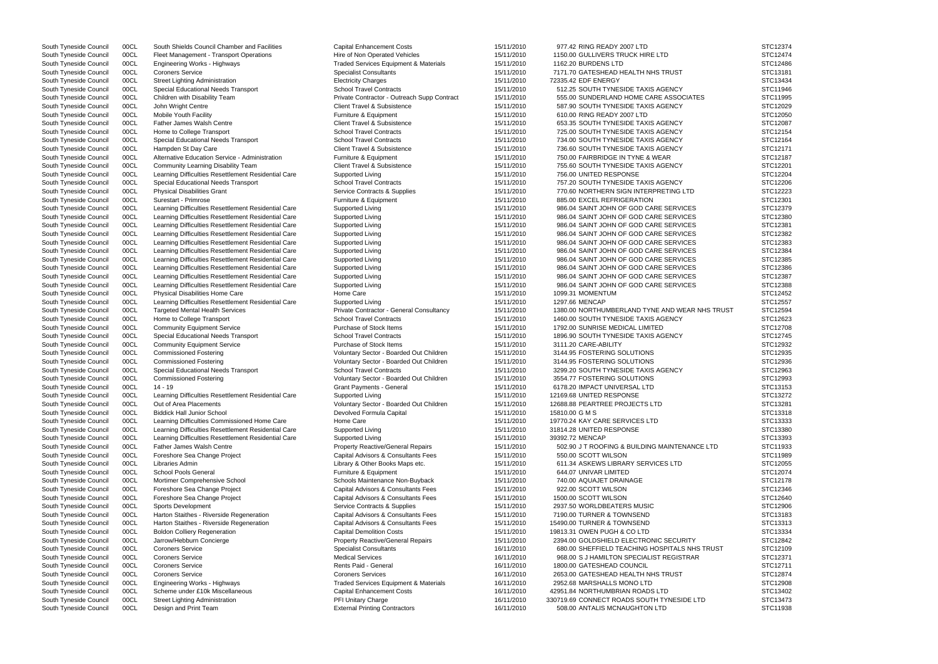South Tyneside Council 00CL South Shields Council Chamber and Facilities Capital Enhancement Costs 15/11/2010 977.42 RING READY 2007 LTD South Tyneside Council 00CL Fleet Management - Transport Operations Hire of Non Operated Vehicles 15/11/2010 1150.00 GULLIVERS TRUCK HIRE LTD South Tyneside Council 00CL Engineering Works - Highways Traded Services Equipment & Materials 15/11/2010 1162.20 BURDENS LTD South Tyneside Council 00CL Coroners Service Subsection Specialist Consultants Consultants 15/11/2010 7171.70 GATESHEAD HEALTH NHS TRUST South Tyneside Council 00CL Street Lighting Administration Electricity Charges 15/11/2010 72335.42 EDF ENERGY South Tyneside Council 00CL Special Educational Needs Transport School Travel Contracts 15/11/2010 512.25 SOUTH TYNESIDE TAXIS AGENCY South Tyneside Council 00CL Children with Disability Team Private Contractor - Outreach Supp Contract 2011/2010 555.00 SUNDERLAND HOME CARE ASSOCIATES South Tyneside Council 00CL John Wright Centre 15/11/2010 587.90 SOUTH TYNESIDE TAXIS AGENCY South Tyneside Council 00CL Mobile Youth Facility **Furniture & Equipment** 15/11/2010 610.00 RING READY 2007 LTD South Tyneside Council 00CL Father James Walsh Centre 15/11/2010 653.35 SOUTH TYNESIDE TAXIS AGENCY South Tyneside Council 00CL Home to College Transport School Travel Contracts 15/11/2010 725.00 SOUTH TYNESIDE TAXIS AGENCY South Tyneside Council 00CL Special Educational Needs Transport School Travel Contracts 15/11/2010 734.00 SOUTH TYNESIDE TAXIS AGENCY South Tyneside Council 00CL Hampden St Day Care Client Travel & Subsistence 15/11/2010 736.60 SOUTH TYNESIDE TAXIS AGENCY South Tyneside Council 00CL Alternative Education Service - Administration Furniture & Equipment 15/11/2010 750.00 FAIRBRIDGE IN TYNE & WEAR South Tyneside Council 00CL Community Learning Disability Team Client Travel & Subsistence 15/11/2010 755.60 SOUTH TYNESIDE TAXIS AGENCY South Tyneside Council 00CL Learning Difficulties Resettlement Residential Care Supported Living 15/11/2010 756.00 UNITED RESPONSE South Tyneside Council 00CL Special Educational Needs Transport School Travel Contracts 15/11/2010 757.20 SOUTH TYNESIDE TAXIS AGENCY South Tyneside Council 00CL Physical Disabilities Grant Service Contracts & Supplies 15/11/2010 770.60 NORTHERN SIGN INTERPRETING LTD South Tyneside Council 00CL Surestart - Primrose Furniture & Equipment 15/11/2010 885.00 EXCEL REFRIGERATION STC12301 South Tyneside Council 00CL Learning Difficulties Resettlement Residential Care Supported Living 15/11/2010 986.04 SAINT JOHN OF GOD CARE SERVICES South Tyneside Council 00CL Learning Difficulties Resettlement Residential Care Supported Living 15/11/2010 986.04 SAINT JOHN OF GOD CARE SERVICES South Tyneside Council 00CL Learning Difficulties Resettlement Residential Care Supported Living 15/11/2010 986.04 SAINT JOHN OF GOD CARE SERVICES South Tyneside Council 00CL Learning Difficulties Resettlement Residential Care Supported Living 15/11/2010 986.04 SAINT JOHN OF GOD CARE SERVICES South Tyneside Council 00CL Learning Difficulties Resettlement Residential Care Supported Living 15/11/2010 986.04 SAINT JOHN OF GOD CARE SERVICES South Tyneside Council 00CL Learning Difficulties Resettlement Residential Care Supported Living 15/11/2010 986.04 SAINT JOHN OF GOD CARE SERVICES South Tyneside Council 00CL Learning Difficulties Resettlement Residential Care Supported Living 15/11/2010 986.04 SAINT JOHN OF GOD CARE SERVICES South Tyneside Council 00CL Learning Difficulties Resettlement Residential Care Supported Living 15/11/2010 986.04 SAINT JOHN OF GOD CARE SERVICES South Tyneside Council 00CL Learning Difficulties Resettlement Residential Care Supported Living 15/11/2010 986.04 SAINT JOHN OF GOD CARE SERVICES South Tyneside Council 00CL Learning Difficulties Resettlement Residential Care Supported Living 15/11/2010 986.04 SAINT JOHN OF GOD CARE SERVICES South Tyneside Council 00CL Physical Disabilities Home Care Home Care Home Care 15/11/2010 1099.31 MOMENTUM South Tyneside Council 00CL Learning Difficulties Resettlement Residential Care Supported Living Supported Living<br>South Tyneside Council 00CL Targeted Mental Health Services Private Contractor - General Consultancy 15/11/2 South Tyneside Council 00CL Targeted Mental Health Services Private Contractor - General Consultancy 15/11/2010 1380.00 NORTHUMBERLAND TYNE AND WEAR NHS South Tyneside Council 00CL Home to College Transport School Travel Contracts 15/11/2010 1460.00 SOUTH TYNESIDE TAXIS AGENCY South Tyneside Council 00CL Community Equipment Service Purchase of Stock Items 15/11/2010 1792.00 SUNRISE MEDICAL LIMITED South Tyneside Council 00CL Special Educational Needs Transport School Travel Contracts 15/11/2010 1896.90 SOUTH TYNESIDE TAXIS AGENCY South Tyneside Council 00CL Community Equipment Service Purchase of Stock Items 15/11/2010 3111.20 CARE-ABILITY South Tyneside Council 00CL Commissioned Fostering **State 15/11/2010** Voluntary Sector - Boarded Out Children 15/11/2010 3144.95 FOSTERING SOLUTIONS South Tyneside Council 00CL Commissioned Fostering **Suppleman and State Voluntary Sector - Boarded Out Children** 15/11/2010 3144.95 FOSTERING SOLUTIONS South Tyneside Council 00CL Special Educational Needs Transport School Travel Contracts 15/11/2010 3299.20 SOUTH TYNESIDE TAXIS AGENCY South Tyneside Council 00CL Commissioned Fostering variable voluntary Sector - Boarded Out Children 15/11/2010 3554.77 FOSTERING SOLUTIONS South Tyneside Council 00CL 14 - 19 CHANGER 15 Council 15/11/2010 6178.20 IMPACT UNIVERSAL LTD StELL TD STC1315 South Tyneside Council 00CL Learning Difficulties Resettlement Residential Care Supported Living 15/11/2010 15/11/2010 12169.68 UNITED RESPONSE South Tyneside Council 00CL Out of Area Placements Camerate Voluntary Sector - Boarded Out Children 15/11/2010 12688.88 PEARTREE PROJECTS LTD South Tyneside Council COCL Biddick Hall Junior School 2007 15/11/2010 15810.00 G M S STC13318 STC13318 STC13318 South Tyneside Council 00CL Learning Difficulties Commissioned Home Care Home Care Home Care 15/11/2010 19770.24 KAY CARE SERVICES LTD South Tyneside Council 00CL Learning Difficulties Resettlement Residential Care Supported Living 15/11/2010 31814.28 UNITED RESPONSE South Tyneside Council 00CL Learning Difficulties Resettlement Residential Care Supported Living 15/11/2010 39392.72 MENCAP South Tyneside Council 00CL Father James Walsh Centre **Reactive Property Reactive/General Repairs** 15/11/2010 502.90 J T ROOFING & BUILDING MAINTENANCE L South Tyneside Council 00CL Foreshore Sea Change Project Capital Advisors & Consultants Fees 61/11/2010 550.00 SCOTT WILSON South Tyneside Council 00CL Libraries Admin 1999 15/11/2010 611.34 ASKEWS LIBRARY SERVICES LTD 611.34 ASKEWS LIBRARY SERVICES LTD South Tyneside Council 00CL School Pools General Furniture & Equipment 15/11/2010 644.07 UNIVAR LIMITED STC12074 South Tyneside Council 00CL Mortimer Comprehensive School School Schools Maintenance Non-Buyback 15/11/2010 740.00 AQUAJET DRAINAGE South Tyneside Council 00CL Foreshore Sea Change Project Capital Advisors & Consultants Fees 15/11/2010 922.00 SCOTT WILSON South Tyneside Council 00CL Foreshore Sea Change Project Capital Advisors & Consultants Fees 15/11/2010 1500.00 SCOTT WILSON South Tyneside Council 00CL Sports Development Service Contracts & Supplies 15/11/2010 2937.50 WORLDBEATERS MUSIC South Tyneside Council 00CL Harton Staithes - Riverside Regeneration Capital Advisors & Consultants Fees 15/11/2010 7190.00 TURNER & TOWNSEND South Tyneside Council 00CL Harton Staithes - Riverside Regeneration Capital Advisors & Consultants Fees 15/11/2010 15490.00 TURNER & TOWNSEND South Tyneside Council 00CL Boldon Colliery Regeneration Capital Demolition Costs 15/11/2010 19813.31 OWEN PUGH & CO LTD South Tyneside Council 00CL Jarrow/Hebburn Concierge **Property Reactive/General Repairs** 15/11/2010 2394.00 GOLDSHIELD ELECTRONIC SECURITY South Tyneside Council 00CL Coroners Service Specialist Consultants Specialist Consultants Specialist Consultants Consultants 680.00 SHEFFIELD TEACHING HOSPITALS NHS TR South Tyneside Council 00CL Coroners Service Coroners Cervices Medical Services Medical Services and the medical Services of the medical Services of the medical Services of the medical Services of the medical Services of t South Tyneside Council 00CL Coroners Service **Rents Paid - Seneral 16/11/2010** 1800.00 GATESHEAD COUNCIL South Tyneside Council 00CL Coroners Service Coroners Coroners Services Coroners Services Coroners Coroners Services Coroners Services Coroners Services Coroners Services Coroners Services Coroners Services Coroners Servic South Tyneside Council 00CL Engineering Works - Highways Traded Services Equipment & Materials 16/11/2010 2952.68 MARSHALLS MONO LTD South Tyneside Council 00CL Scheme under £10k Miscellaneous Capital Enhancement Costs 16/11/2010 42951.84 NORTHUMBRIAN ROADS LTD South Tyneside Council 00CL Street Lighting Administration **PEL Street Lighting Administration** PEL Unitary Charge 16/11/2010 330719.69 CONNECT ROADS SOUTH TYNESIDE LTD South Tyneside Council 00CL Design and Print Team **External Printing Contractors** 16/11/2010 508.00 ANTALIS MCNAUGHTON LTD STC11938

|           | STC12374 |
|-----------|----------|
|           | STC12474 |
|           | STC12486 |
|           |          |
|           | STC13181 |
|           | STC13434 |
|           |          |
|           | STC11946 |
|           | STC11995 |
|           | STC12029 |
|           |          |
|           | STC12050 |
|           | STC12087 |
|           | STC12154 |
|           |          |
|           | STC12164 |
|           | STC12171 |
|           | STC12187 |
|           |          |
|           | STC12201 |
|           | STC12204 |
|           |          |
|           | STC12206 |
|           | STC12223 |
|           | STC12301 |
|           |          |
|           | STC12379 |
|           | STC12380 |
|           |          |
|           | STC12381 |
|           | STC12382 |
|           | STC12383 |
|           |          |
|           | STC12384 |
|           | STC12385 |
|           | STC12386 |
|           |          |
|           | STC12387 |
|           | STC12388 |
|           |          |
|           | STC12452 |
|           | STC12557 |
| S TRUST   | STC12594 |
|           |          |
|           | STC12623 |
|           | STC12708 |
|           | STC12745 |
|           |          |
|           | STC12932 |
|           | STC12935 |
|           | STC12936 |
|           |          |
|           | STC12963 |
|           | STC12993 |
|           |          |
|           | STC13153 |
|           | STC13272 |
|           | STC13281 |
|           |          |
|           | STC13318 |
|           | STC13333 |
|           | STC13380 |
|           |          |
|           | STC13393 |
| .TD       | STC11933 |
|           | STC11989 |
|           |          |
|           | STC12055 |
|           | STC12074 |
|           |          |
|           | STC12178 |
|           | STC12346 |
|           | STC12640 |
|           |          |
|           | STC12906 |
|           | STC13183 |
|           | STC13313 |
|           |          |
|           | STC13334 |
|           | STC12842 |
| ่<br>เบรา | STC12109 |
|           |          |
|           | STC12371 |
|           | STC12711 |
|           |          |
|           | STC12874 |
|           | STC12908 |
|           | STC13402 |
|           |          |
|           | STC13473 |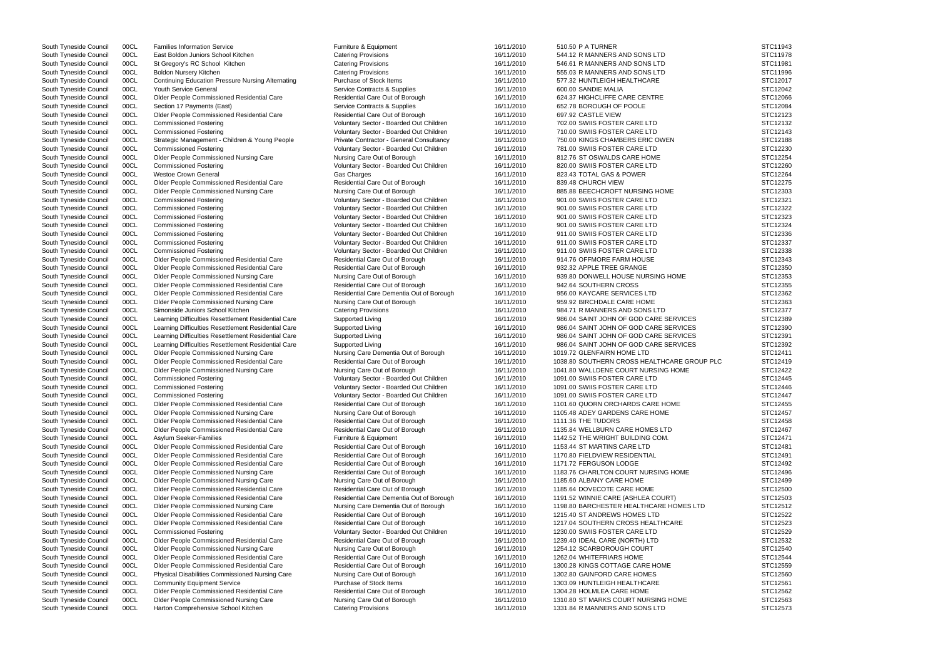South Tyneside Council 00CL East Boldon Juniors School Kitchen Catering Provisions 16/11/2010 544.12 R MANNERS AND SONS LTD South Tyneside Council 00CL St Gregory's RC School Kitchen Catering Provisions Catering Provisions 546.61 R MANNERS AND SONS LTD South Tyneside Council 00CL Boldon Nursery Kitchen Catering Provisions Catering Provisions 16/11/2010 555.03 R MANNERS AND SONS LTD South Tyneside Council 00CL Continuing Education Pressure Nursing Alternating Purchase of Stock Items 16/11/2010 577.32 HUNTLEIGH HEALTHCARE South Tyneside Council COCL Youth Service General Service Contracts & Supplies 16/11/2010 600.00 SANDIE MALIA STC12042 STC12042 South Tyneside Council 00CL Older People Commissioned Residential Care Residential Care Residential Care Out of Borough 16/11/2010 624.37 HIGHCLIFFE CARE CENTRE South Tyneside Council 00CL Section 17 Payments (East) Service Contracts & Supplies 36/11/2010 652.78 BOROUGH OF POOLE South Tyneside Council 00CL Older People Commissioned Residential Care Residential Care Out of Borough 16/11/2010 697.92 CASTLE VIEW South Tyneside Council 00CL Commissioned Fostering The Voluntary Sector - Boarded Out Children 16/11/2010 702.00 SWIIS FOSTER CARE LTD South Tyneside Council 00CL Commissioned Fostering Council Commissioned Fostering Voluntary Sector - Boarded Out Children 16/11/2010 710.00 SWIIS FOSTER CARE LTD South Tyneside Council 00CL Strategic Management - Children & Young People Private Contractor - General Consultancy 16/11/2010 750.00 KINGS CHAMBERS ERIC OWEN South Tyneside Council 00CL Commissioned Fostering The State of Coluntary Sector - Boarded Out Children 16/11/2010 781.00 SWIIS FOSTER CARE LTD South Tyneside Council 00CL Older People Commissioned Nursing Care Nursing Care Nursing Care Out of Borough 16/11/2010 812.76 ST OSWALDS CARE HOME South Tyneside Council 00CL Commissioned Fostering Council Council Council Council Council Council Commissioned Fostering Voluntary Sector - Boarded Out Children 16/11/2010 820.00 SWIIS FOSTER CARE LTD South Tyneside Council 00CL Westoe Crown General Company Cas Charges Charges 16/11/2010 823.43 TOTAL GAS & POWER South Tyneside Council 00CL Older People Commissioned Residential Care Residential Care Out of Borough 16/11/2010 839.48 CHURCH VIEW South Tyneside Council 00CL Older People Commissioned Nursing Care Nursing Care Out of Borough 16/11/2010 885.88 BEECHCROFT NURSING HOME South Tyneside Council 00CL Commissioned Fostering Commissioned Fostering Voluntary Sector - Boarded Out Children 16/11/2010 901.00 SWIIS FOSTER CARE LTD South Tyneside Council 00CL Commissioned Fostering variable voluntary Sector - Boarded Out Children 16/11/2010 901.00 SWIIS FOSTER CARE LTD South Tyneside Council 00CL Commissioned Fostering Commissioned Fostering Voluntary Sector - Boarded Out Children 16/11/2010 901.00 SWIIS FOSTER CARE LTD South Tyneside Council 00CL Commissioned Fostering COUNTRING Voluntary Sector - Boarded Out Children 16/11/2010 901.00 SWIIS FOSTER CARE LTD South Tyneside Council 00CL Commissioned Fostering COM States and Municary Sector - Boarded Out Children 16/11/2010 911.00 SWIIS FOSTER CARE LTD South Tyneside Council 00CL Commissioned Fostering Commissioned Fostering Voluntary Sector - Boarded Out Children 16/11/2010 911.00 SWIIS FOSTER CARE LTD South Tyneside Council 00CL Commissioned Fostering **Suppleman Sector - Boarded Out Children** 16/11/2010 911.00 SWIIS FOSTER CARE LTD South Tyneside Council 00CL Older People Commissioned Residential Care Residential Care Out of Borough 16/11/2010 914.76 OFFMORE FARM HOUSE South Tyneside Council 00CL Older People Commissioned Residential Care Residential Care Out of Borough 16/11/2010 932.32 APPLE TREE GRANGE South Tyneside Council 00CL Older People Commissioned Nursing Care Nursing Care Out of Borough 16/11/2010 939.80 DONWELL HOUSE NURSING HOME South Tyneside Council 00CL Older People Commissioned Residential Care Residential Care Out of Borough 16/11/2010 942.64 SOUTHERN CROSS South Tyneside Council 00CL Older People Commissioned Residential Care Residential Care Dementia Out of Borough 16/11/2010 956.00 KAYCARE SERVICES LTD South Tyneside Council 00CL Older People Commissioned Nursing Care Nursing Care Out of Borough 16/11/2010 959.92 BIRCHDALE CARE HOME South Tyneside Council COCL Simonside Juniors School Kitchen Catering Provisions Catering Provisions and the many states and some the states of the STC12377 South Tyneside Council 00CL Learning Difficulties Resettlement Residential Care Supported Living 16/11/2010 986.04 SAINT JOHN OF GOD CARE SERVICES South Tyneside Council 00CL Learning Difficulties Resettlement Residential Care Supported Living 16/11/2010 986.04 SAINT JOHN OF GOD CARE SERVICES South Tyneside Council 00CL Learning Difficulties Resettlement Residential Care Supported Living 16/11/2010 986.04 SAINT JOHN OF GOD CARE SERVICES South Tyneside Council 00CL Learning Difficulties Resettlement Residential Care Supported Living 16/11/2010 986.04 SAINT JOHN OF GOD CARE SERVICES South Tyneside Council 00CL Older People Commissioned Nursing Care Nursing Care Dementia Out of Borough 16/11/2010 1019.72 GLENFAIRN HOME LTD South Tyneside Council 00CL Older People Commissioned Residential Care Residential Care Residential Care Out of Borough 16/11/2010 1038.80 SOUTHERN CROSS HEALTHCARE GROUP PLC South Tyneside Council 00CL Older People Commissioned Nursing Care Nursing Care Out of Borough 16/11/2010 1041.80 WALLDENE COURT NURSING HOME South Tyneside Council 00CL Commissioned Fostering COM State Commissioned Fostering Voluntary Sector - Boarded Out Children 16/11/2010 1091.00 SWIIS FOSTER CARE LTD South Tyneside Council 00CL Commissioned Fostering variable voluntary Sector - Boarded Out Children 16/11/2010 1091.00 SWIIS FOSTER CARE LTD South Tyneside Council 00CL Commissioned Fostering COM State Commissioned Fostering Voluntary Sector - Boarded Out Children 16/11/2010 1091.00 SWIIS FOSTER CARE LTD South Tyneside Council 00CL Older People Commissioned Residential Care Residential Care Cut of Borough 16/11/2010 1101.60 QUORN ORCHARDS CARE HOME South Tyneside Council 00CL Older People Commissioned Nursing Care Nursing Care Out of Borough 16/11/2010 1105.48 ADEY GARDENS CARE HOME South Tyneside Council 00CL Older People Commissioned Residential Care Residential Care Out of Borough 16/11/2010 1111.36 THE TUDORS South Tyneside Council 00CL Older People Commissioned Residential Care Residential Care Residential Care Out of Borough 16/11/2010 1135.84 WELLBURN CARE HOMES LTD South Tyneside Council 00CL Asylum Seeker-Families **Furniture & Equipment** Furniture & Equipment 16/11/2010 1142.52 THE WRIGHT BUILDING COM. South Tyneside Council 00CL Older People Commissioned Residential Care Residential Care Out of Borough 16/11/2010 1153.44 ST MARTINS CARE LTD South Tyneside Council 00CL Older People Commissioned Residential Care Residential Care Out of Borough 16/11/2010 1170.80 FIELDVIEW RESIDENTIAL South Tyneside Council 00CL Older People Commissioned Residential Care Residential Care Out of Borough 16/11/2010 1171.72 FERGUSON LODGE South Tyneside Council 00CL Older People Commissioned Nursing Care Residential Care Out of Borough 16/11/2010 1183.76 CHARLTON COURT NURSING HOME South Tyneside Council 00CL Older People Commissioned Nursing Care Nursing Care Out of Borough 16/11/2010 1185.60 ALBANY CARE HOME South Tyneside Council 00CL Older People Commissioned Residential Care Residential Care Out of Borough 16/11/2010 1185.64 DOVECOTE CARE HOME South Tyneside Council 00CL Older People Commissioned Residential Care Residential Care Dementia Out of Borough 16/11/2010 1191.52 WINNIE CARE (ASHLEA COURT) South Tyneside Council 00CL Older People Commissioned Nursing Care Nursing Care Dementia Out of Borough 16/11/2010 1198.80 BARCHESTER HEALTHCARE HOMES LTD South Tyneside Council 00CL Older People Commissioned Residential Care Residential Care Out of Borough 16/11/2010 1215.40 ST ANDREWS HOMES LTD South Tyneside Council 00CL Older People Commissioned Residential Care Residential Care Out of Borough 16/11/2010 1217.04 SOUTHERN CROSS HEALTHCARE South Tyneside Council 00CL Commissioned Fostering COUNTRING Voluntary Sector - Boarded Out Children 16/11/2010 1230.00 SWIIS FOSTER CARE LTD South Tyneside Council 00CL Older People Commissioned Residential Care Residential Care Out of Borough 16/11/2010 1239.40 IDEAL CARE (NORTH) LTD South Tyneside Council 00CL Older People Commissioned Nursing Care Nursing Care Out of Borough 16/11/2010 1254.12 SCARBOROUGH COURT South Tyneside Council 00CL Older People Commissioned Residential Care Residential Care Out of Borough 16/11/2010 18/1202.04 WHITEFRIARS HOME South Tyneside Council 00CL Older People Commissioned Residential Care Residential Care Cut of Borough 16/11/2010 1300.28 KINGS COTTAGE CARE HOME South Tyneside Council 00CL Physical Disabilities Commissioned Nursing Care Nursing Care Out of Borough 16/11/2010 1302.80 GAINFORD CARE HOMES South Tyneside Council 00CL Community Equipment Service **Purchase of Stock Items** 16/11/2010 1303.09 HUNTLEIGH HEALTHCARE South Tyneside Council 00CL Older People Commissioned Residential Care Residential Care Out of Borough 16/11/2010 1304.28 HOLMLEA CARE HOME South Tyneside Council 00CL Older People Commissioned Nursing Care Nursing Care Out of Borough 16/11/2010 1310.80 ST MARKS COURT NURSING HOME South Tyneside Council 00CL Harton Comprehensive School Kitchen Catering Provisions 16/11/2010 1331.84 R MANNERS AND SONS LTD

South Tyneside Council COCL Families Information Service **Furniture & Equipment** Furniture & Equipment 16/11/2010 510.50 P A TURNER STC11943

|              | STC11943           |
|--------------|--------------------|
|              | STC11978           |
|              | STC11981           |
| S.<br>Ţ      | C11996             |
| ST           | C12017             |
| S٦           | C12042             |
| S٦           | C12066             |
| S.           | TC12084            |
|              | C12123             |
| S<br>Ţ       |                    |
| S,<br>I      | C12132             |
| S٦           | C12143             |
| S٦           | C12188             |
|              | STC12230           |
| S<br>Ţ       | C12254             |
| ST           | C12260             |
| ST           | C12264             |
| ST           | C12275             |
|              |                    |
| S.<br>I      | TC12303            |
| S<br>Ţ<br>΄  | 12321              |
| S.<br>T      | C12322             |
| Sī           | C12323             |
| S٦           | C12324             |
| S.<br>I      |                    |
| S<br>Ţ       | C12336<br>C12337   |
| S.<br>Ţ      | C12338             |
|              |                    |
| ST           | C12343             |
| ST           | C12350             |
| S.<br>Ţ      | C12353             |
| S<br>Ţ<br>΄  | 12355              |
| S.<br>Ţ      | C12362             |
| S٦           | C12363             |
| S1           | C12377             |
| S<br>I       |                    |
| s<br>3<br>Ţ  | TC12389<br>C12390  |
|              |                    |
|              |                    |
| S<br>Ţ       | C12391             |
| S٦           | C12392             |
| S٦           | C12411             |
| S1           |                    |
| s<br>3<br>Ţ  | TC12419<br>C12422  |
| S<br>Ţ       |                    |
|              | C12445             |
| ST<br>ŗ      | C12446             |
| C1<br>š<br>T | 2447               |
|              | STC12455           |
| š<br>T       | C12457             |
| S<br>Ţ       | C12458             |
| S٦           | C12467             |
|              | STC12471           |
|              |                    |
| s<br>;<br>T  | STC12481<br>C12491 |
| S<br>Ţ       |                    |
|              | C12492             |
|              | STC12496           |
|              | STC12499           |
| S.           | TC12500            |
| ؟<br>έ<br>T  | C12503             |
| S<br>Ţ       | C12512             |
|              | STC12522           |
|              | STC12523           |
| S.           |                    |
| ຸ<br>;<br>Ţ  | TC12529<br>C12532  |
|              |                    |
| S.<br>Ţ      | C12540             |
|              | STC12544           |
|              | STC12559           |
| S            | TC12560            |
| ຸ<br>š<br>T  | C12561             |
| S<br>Ţ       | C12562             |
| S.<br>I      | C12563             |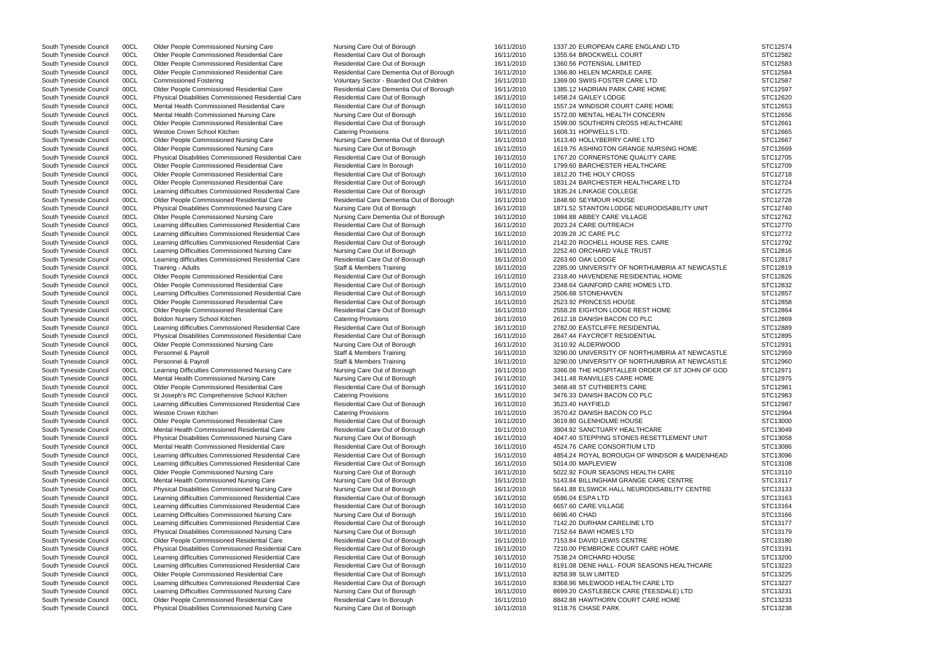South Tyneside Council 00CL Older People Commissioned Residential Care Residential Care Out of Borough 16/11/2010 1355.64 BROCKWELL COURT South Tyneside Council 00CL Older People Commissioned Residential Care Residential Care Out of Borough 16/11/2010 1360.56 POTENSIAL LIMITED South Tyneside Council 00CL Older People Commissioned Residential Care Residential Care Dementia Out of Borough 16/11/2010 1366.80 HELEN MCARDLE CARE South Tyneside Council 00CL Commissioned Fostering The State of Coluntary Sector - Boarded Out Children 16/11/2010 1369.00 SWIIS FOSTER CARE LTD South Tyneside Council 00CL Older People Commissioned Residential Care Residential Care Dementia Out of Borough 16/11/2010 1385.12 HADRIAN PARK CARE HOME South Tyneside Council 00CL Physical Disabilities Commissioned Residential Care Residential Care Out of Borough 16/11/2010 1458.24 GAILEY LODGE South Tyneside Council 00CL Mental Health Commissioned Residential Care Residential Care Cut of Borough 16/11/2010 1557.24 WINDSOR COURT CARE HOME South Tyneside Council 00CL Mental Health Commissioned Nursing Care Nursing Care Out of Borough 16/11/2010 1572.00 MENTAL HEALTH CONCERN South Tyneside Council 00CL Older People Commissioned Residential Care Residential Care Out of Borough 16/11/2010 1599.00 SOUTHERN CROSS HEALTHCARE South Tyneside Council 00CL Westoe Crown School Kitchen Catering Catering Provisions 16/01/2010 16/11/2010 1608.31 HOPWELLS LTD.<br>South Tyneside Council 00CL Older People Commissioned Nursing Care Nursing Care Dementia Out South Tyneside Council 00CL Older People Commissioned Nursing Care Nursing Care Nursing Care Dementia Out of Borough 16/11/2010 South Tyneside Council 00CL Older People Commissioned Nursing Care Nursing Care Out of Borough 16/11/2010 1619.76 ASHINGTON GRANGE NURSING HOME South Tyneside Council 00CL Physical Disabilities Commissioned Residential Care Residential Care Out of Borough 16/11/2010 1767.20 CORNERSTONE QUALITY CARE South Tyneside Council 00CL Older People Commissioned Residential Care Residential Care In Borough 16/11/2010 1799.60 BARCHESTER HEALTHCARE South Tyneside Council 00CL Older People Commissioned Residential Care Residential Care Out of Borough 16/11/2010 1812.20 THE HOLY CROSS South Tyneside Council 00CL Older People Commissioned Residential Care Residential Care Out of Borough 16/11/2010 1831.24 BARCHESTER HEALTHCARE LTD South Tyneside Council 00CL Learning difficulties Commissioned Residential Care Residential Care Out of Borough 16/11/2010 1835.24 LINKAGE COLLEGE South Tyneside Council 00CL Older People Commissioned Residential Care Residential Care Dementia Out of Borough 16/11/2010 1848.60 SEYMOUR HOUSE South Tyneside Council 00CL Physical Disabilities Commissioned Nursing Care Nursing Care Out of Borough 16/11/2010 1871.52 STANTON LODGE NEURODISABILITY UNIT South Tyneside Council 00CL Older People Commissioned Nursing Care Nursing Care Dementia Out of Borough 16/11/2010 1984.88 ABBEY CARE VILLAGE South Tyneside Council 00CL Learning difficulties Commissioned Residential Care Residential Care Out of Borough 16/11/2010 2023.24 CARE OUTREACH South Tyneside Council 00CL Learning difficulties Commissioned Residential Care Residential Care Out of Borough 16/11/2010 2039.28 JC CARE PLC South Tyneside Council 00CL Learning difficulties Commissioned Residential Care Residential Care Out of Borough 16/11/2010 2142.20 ROCHELL HOUSE RES. CARE South Tyneside Council 00CL Learning Difficulties Commissioned Nursing Care Nursing Care Out of Borough 16/11/2010 2252.40 ORCHARD VALE TRUST South Tyneside Council 00CL Learning difficulties Commissioned Residential Care Residential Care Out of Borough 16/11/2010 2263.60 OAK LODGE South Tyneside Council 00CL Training - Adults Council 16/11/2010 2285.00 UNIVERSITY OF NORTHUMBRIA AT NEWCASTLE STATING 16/11/2010 2285.00 UNIVERSITY OF NORTHUMBRIA AT NEWCA South Tyneside Council 00CL Older People Commissioned Residential Care Residential Care Residential Care Out of Borough 16/11/2010 2318.40 HAVENDENE RESIDENTIAL HOME South Tyneside Council 00CL Older People Commissioned Residential Care Residential Care Out of Borough 16/11/2010 2348.64 GAINFORD CARE HOMES LTD. South Tyneside Council 00CL Learning Difficulties Commissioned Residential Care Residential Care Out of Borough 16/11/2010 2506.68 STONEHAVEN South Tyneside Council 00CL Older People Commissioned Residential Care Residential Care Out of Borough 16/11/2010 2523.92 PRINCESS HOUSE South Tyneside Council 00CL Older People Commissioned Residential Care Residential Care Cut of Borough 16/11/2010 2558.28 EIGHTON LODGE REST HOME South Tyneside Council 00CL Boldon Nursery School Kitchen Catering Provisions Catering Provisions 16/11/2010 2612.18 DANISH BACON CO PLC South Tyneside Council 00CL Learning difficulties Commissioned Residential Care Residential Care Out of Borough 16/11/2010 2782.00 EASTCLIFFE RESIDENTIAL South Tyneside Council 00CL Physical Disabilities Commissioned Residential Care Residential Care Out of Borough 16/11/2010 2847.44 FAYCROFT RESIDENTIAL South Tyneside Council 00CL Older People Commissioned Nursing Care Nursing Care Out of Borough 16/11/2010 3110.92 ALDERWOOD South Tyneside Council 00CL Personnel & Payroll **Staff & Members Training** 5taff & Members Training 16/11/2010 3290.00 UNIVERSITY OF NORTHUMBRIA AT NEWCA South Tyneside Council 00CL Personnel & Payroll Staff & Members Training and the Mursing Care out of Borough Staff & Members Training 518/11/2010 3290.00 UNIVERSITY OF NORTHUMBRIA AT NEWCASTLE ST JOHN OF ST JOHN OF ST JOHN South Tyneside Council 00CL Learning Difficulties Commissioned Nursing Care Nursing Care Out of Borough 16/11/2010 3366.08 THE HOSPITALLER ORDER OF ST JOHN OF South Tyneside Council 00CL Mental Health Commissioned Nursing Care Nursing Care Nursing Care Out of Borough 16/11/2010 3411.48 RANVILLES CARE HOME South Tyneside Council 00CL Older People Commissioned Residential Care Residential Care Out of Borough 16/11/2010 3468.48 ST CUTHBERTS CARE South Tyneside Council 00CL St Joseph's RC Comprehensive School Kitchen Catering Provisions 16/11/2010 3476.33 DANISH BACON CO PLC South Tyneside Council 00CL Learning difficulties Commissioned Residential Care Residential Care Out of Borough 16/11/2010 3523.40 HAYFIELD South Tyneside Council 00CL Westoe Crown Kitchen Catering Catering Provisions Catering Provisions 16/11/2010 3570.42 DANISH BACON CO PLC South Tyneside Council 00CL Older People Commissioned Residential Care Commissioned Residential Care Residential Care Out of Borough 16/11/2010 3619.80 GLENHOLME HOUSE South Tyneside Council 00CL Mental Health Commissioned South Tyneside Council 00CL Mental Health Commissioned Residential Care Residential Care Dut of Borough 16/11/2010 3904.92 SANCTUARY HEALTHCARE South Tyneside Council 00CL Physical Disabilities Commissioned Nursing Care Nursing Care Out of Borough 16/11/2010 4047.40 STEPPING STONES RESETTLEMENT UNIT South Tyneside Council 00CL Mental Health Commissioned Residential Care Residential Care Out of Borough 16/11/2010 4524.76 CARE CONSORTIUM LTD South Tyneside Council 00CL Learning difficulties Commissioned Residential Care Residential Care Out of Borough 16/11/2010 4854.24 ROYAL BOROUGH OF WINDSOR & MAIDEN South Tyneside Council 00CL Learning difficulties Commissioned Residential Care Residential Care Out of Borough 16/11/2010 5014.00 MAPLEVIEW South Tyneside Council 00CL Older People Commissioned Nursing Care Nursing Care Out of Borough 16/11/2010 5022.92 FOUR SEASONS HEALTH CARE South Tyneside Council 00CL Mental Health Commissioned Nursing Care Nursing Care Nursing Care Out of Borough 5143.84 BILLINGHAM GRANGE CARE CENTRE South Tyneside Council 00CL Physical Disabilities Commissioned Nursing Care Nursing Care Out of Borough 16/11/2010 5641.88 ELSWICK HALL NEURODISABILITY CENTRE South Tyneside Council 00CL Learning difficulties Commissioned Residential Care Residential Care Out of Borough 16/11/2010 6586.04 ESPA LTD South Tyneside Council 00CL Learning difficulties Commissioned Residential Care Residential Care Out of Borough 16/11/2010 6657.60 CARE VILLAGE South Tyneside Council 00CL Learning Difficulties Commissioned Nursing Care Nursing Care Out of Borough 16/11/2010 6696.40 CHAD South Tyneside Council 00CL Learning difficulties Commissioned Residential Care Residential Care Out of Borough 16/11/2010 7142.20 DURHAM CARELINE LTD South Tyneside Council 00CL Physical Disabilities Commissioned Nursing Care Nursing Care Out of Borough 16/11/2010 7152.64 BAWI HOMES LTD South Tyneside Council 00CL Older People Commissioned Residential Care Residential Care Residential Care Out of Borough 16/11/2010 7153.84 DAVID LEWIS CENTRE South Tyneside Council 00CL Physical Disabilities Commissioned Residential Care Residential Care Out of Borough 16/11/2010 7210.00 PEMBROKE COURT CARE HOME South Tyneside Council 00CL Learning difficulties Commissioned Residential Care Residential Care Out of Borough 16/11/2010 7538.24 ORCHARD HOUSE South Tyneside Council 00CL Learning difficulties Commissioned Residential Care Residential Care Out of Borough 16/11/2010 8191.08 DENE HALL- FOUR SEASONS HEALTHCARI South Tyneside Council 00CL Older People Commissioned Residential Care Residential Care Out of Borough 16/11/2010 8258.98 SLW LIMITED South Tyneside Council 00CL Learning difficulties Commissioned Residential Care Residential Care Out of Borough 16/11/2010 8368.96 MILEWOOD HEALTH CARE LTD South Tyneside Council 00CL Learning Difficulties Commissioned Nursing Care Nursing Care Nursing Care Out of Borough 16/11/2010 8699.20 CASTLEBECK CARE (TEESDALE) LTD South Tyneside Council 00CL Older People Commissioned Residential Care Residential Care In Borough 16/11/2010 8842.88 HAWTHORN COURT CARE HOME South Tyneside Council 00CL Physical Disabilities Commissioned Nursing Care Nursing Care Out of Borough 16/11/2010 9118.76 CHASE PARK

South Tyneside Council 00CL Older People Commissioned Nursing Care Nursing Care Out of Borough 16/11/2010 1337.20 EUROPEAN CARE ENGLAND LTD

|              | STC12574 |
|--------------|----------|
|              | STC12582 |
|              |          |
|              | STC12583 |
|              | STC12584 |
|              |          |
|              | STC12587 |
|              | STC12597 |
|              |          |
|              | STC12620 |
|              | STC12653 |
|              |          |
|              | STC12656 |
|              | STC12661 |
|              |          |
|              | STC12665 |
|              | STC12667 |
|              |          |
|              | STC12669 |
|              | STC12705 |
|              |          |
|              | STC12709 |
|              | STC12718 |
|              |          |
|              | STC12724 |
|              | STC12725 |
|              |          |
|              | STC12728 |
|              | STC12740 |
|              |          |
|              | STC12762 |
|              | STC12770 |
|              |          |
|              | STC12772 |
|              | STC12792 |
|              |          |
|              | STC12816 |
|              | STC12817 |
|              |          |
| ASTLE        | STC12819 |
|              | STC12826 |
|              |          |
|              | STC12832 |
|              | STC12857 |
|              |          |
|              | STC12858 |
|              | STC12864 |
|              | STC12869 |
|              |          |
|              | STC12889 |
|              | STC12895 |
|              |          |
|              | STC12931 |
| ASTLE        | STC12959 |
|              |          |
| ASTLE        | STC12960 |
| = GOD        | STC12971 |
|              |          |
|              | STC12975 |
|              | STC12981 |
|              |          |
|              | STC12983 |
|              | STC12987 |
|              |          |
|              | STC12994 |
|              | STC13000 |
|              |          |
|              | STC13049 |
|              | STC13058 |
|              | STC13086 |
|              |          |
| <b>IHEAD</b> | STC13096 |
|              | STC13108 |
|              |          |
|              | STC13110 |
|              | STC13117 |
|              |          |
|              | STC13133 |
|              | STC13163 |
|              |          |
|              | STC13164 |
|              | STC13166 |
|              |          |
|              | STC13177 |
|              | STC13179 |
|              |          |
|              | STC13180 |
|              | STC13191 |
|              |          |
|              | STC13200 |
| E            | STC13223 |
|              |          |
|              | STC13225 |
|              | STC13227 |
|              | STC13231 |
|              |          |
|              | STC13233 |
|              | STC13238 |
|              |          |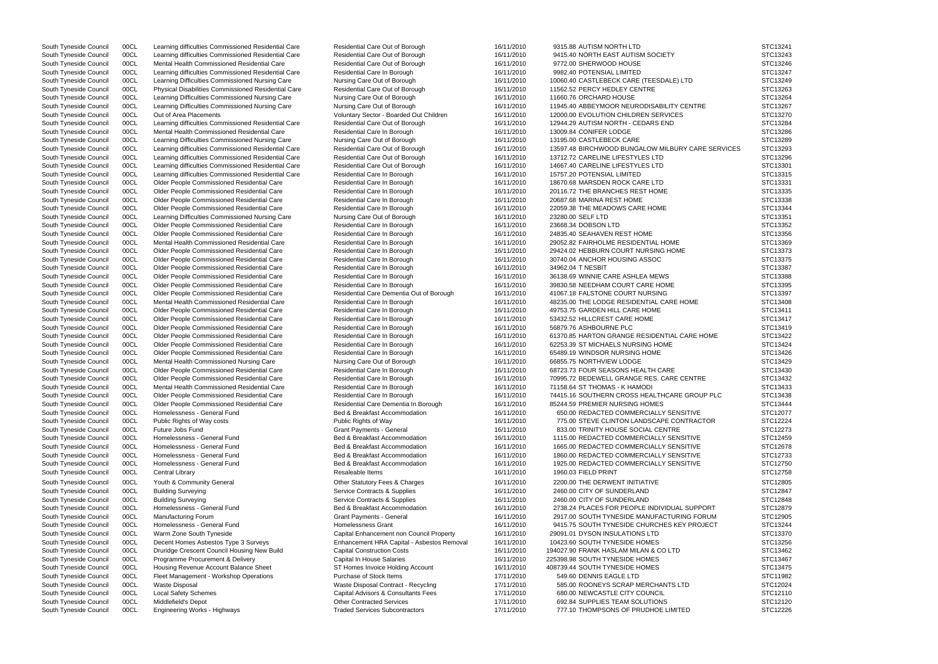South Tyneside Council 00CL Learning difficulties Commissioned Residential Care Residential Care Out of Borough 16/11/2010 9315.88 AUTISM NORTH LTD South Tyneside Council 00CL Mental Health Commissioned Residential Care Residential Care Cut of Borough 16/11/2010 9772.00 SHERWOOD HOUSE South Tyneside Council 00CL Learning difficulties Commissioned Residential Care Residential Care In Borough 16/11/2010 9982.40 POTENSIAL LIMITED South Tyneside Council 00CL Learning Difficulties Commissioned Nursing Care Nursing Care Out of Borough 16/11/2010 16/11/2010 11660.76 ORCHARD HOUSE South Tyneside Council 00CL Mental Health Commissioned Residential Care Residential Care In Borough 16/11/2010 13009.84 CONIFER LODGE South Tyneside Council 00CL Learning Difficulties Commissioned Nursing Care Nursing Care Out of Borough 16/11/2010 13195.00 CASTLEBECK CARE South Tyneside Council 00CL Learning difficulties Commissioned Residential Care Residential Care In Borough 16/11/2010 15757.20 POTENSIAL LIMITED OOCL Older People Commissioned Residential Care **Residential Care In Borough 16/11/2010** 20687.68 MARINA REST HOME South Tyneside Council 00CL Learning Difficulties Commissioned Nursing Care Nursing Care Out of Borough 16/11/2010 23280.00 SELF LTD South Tyneside Council 00CL Older People Commissioned Residential Care Residential Care In Borough 16/11/2010 23668.34 DOBSON LTD South Tyneside Council 00CL Older People Commissioned Residential Care Residential Care In Borough 16/11/2010 24835.40 SEAHAVEN REST HOME South Tyneside Council 00CL Older People Commissioned Residential Care Residential Care In Borough 16/11/2010 34962.04 T NESBIT South Tyneside Council 00CL Older People Commissioned Residential Care Residential Care In Borough 16/11/2010 53432.52 HILLCREST CARE HOME South Tyneside Council 00CL Older People Commissioned Residential Care Residential Care In Borough 16/11/2010 56879.76 ASHBOURNE PLC South Tyneside Council 00CL Mental Health Commissioned Nursing Care Nursing Care Out of Borough 16/11/2010 66855.75 NORTHVIEW LODGE South Tyneside Council 00CL Mental Health Commissioned Residential Care Residential Care In Borough 16/11/2010 71158.64 ST THOMAS - K HAMODI South Tyneside Council 00CL Building Surveying Surveying Service Contracts & Supplies 3000 Variant 16/11/2010 2460.00 CITY OF SUNDERLAND South Tyneside Council 00CL Building Surveying Surveying Service Contracts & Supplies 30000 16/11/2010 2460.00 CITY OF SUNDERLAND South Tyneside Council 00CL Fleet Management - Workshop Operations Purchase of Stock Items 17/11/2010 549.60 DENNIS EAGLE LTD

South Tyneside Council 00CL Learning difficulties Commissioned Residential Care Residential Care Out of Borough 16/11/2010 9415.40 NORTH EAST AUTISM SOCIETY South Tyneside Council 00CL Learning Difficulties Commissioned Nursing Care Nursing Care Nursing Care Out of Borough 16/11/2010 10060.40 CASTLEBECK CARE (TEESDALE) LTD South Tyneside Council 00CL Physical Disabilities Commissioned Residential Care Residential Care Out of Borough 16/11/2010 11562.52 PERCY HEDLEY CENTRE South Tyneside Council 00CL Learning Difficulties Commissioned Nursing Care Nursing Care Out of Borough 16/11/2010 11945.40 ABBEYMOOR NEURODISABILITY CENTRE South Tyneside Council 00CL Out of Area Placements **Subset Area Council** Voluntary Sector - Boarded Out Children 16/11/2010 12000.00 EVOLUTION CHILDREN SERVICES South Tyneside Council 00CL Learning difficulties Commissioned Residential Care Residential Care Out of Borough 16/11/2010 12944.29 AUTISM NORTH - CEDARS END South Tyneside Council 00CL Learning difficulties Commissioned Residential Care Residential Care Residential Care Dut of Borough 16/11/2010 13597.48 BIRCHWOOD BUNGALOW MILBURY CARE South Tyneside Council 00CL Learning difficulties Commissioned Residential Care Residential Care Out of Borough 16/11/2010 13712.72 CARELINE LIFESTYLES LTD South Tyneside Council 00CL Learning difficulties Commissioned Residential Care Residential Care Out of Borough 16/11/2010 14667.40 CARELINE LIFESTYLES LTD South Tyneside Council 00CL Older People Commissioned Residential Care Residential Care In Borough 16/11/2010 18670.68 MARSDEN ROCK CARE LTD South Tyneside Council COCL Colder People Commissioned Residential Care Residential Care Residential Care Residential Care Residential Care Residential Care Residential Care 16/11/2010 20116.72 THE BRANCHES REST HOME South South Tyneside Council 00CL Older People Commissioned Residential Care Residential Care In Borough 16/11/2010 22059.38 THE MEADOWS CARE HOME South Tyneside Council 00CL Mental Health Commissioned Residential Care Residential Care Residential Care In Borough 16/11/2010 29052.82 FAIRHOLME RESIDENTIAL HOME South Tyneside Council 00CL Older People Commissioned Residential Care Residential Care In Borough 16/11/2010 29424.02 HEBBURN COURT NURSING HOME South Tyneside Council 00CL Older People Commissioned Residential Care Residential Care In Borough 16/11/2010 30740.04 ANCHOR HOUSING ASSOC South Tyneside Council 00CL Older People Commissioned Residential Care Residential Care In Borough 16/11/2010 36138.69 WINNIE CARE ASHLEA MEWS South Tyneside Council 00CL Older People Commissioned Residential Care Residential Care In Borough 16/11/2010 39830.58 NEEDHAM COURT CARE HOME South Tyneside Council 00CL Older People Commissioned Residential Care Residential Care Dementia Out of Borough 16/11/2010 41067.18 FALSTONE COURT NURSING South Tyneside Council 00CL Mental Health Commissioned Residential Care Residential Care Residential Care In Borough 16/11/2010 48235.00 THE LODGE RESIDENTIAL CARE HOME South Tyneside Council 00CL Older People Commissioned Residential Care Residential Care In Borough 16/11/2010 49753.75 GARDEN HILL CARE HOME South Tyneside Council 00CL Older People Commissioned Residential Care Residential Care In Borough 16/11/2010 61370.85 HARTON GRANGE RESIDENTIAL CARE HOI South Tyneside Council 00CL Older People Commissioned Residential Care Residential Care In Borough 16/11/2010 62253.39 ST MICHAELS NURSING HOME South Tyneside Council 00CL Older People Commissioned Residential Care Residential Care In Borough 16/11/2010 65489.19 WINDSOR NURSING HOME South Tyneside Council 00CL Older People Commissioned Residential Care Residential Care Residential Care In Borough 16/11/2010 68723.73 FOUR SEASONS HEALTH CARE South Tyneside Council 00CL Older People Commissioned Residential Care Residential Care Residential Care Residential Care Residential Care In Borough 16/11/2010 70995.72 BEDEWELL GRANGE RES. CARE CENTRE South Tyneside Council 00CL Older People Commissioned Residential Care Residential Care In Borough 16/11/2010 74415.16 SOUTHERN CROSS HEALTHCARE GROUP South Tyneside Council 00CL Older People Commissioned Residential Care Residential Care Dementia In Borough 16/11/2010 85244.59 PREMIER NURSING HOMES South Tyneside Council 00CL Homelessness - General Fund Tund Bed & Breakfast Accommodation 16/11/2010 650.00 REDACTED COMMERCIALLY SENSITIVE South Tyneside Council 00CL Public Rights of Way costs external Public Rights of Way Public Rights of Way Public Rights of Way 16/11/2010 775.00 STEVE CLINTON LANDSCAPE CONTRACTOR South Tyneside Council 00CL Future Jobs Fund Carries Council Central Grant Payments - General 16/11/2010 833.00 TRINITY HOUSE SOCIAL CENTRE South Tyneside Council 00CL Homelessness - General Fund Bed & Breakfast Accommodation 16/11/2010 1115.00 REDACTED COMMERCIALLY SENSITIVE South Tyneside Council 00CL Homelessness - General Fund **Bed & Breakfast Accommodation** 16/11/2010 1665.00 REDACTED COMMERCIALLY SENSITIVE South Tyneside Council 00CL Homelessness - General Fund Common Bed & Breakfast Accommodation 16/11/2010 1860.00 REDACTED COMMERCIALLY SENSITIVE South Tyneside Council 00CL Homelessness - General Fund Tund Bed & Breakfast Accommodation 16/11/2010 1925.00 REDACTED COMMERCIALLY SENSITIVE South Tyneside Council 00CL Central Library Resaleable Items 16/11/2010 1960.03 FIELD PRINT STC12758 South Tyneside Council 00CL Youth & Community General Community Community General Community Ceneral Community Ceneral Community Ceneral Community Ceneral Community Ceneral Community Ceneral Community Ceneral Community Cene South Tyneside Council 00CL Homelessness - General Fund Bed & Breakfast Accommodation 16/11/2010 2738.24 PLACES FOR PEOPLE INDIVIDUAL SUPPOR South Tyneside Council 00CL Manufacturing Forum example and the State Payments - General Crant Payments - General 16/11/2010 2917.00 SOUTH TYNESIDE MANUFACTURING FORU South Tyneside Council 00CL Homelessness - General Fund Homelessness Grant 16/11/2010 9415.75 SOUTH TYNESIDE CHURCHES KEY PROJE South Tyneside Council 00CL Warm Zone South Tyneside Capital Enhancement non Council Property 16/11/2010 29091.01 DYSON INSULATIONS LTD South Tyneside Council 00CL Decent Homes Asbestos Type 3 Surveys Enhancement HRA Capital - Asbestos Removal 16/11/2010 10423.60 SOUTH TYNESIDE HOMES South Tyneside Council 00CL Druridge Crescent Council Housing New Build Capital Construction Costs 16/11/2010 194027.90 FRANK HASLAM MILAN & CO LTD South Tyneside Council 00CL Programme Procurement & Delivery Capital In House Salaries 16/11/2010 225398.98 SOUTH TYNESIDE HOMES South Tyneside Council 00CL Housing Revenue Account Balance Sheet ST Homes Invoice Holding Account 16/11/2010 408739.44 SOUTH TYNESIDE HOMES South Tyneside Council 00CL Waste Disposal South Naste Disposal Contract - Recycling 17/11/2010 585.00 ROONEYS SCRAP MERCHANTS LTD South Tyneside Council 00CL Local Safety Schemes Capital Advisors & Consultants Fees 17/11/2010 680.00 NEWCASTLE CITY COUNCIL South Tyneside Council 00CL Middlefield's Depot **Other Contracted Services** 17/11/2010 692.84 SUPPLIES TEAM SOLUTIONS South Tyneside Council 00CL Engineering Works - Highways Traded Services Subcontractors 17/11/2010 777.10 THOMPSONS OF PRUDHOE LIMITED

| <b>SERVICES</b>       | STC13241<br>STC13243<br>STC13246<br>STC13247<br>STC13249<br>STC13263<br>STC13264<br>STC13267<br>STC13270<br>STC13284<br>STC13286<br>STC13289<br>STC13293<br>STC13296<br>STC13301<br>STC13315<br>STC13331<br>STC13335<br>STC13338<br>STC13344<br>STC13351<br>STC13352 |
|-----------------------|----------------------------------------------------------------------------------------------------------------------------------------------------------------------------------------------------------------------------------------------------------------------|
| МE                    | STC13356<br>STC13369<br>STC13373<br>STC13375<br>STC13387<br>STC13388<br>STC13395<br>STC13397<br>STC13408<br>STC13411<br>STC13417<br>STC13419<br>STC13422<br>STC13424<br>STC13426                                                                                     |
| PLC<br>ЭR             | STC13429<br>STC13430<br>STC13432<br>STC13433<br>STC13438<br>STC13444<br>STC12077<br>STC12224<br>STC12273<br>STC12459                                                                                                                                                 |
| RT<br>JM<br><b>CT</b> | STC12678<br>STC12733<br>STC12750<br>STC12758<br>STC12805<br>STC12847<br>STC12848<br>STC12879<br>STC12905<br>STC13244<br>STC13370<br>STC13256<br>STC13462<br>STC13467<br>STC13475                                                                                     |
|                       | STC11982<br>STC12024<br>STC12110<br>STC12120<br>STC12226                                                                                                                                                                                                             |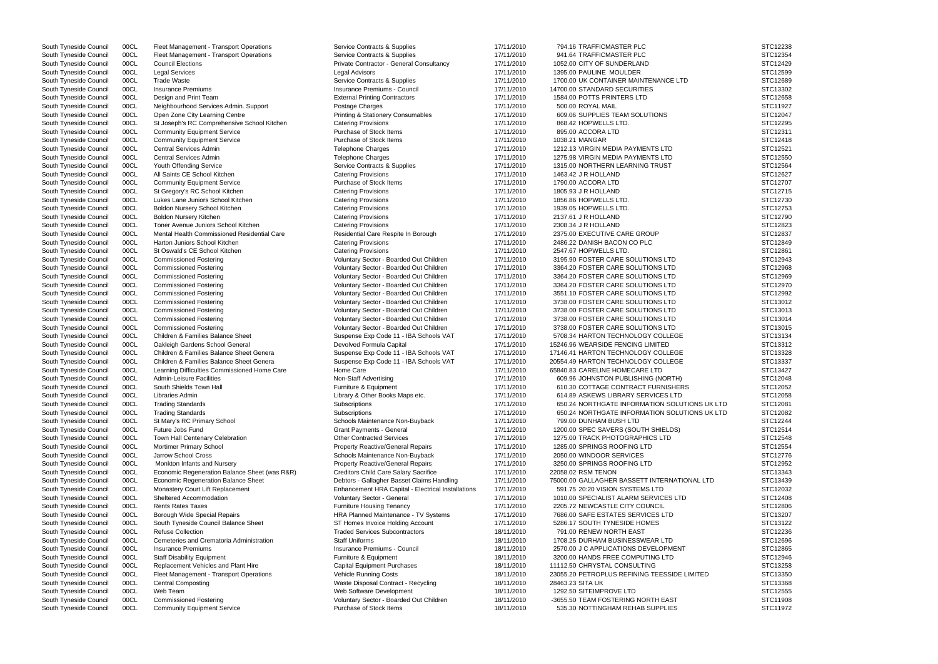| South Tyneside Council | <b>UUCL</b> | Fleet Management - Transport Operations       | Service Contracts & Supplies                       | 11/11/2010 | 194.10 IRAFFIUMASIER PLU                      | <b>DICIZZJC</b> |
|------------------------|-------------|-----------------------------------------------|----------------------------------------------------|------------|-----------------------------------------------|-----------------|
| South Tyneside Council | 00CL        | Fleet Management - Transport Operations       | Service Contracts & Supplies                       | 17/11/2010 | 941.64 TRAFFICMASTER PLC                      | STC12354        |
| South Tyneside Council | 00CL        | <b>Council Elections</b>                      | Private Contractor - General Consultancy           | 17/11/2010 | 1052.00 CITY OF SUNDERLAND                    | STC12429        |
| South Tyneside Council | 00CL        | <b>Legal Services</b>                         | Legal Advisors                                     | 17/11/2010 | 1395.00 PAULINE MOULDER                       | STC12599        |
| South Tyneside Council | 00CL        | <b>Trade Waste</b>                            | Service Contracts & Supplies                       | 17/11/2010 | 1700.00 UK CONTAINER MAINTENANCE LTD          | STC12689        |
| South Tyneside Council | 00CL        | <b>Insurance Premiums</b>                     | Insurance Premiums - Council                       | 17/11/2010 | 14700.00 STANDARD SECURITIES                  | STC13302        |
| South Tyneside Council | 00CL        | Design and Print Team                         | <b>External Printing Contractors</b>               | 17/11/2010 | 1584.00 POTTS PRINTERS LTD                    | STC12658        |
| South Tyneside Council | 00CL        | Neighbourhood Services Admin. Support         | Postage Charges                                    | 17/11/2010 | 500.00 ROYAL MAIL                             | STC11927        |
|                        | 00CL        | Open Zone City Learning Centre                |                                                    | 17/11/2010 | 609.06 SUPPLIES TEAM SOLUTIONS                | STC12047        |
| South Tyneside Council |             |                                               | <b>Printing &amp; Stationery Consumables</b>       |            |                                               |                 |
| South Tyneside Council | 00CL        | St Joseph's RC Comprehensive School Kitchen   | <b>Catering Provisions</b>                         | 17/11/2010 | 868.42 HOPWELLS LTD.                          | STC12295        |
| South Tyneside Council | 00CL        | <b>Community Equipment Service</b>            | Purchase of Stock Items                            | 17/11/2010 | 895.00 ACCORA LTD                             | STC12311        |
| South Tyneside Council | 00CL        | <b>Community Equipment Service</b>            | Purchase of Stock Items                            | 17/11/2010 | 1038.21 MANGAR                                | STC12418        |
| South Tyneside Council | 00CL        | Central Services Admin                        | <b>Telephone Charges</b>                           | 17/11/2010 | 1212.13 VIRGIN MEDIA PAYMENTS LTD             | STC12521        |
| South Tyneside Council | 00CL        | <b>Central Services Admin</b>                 | <b>Telephone Charges</b>                           | 17/11/2010 | 1275.98 VIRGIN MEDIA PAYMENTS LTD             | STC12550        |
| South Tyneside Council | 00CL        | Youth Offending Service                       | Service Contracts & Supplies                       | 17/11/2010 | 1315.00 NORTHERN LEARNING TRUST               | STC12564        |
| South Tyneside Council | 00CL        | All Saints CE School Kitchen                  | <b>Catering Provisions</b>                         | 17/11/2010 | 1463.42 J R HOLLAND                           | STC12627        |
| South Tyneside Council | 00CL        | <b>Community Equipment Service</b>            | Purchase of Stock Items                            | 17/11/2010 | 1790.00 ACCORA LTD                            | STC12707        |
| South Tyneside Council | 00CL        | St Gregory's RC School Kitchen                | <b>Catering Provisions</b>                         | 17/11/2010 | 1805.93 J R HOLLAND                           | STC12715        |
| South Tyneside Council | 00CL        | Lukes Lane Juniors School Kitchen             | <b>Catering Provisions</b>                         | 17/11/2010 | 1856.86 HOPWELLS LTD.                         | STC12730        |
| South Tyneside Council | 00CL        | Boldon Nursery School Kitchen                 | <b>Catering Provisions</b>                         | 17/11/2010 | 1939.05 HOPWELLS LTD.                         | STC12753        |
| South Tyneside Council | 00CL        | <b>Boldon Nursery Kitchen</b>                 | <b>Catering Provisions</b>                         | 17/11/2010 | 2137.61 J R HOLLAND                           | STC12790        |
| South Tyneside Council | 00CL        | Toner Avenue Juniors School Kitchen           | <b>Catering Provisions</b>                         | 17/11/2010 | 2308.34 J R HOLLAND                           | STC12823        |
| South Tyneside Council | 00CL        | Mental Health Commissioned Residential Care   | Residential Care Respite In Borough                | 17/11/2010 | 2375.00 EXECUTIVE CARE GROUP                  | STC12837        |
| South Tyneside Council | 00CL        | Harton Juniors School Kitchen                 | <b>Catering Provisions</b>                         | 17/11/2010 | 2486.22 DANISH BACON CO PLC                   | STC12849        |
| South Tyneside Council | 00CL        | St Oswald's CE School Kitchen                 | <b>Catering Provisions</b>                         | 17/11/2010 | 2547.67 HOPWELLS LTD.                         | STC12861        |
|                        |             |                                               |                                                    |            |                                               |                 |
| South Tyneside Council | 00CL        | <b>Commissioned Fostering</b>                 | Voluntary Sector - Boarded Out Children            | 17/11/2010 | 3195.90 FOSTER CARE SOLUTIONS LTD             | STC12943        |
| South Tyneside Council | 00CL        | <b>Commissioned Fostering</b>                 | Voluntary Sector - Boarded Out Children            | 17/11/2010 | 3364.20 FOSTER CARE SOLUTIONS LTD             | STC12968        |
| South Tyneside Council | 00CL        | <b>Commissioned Fostering</b>                 | Voluntary Sector - Boarded Out Children            | 17/11/2010 | 3364.20 FOSTER CARE SOLUTIONS LTD             | STC12969        |
| South Tyneside Council | 00CL        | <b>Commissioned Fostering</b>                 | Voluntary Sector - Boarded Out Children            | 17/11/2010 | 3364.20 FOSTER CARE SOLUTIONS LTD             | STC12970        |
| South Tyneside Council | 00CL        | <b>Commissioned Fostering</b>                 | Voluntary Sector - Boarded Out Children            | 17/11/2010 | 3551.10 FOSTER CARE SOLUTIONS LTD             | STC12992        |
| South Tyneside Council | 00CL        | <b>Commissioned Fostering</b>                 | Voluntary Sector - Boarded Out Children            | 17/11/2010 | 3738.00 FOSTER CARE SOLUTIONS LTD             | STC13012        |
| South Tyneside Council | 00CL        | <b>Commissioned Fostering</b>                 | Voluntary Sector - Boarded Out Children            | 17/11/2010 | 3738.00 FOSTER CARE SOLUTIONS LTD             | STC13013        |
| South Tyneside Council | 00CL        | <b>Commissioned Fostering</b>                 | Voluntary Sector - Boarded Out Children            | 17/11/2010 | 3738.00 FOSTER CARE SOLUTIONS LTD             | STC13014        |
| South Tyneside Council | 00CL        | <b>Commissioned Fostering</b>                 | Voluntary Sector - Boarded Out Children            | 17/11/2010 | 3738.00 FOSTER CARE SOLUTIONS LTD             | STC13015        |
| South Tyneside Council | 00CL        | <b>Children &amp; Families Balance Sheet</b>  | Suspense Exp Code 11 - IBA Schools VAT             | 17/11/2010 | 5708.34 HARTON TECHNOLOGY COLLEGE             | STC13134        |
| South Tyneside Council | 00CL        | Oakleigh Gardens School General               | Devolved Formula Capital                           | 17/11/2010 | 15246.96 WEARSIDE FENCING LIMITED             | STC13312        |
| South Tyneside Council | 00CL        | Children & Families Balance Sheet Genera      | Suspense Exp Code 11 - IBA Schools VAT             | 17/11/2010 | 17146.41 HARTON TECHNOLOGY COLLEGE            | STC13328        |
| South Tyneside Council | 00CL        | Children & Families Balance Sheet Genera      | Suspense Exp Code 11 - IBA Schools VAT             | 17/11/2010 | 20554.49 HARTON TECHNOLOGY COLLEGE            | STC13337        |
| South Tyneside Council | 00CL        | Learning Difficulties Commissioned Home Care  | Home Care                                          | 17/11/2010 | 65840.83 CARELINE HOMECARE LTD                | STC13427        |
| South Tyneside Council | 00CL        | Admin-Leisure Facilities                      | Non-Staff Advertising                              | 17/11/2010 | 609.96 JOHNSTON PUBLISHING (NORTH)            | STC12048        |
| South Tyneside Council | 00CL        | South Shields Town Hall                       | Furniture & Equipment                              | 17/11/2010 | 610.30 COTTAGE CONTRACT FURNISHERS            | STC12052        |
| South Tyneside Council | 00CL        | Libraries Admin                               | Library & Other Books Maps etc.                    | 17/11/2010 | 614.89 ASKEWS LIBRARY SERVICES LTD            | STC12058        |
|                        |             |                                               |                                                    |            |                                               |                 |
| South Tyneside Council | 00CL        | <b>Trading Standards</b>                      | Subscriptions                                      | 17/11/2010 | 650.24 NORTHGATE INFORMATION SOLUTIONS UK LTD | STC12081        |
| South Tyneside Council | 00CL        | <b>Trading Standards</b>                      | Subscriptions                                      | 17/11/2010 | 650.24 NORTHGATE INFORMATION SOLUTIONS UK LTD | STC12082        |
| South Tyneside Council | 00CL        | St Mary's RC Primary School                   | Schools Maintenance Non-Buyback                    | 17/11/2010 | 799.00 DUNHAM BUSH LTD                        | STC12244        |
| South Tyneside Council | 00CL        | Future Jobs Fund                              | <b>Grant Payments - General</b>                    | 17/11/2010 | 1200.00 SPEC SAVERS (SOUTH SHIELDS)           | STC12514        |
| South Tyneside Council | 00CL        | Town Hall Centenary Celebration               | <b>Other Contracted Services</b>                   | 17/11/2010 | 1275.00 TRACK PHOTOGRAPHICS LTD               | STC12548        |
| South Tyneside Council | 00CL        | <b>Mortimer Primary School</b>                | <b>Property Reactive/General Repairs</b>           | 17/11/2010 | 1285.00 SPRINGS ROOFING LTD                   | STC12554        |
| South Tyneside Council | 00CL        | Jarrow School Cross                           | Schools Maintenance Non-Buyback                    | 17/11/2010 | 2050.00 WINDOOR SERVICES                      | STC12776        |
| South Tyneside Council | 00CL        | Monkton Infants and Nursery                   | Property Reactive/General Repairs                  | 17/11/2010 | 3250.00 SPRINGS ROOFING LTD                   | STC12952        |
| South Tyneside Council | 00CL        | Economic Regeneration Balance Sheet (was R&R) | <b>Creditors Child Care Salary Sacrifice</b>       | 17/11/2010 | 22058.02 RSM TENON                            | STC13343        |
| South Tyneside Council | 00CL        | <b>Economic Regeneration Balance Sheet</b>    | Debtors - Gallagher Basset Claims Handling         | 17/11/2010 | 75000.00 GALLAGHER BASSETT INTERNATIONAL LTD  | STC13439        |
| South Tyneside Council | 00CL        | Monastery Court Lift Replacement              | Enhancement HRA Capital - Electrical Installations | 17/11/2010 | 591.75 20:20 VISION SYSTEMS LTD               | STC12032        |
| South Tyneside Council | 00CL        | Sheltered Accommodation                       | Voluntary Sector - General                         | 17/11/2010 | 1010.00 SPECIALIST ALARM SERVICES LTD         | STC12408        |
| South Tyneside Council | 00CL        | <b>Rents Rates Taxes</b>                      | <b>Furniture Housing Tenancy</b>                   | 17/11/2010 | 2205.72 NEWCASTLE CITY COUNCIL                | STC12806        |
| South Tyneside Council | 00CL        | Borough Wide Special Repairs                  | HRA Planned Maintenance - TV Systems               | 17/11/2010 | 7686.00 SAFE ESTATES SERVICES LTD             | STC13207        |
| South Tyneside Council | 00CL        |                                               |                                                    | 17/11/2010 | 5286.17 SOUTH TYNESIDE HOMES                  | STC13122        |
|                        |             | South Tyneside Council Balance Sheet          | ST Homes Invoice Holding Account                   |            |                                               |                 |
| South Tyneside Council | 00CL        | <b>Refuse Collection</b>                      | <b>Traded Services Subcontractors</b>              | 18/11/2010 | 791.00 RENEW NORTH EAST                       | STC12236        |
| South Tyneside Council | 00CL        | Cemeteries and Crematoria Administration      | <b>Staff Uniforms</b>                              | 18/11/2010 | 1708.25 DURHAM BUSINESSWEAR LTD               | STC12696        |
| South Tyneside Council | 00CL        | <b>Insurance Premiums</b>                     | Insurance Premiums - Council                       | 18/11/2010 | 2570.00 J C APPLICATIONS DEVELOPMENT          | STC12865        |
| South Tyneside Council | 00CL        | <b>Staff Disability Equipment</b>             | Furniture & Equipment                              | 18/11/2010 | 3200.00 HANDS FREE COMPUTING LTD              | STC12946        |
| South Tyneside Council | 00CL        | Replacement Vehicles and Plant Hire           | <b>Capital Equipment Purchases</b>                 | 18/11/2010 | 11112.50 CHRYSTAL CONSULTING                  | STC13258        |
| South Tyneside Council | 00CL        | Fleet Management - Transport Operations       | Vehicle Running Costs                              | 18/11/2010 | 23055.20 PETROPLUS REFINING TEESSIDE LIMITED  | STC13350        |
| South Tyneside Council | 00CL        | <b>Central Composting</b>                     | Waste Disposal Contract - Recycling                | 18/11/2010 | 28463.23 SITA UK                              | STC13368        |
| South Tyneside Council | 00CL        | Web Team                                      | Web Software Development                           | 18/11/2010 | 1292.50 SITEIMPROVE LTD                       | STC12555        |
| South Tyneside Council | 00CL        | <b>Commissioned Fostering</b>                 | Voluntary Sector - Boarded Out Children            | 18/11/2010 | -3655.50 TEAM FOSTERING NORTH EAST            | STC11908        |
| South Tyneside Council | 00CL        | <b>Community Equipment Service</b>            | Purchase of Stock Items                            | 18/11/2010 | 535.30 NOTTINGHAM REHAB SUPPLIES              | STC11972        |
|                        |             |                                               |                                                    |            |                                               |                 |

| STC12238 |
|----------|
|          |
| STC12354 |
|          |
| STC12429 |
| STC12599 |
|          |
| STC12689 |
|          |
| STC13302 |
|          |
| STC12658 |
|          |
| STC11927 |
| STC12047 |
|          |
| STC12295 |
|          |
| STC12311 |
|          |
| STC12418 |
|          |
| STC12521 |
| STC12550 |
|          |
| STC12564 |
|          |
| STC12627 |
|          |
| STC12707 |
|          |
| STC12715 |
| STC12730 |
|          |
| STC12753 |
|          |
| STC12790 |
|          |
| STC12823 |
| STC12837 |
|          |
| STC12849 |
|          |
| STC12861 |
|          |
| STC12943 |
| STC12968 |
|          |
| STC12969 |
|          |
| STC12970 |
|          |
| STC12992 |
|          |
| STC13012 |
| STC13013 |
|          |
| STC13014 |
|          |
| STC13015 |
|          |
| STC13134 |
| STC13312 |
|          |
| STC13328 |
|          |
| STC13337 |
|          |
| STC13427 |
| STC12048 |
|          |
| STC12052 |
|          |
| STC12058 |
|          |
| STC12081 |
| STC12082 |
|          |
| STC12244 |
|          |
| STC12514 |
| STC12548 |
|          |
| STC12554 |
|          |
| STC12776 |
| STC12952 |
|          |
| STC13343 |
|          |
| STC13439 |
|          |
| STC12032 |
|          |
|          |
| STC12408 |
|          |
| STC12806 |
|          |
| STC13207 |
|          |
| STC13122 |
| STC12236 |
|          |
| STC12696 |
|          |
| STC12865 |
| STC12946 |
|          |
| STC13258 |
|          |
| STC13350 |
|          |
| STC13368 |
| STC12555 |
|          |
| STC11908 |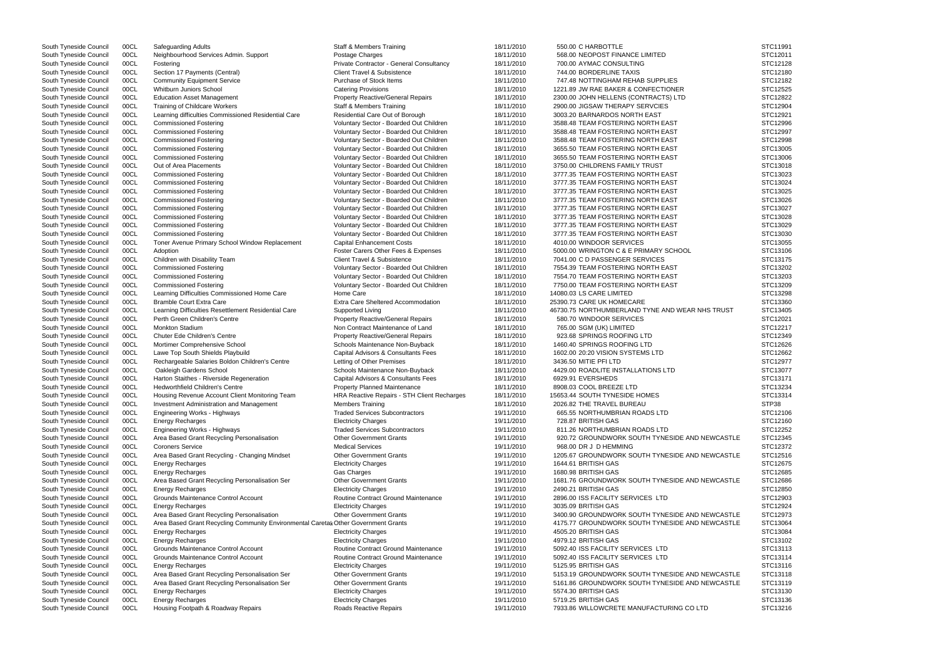| South Tyneside Council | 00CL | Safeguarding Adults                                                                | Staff & Members Training                    | 18/11/2010 | 550.00 C HARBOTTLE                              | STC11991 |
|------------------------|------|------------------------------------------------------------------------------------|---------------------------------------------|------------|-------------------------------------------------|----------|
| South Tyneside Council | 00CL | Neighbourhood Services Admin. Support                                              | Postage Charges                             | 18/11/2010 | 568.00 NEOPOST FINANCE LIMITED                  | STC12011 |
| South Tyneside Council | 00CL | Fostering                                                                          | Private Contractor - General Consultancy    | 18/11/2010 | 700.00 AYMAC CONSULTING                         | STC12128 |
| South Tyneside Council | 00CL | Section 17 Payments (Central)                                                      | <b>Client Travel &amp; Subsistence</b>      | 18/11/2010 | 744.00 BORDERLINE TAXIS                         | STC12180 |
| South Tyneside Council | 00CL | <b>Community Equipment Service</b>                                                 | Purchase of Stock Items                     | 18/11/2010 | 747.48 NOTTINGHAM REHAB SUPPLIES                | STC12182 |
| South Tyneside Council | 00CL | <b>Whitburn Juniors School</b>                                                     | <b>Catering Provisions</b>                  | 18/11/2010 | 1221.89 JW RAE BAKER & CONFECTIONER             | STC12525 |
| South Tyneside Council | 00CL | <b>Education Asset Management</b>                                                  |                                             |            |                                                 | STC12822 |
|                        |      |                                                                                    | <b>Property Reactive/General Repairs</b>    | 18/11/2010 | 2300.00 JOHN HELLENS (CONTRACTS) LTD            |          |
| South Tyneside Council | 00CL | <b>Training of Childcare Workers</b>                                               | Staff & Members Training                    | 18/11/2010 | 2900.00 JIGSAW THERAPY SERVCIES                 | STC12904 |
| South Tyneside Council | 00CL | Learning difficulties Commissioned Residential Care                                | Residential Care Out of Borough             | 18/11/2010 | 3003.20 BARNARDOS NORTH EAST                    | STC12921 |
| South Tyneside Council | 00CL | <b>Commissioned Fostering</b>                                                      | Voluntary Sector - Boarded Out Children     | 18/11/2010 | 3588.48 TEAM FOSTERING NORTH EAST               | STC12996 |
| South Tyneside Council | 00CL | <b>Commissioned Fostering</b>                                                      | Voluntary Sector - Boarded Out Children     | 18/11/2010 | 3588.48 TEAM FOSTERING NORTH EAST               | STC12997 |
| South Tyneside Council | 00CL | <b>Commissioned Fostering</b>                                                      | Voluntary Sector - Boarded Out Children     | 18/11/2010 | 3588.48 TEAM FOSTERING NORTH EAST               | STC12998 |
| South Tyneside Council | 00CL | <b>Commissioned Fostering</b>                                                      | Voluntary Sector - Boarded Out Children     | 18/11/2010 | 3655.50 TEAM FOSTERING NORTH EAST               | STC13005 |
| South Tyneside Council | 00CL | <b>Commissioned Fostering</b>                                                      | Voluntary Sector - Boarded Out Children     | 18/11/2010 | 3655.50 TEAM FOSTERING NORTH EAST               | STC13006 |
| South Tyneside Council | 00CL | Out of Area Placements                                                             | Voluntary Sector - Boarded Out Children     | 18/11/2010 | 3750.00 CHILDRENS FAMILY TRUST                  | STC13018 |
| South Tyneside Council | 00CL | <b>Commissioned Fostering</b>                                                      | Voluntary Sector - Boarded Out Children     | 18/11/2010 | 3777.35 TEAM FOSTERING NORTH EAST               | STC13023 |
| South Tyneside Council | 00CL | <b>Commissioned Fostering</b>                                                      | Voluntary Sector - Boarded Out Children     | 18/11/2010 | 3777.35 TEAM FOSTERING NORTH EAST               | STC13024 |
|                        | 00CL | <b>Commissioned Fostering</b>                                                      | Voluntary Sector - Boarded Out Children     | 18/11/2010 | 3777.35 TEAM FOSTERING NORTH EAST               | STC13025 |
| South Tyneside Council |      |                                                                                    |                                             |            |                                                 | STC13026 |
| South Tyneside Council | 00CL | <b>Commissioned Fostering</b>                                                      | Voluntary Sector - Boarded Out Children     | 18/11/2010 | 3777.35 TEAM FOSTERING NORTH EAST               |          |
| South Tyneside Council | 00CL | <b>Commissioned Fostering</b>                                                      | Voluntary Sector - Boarded Out Children     | 18/11/2010 | 3777.35 TEAM FOSTERING NORTH EAST               | STC13027 |
| South Tyneside Council | 00CL | <b>Commissioned Fostering</b>                                                      | Voluntary Sector - Boarded Out Children     | 18/11/2010 | 3777.35 TEAM FOSTERING NORTH EAST               | STC13028 |
| South Tyneside Council | 00CL | <b>Commissioned Fostering</b>                                                      | Voluntary Sector - Boarded Out Children     | 18/11/2010 | 3777.35 TEAM FOSTERING NORTH EAST               | STC13029 |
| South Tyneside Council | 00CL | <b>Commissioned Fostering</b>                                                      | Voluntary Sector - Boarded Out Children     | 18/11/2010 | 3777.35 TEAM FOSTERING NORTH EAST               | STC13030 |
| South Tyneside Council | 00CL | Toner Avenue Primary School Window Replacement                                     | <b>Capital Enhancement Costs</b>            | 18/11/2010 | 4010.00 WINDOOR SERVICES                        | STC13055 |
| South Tyneside Council | 00CL | Adoption                                                                           | Foster Carers Other Fees & Expenses         | 18/11/2010 | 5000.00 WRINGTON C & E PRIMARY SCHOOL           | STC13106 |
| South Tyneside Council | 00CL | Children with Disability Team                                                      | <b>Client Travel &amp; Subsistence</b>      | 18/11/2010 | 7041.00 C D PASSENGER SERVICES                  | STC13175 |
| South Tyneside Council | 00CL | <b>Commissioned Fostering</b>                                                      | Voluntary Sector - Boarded Out Children     | 18/11/2010 | 7554.39 TEAM FOSTERING NORTH EAST               | STC13202 |
| South Tyneside Council | 00CL | <b>Commissioned Fostering</b>                                                      | Voluntary Sector - Boarded Out Children     | 18/11/2010 | 7554.70 TEAM FOSTERING NORTH EAST               | STC13203 |
| South Tyneside Council | 00CL | <b>Commissioned Fostering</b>                                                      | Voluntary Sector - Boarded Out Children     | 18/11/2010 | 7750.00 TEAM FOSTERING NORTH EAST               | STC13209 |
|                        | 00CL | Learning Difficulties Commissioned Home Care                                       | Home Care                                   | 18/11/2010 | 14080.03 LS CARE LIMITED                        | STC13298 |
| South Tyneside Council |      |                                                                                    |                                             |            |                                                 |          |
| South Tyneside Council | 00CL | <b>Bramble Court Extra Care</b>                                                    | Extra Care Sheltered Accommodation          | 18/11/2010 | 25390.73 CARE UK HOMECARE                       | STC13360 |
| South Tyneside Council | 00CL | Learning Difficulties Resettlement Residential Care                                | Supported Living                            | 18/11/2010 | 46730.75 NORTHUMBERLAND TYNE AND WEAR NHS TRUST | STC13405 |
| South Tyneside Council | 00CL | Perth Green Children's Centre                                                      | <b>Property Reactive/General Repairs</b>    | 18/11/2010 | 580.70 WINDOOR SERVICES                         | STC12021 |
| South Tyneside Council | 00CL | <b>Monkton Stadium</b>                                                             | Non Contract Maintenance of Land            | 18/11/2010 | 765.00 SGM (UK) LIMITED                         | STC12217 |
| South Tyneside Council | 00CL | <b>Chuter Ede Children's Centre</b>                                                | <b>Property Reactive/General Repairs</b>    | 18/11/2010 | 923.68 SPRINGS ROOFING LTD                      | STC12349 |
| South Tyneside Council | 00CL | Mortimer Comprehensive School                                                      | Schools Maintenance Non-Buyback             | 18/11/2010 | 1460.40 SPRINGS ROOFING LTD                     | STC12626 |
| South Tyneside Council | 00CL | Lawe Top South Shields Playbuild                                                   | Capital Advisors & Consultants Fees         | 18/11/2010 | 1602.00 20:20 VISION SYSTEMS LTD                | STC12662 |
| South Tyneside Council | 00CL | Rechargeable Salaries Boldon Children's Centre                                     | Letting of Other Premises                   | 18/11/2010 | 3436.50 MITIE PFI LTD                           | STC12977 |
| South Tyneside Council | 00CL | Oakleigh Gardens School                                                            | Schools Maintenance Non-Buyback             | 18/11/2010 | 4429.00 ROADLITE INSTALLATIONS LTD              | STC13077 |
| South Tyneside Council | 00CL | Harton Staithes - Riverside Regeneration                                           | Capital Advisors & Consultants Fees         | 18/11/2010 | 6929.91 EVERSHEDS                               | STC13171 |
| South Tyneside Council | 00CL | <b>Hedworthfield Children's Centre</b>                                             | <b>Property Planned Maintenance</b>         | 18/11/2010 | 8908.03 COOL BREEZE LTD                         | STC13234 |
|                        |      |                                                                                    |                                             |            |                                                 |          |
| South Tyneside Council | 00CL | Housing Revenue Account Client Monitoring Team                                     | HRA Reactive Repairs - STH Client Recharges | 18/11/2010 | 15653.44 SOUTH TYNESIDE HOMES                   | STC13314 |
| South Tyneside Council | 00CL | Investment Administration and Management                                           | <b>Members Training</b>                     | 18/11/2010 | 2026.82 THE TRAVEL BUREAU                       | STP38    |
| South Tyneside Council | 00CL | Engineering Works - Highways                                                       | <b>Traded Services Subcontractors</b>       | 19/11/2010 | 665.55 NORTHUMBRIAN ROADS LTD                   | STC12106 |
| South Tyneside Council | 00CL | <b>Energy Recharges</b>                                                            | <b>Electricity Charges</b>                  | 19/11/2010 | 728.87 BRITISH GAS                              | STC12160 |
| South Tyneside Council | 00CL | Engineering Works - Highways                                                       | <b>Traded Services Subcontractors</b>       | 19/11/2010 | 811.26 NORTHUMBRIAN ROADS LTD                   | STC12252 |
| South Tyneside Council | 00CL | Area Based Grant Recycling Personalisation                                         | <b>Other Government Grants</b>              | 19/11/2010 | 920.72 GROUNDWORK SOUTH TYNESIDE AND NEWCASTLE  | STC12345 |
| South Tyneside Council | 00CL | <b>Coroners Service</b>                                                            | <b>Medical Services</b>                     | 19/11/2010 | 968.00 DR J D HEMMING                           | STC12372 |
| South Tyneside Council | 00CL | Area Based Grant Recycling - Changing Mindset                                      | <b>Other Government Grants</b>              | 19/11/2010 | 1205.67 GROUNDWORK SOUTH TYNESIDE AND NEWCASTLE | STC12516 |
| South Tyneside Council | 00CL | <b>Energy Recharges</b>                                                            | <b>Electricity Charges</b>                  | 19/11/2010 | 1644.61 BRITISH GAS                             | STC12675 |
| South Tyneside Council | 00CL | <b>Energy Recharges</b>                                                            | Gas Charges                                 | 19/11/2010 | 1680.98 BRITISH GAS                             | STC12685 |
| South Tyneside Council | 00CL | Area Based Grant Recycling Personalisation Ser                                     | <b>Other Government Grants</b>              | 19/11/2010 | 1681.76 GROUNDWORK SOUTH TYNESIDE AND NEWCASTLE | STC12686 |
|                        |      |                                                                                    |                                             |            |                                                 | STC12850 |
| South Tyneside Council | 00CL | <b>Energy Recharges</b>                                                            | <b>Electricity Charges</b>                  | 19/11/2010 | 2490.21 BRITISH GAS                             |          |
| South Tyneside Council | 00CL | Grounds Maintenance Control Account                                                | Routine Contract Ground Maintenance         | 19/11/2010 | 2896.00 ISS FACILITY SERVICES LTD               | STC12903 |
| South Tyneside Council | 00CL | <b>Energy Recharges</b>                                                            | <b>Electricity Charges</b>                  | 19/11/2010 | 3035.09 BRITISH GAS                             | STC12924 |
| South Tyneside Council | 00CL | Area Based Grant Recycling Personalisation                                         | <b>Other Government Grants</b>              | 19/11/2010 | 3400.90 GROUNDWORK SOUTH TYNESIDE AND NEWCASTLE | STC12973 |
| South Tyneside Council | 00CL | Area Based Grant Recycling Community Environmental Caretal Other Government Grants |                                             | 19/11/2010 | 4175.77 GROUNDWORK SOUTH TYNESIDE AND NEWCASTLE | STC13064 |
| South Tyneside Council | 00CL | <b>Energy Recharges</b>                                                            | <b>Electricity Charges</b>                  | 19/11/2010 | 4505.20 BRITISH GAS                             | STC13084 |
| South Tyneside Council | 00CL | Energy Recharges                                                                   | <b>Electricity Charges</b>                  | 19/11/2010 | 4979.12 BRITISH GAS                             | STC13102 |
| South Tyneside Council | 00CL | Grounds Maintenance Control Account                                                | <b>Routine Contract Ground Maintenance</b>  | 19/11/2010 | 5092.40 ISS FACILITY SERVICES LTD               | STC13113 |
| South Tyneside Council | 00CL | Grounds Maintenance Control Account                                                | Routine Contract Ground Maintenance         | 19/11/2010 | 5092.40 ISS FACILITY SERVICES LTD               | STC13114 |
| South Tyneside Council | 00CL | <b>Energy Recharges</b>                                                            | <b>Electricity Charges</b>                  | 19/11/2010 | 5125.95 BRITISH GAS                             | STC13116 |
|                        | 00CL |                                                                                    | <b>Other Government Grants</b>              | 19/11/2010 | 5153.19 GROUNDWORK SOUTH TYNESIDE AND NEWCASTLE | STC13118 |
| South Tyneside Council |      | Area Based Grant Recycling Personalisation Ser                                     |                                             |            |                                                 |          |
| South Tyneside Council | 00CL | Area Based Grant Recycling Personalisation Ser                                     | <b>Other Government Grants</b>              | 19/11/2010 | 5161.86 GROUNDWORK SOUTH TYNESIDE AND NEWCASTLE | STC13119 |
| South Tyneside Council | 00CL | <b>Energy Recharges</b>                                                            | <b>Electricity Charges</b>                  | 19/11/2010 | 5574.30 BRITISH GAS                             | STC13130 |
| South Tyneside Council | 00CL | <b>Energy Recharges</b>                                                            | <b>Electricity Charges</b>                  | 19/11/2010 | 5719.25 BRITISH GAS                             | STC13136 |
| South Tyneside Council | 00CL | Housing Footpath & Roadway Repairs                                                 | Roads Reactive Repairs                      | 19/11/2010 | 7933.86 WILLOWCRETE MANUFACTURING CO LTD        | STC13216 |

|                | STC11991 |
|----------------|----------|
|                | STC12011 |
|                | STC12128 |
|                | STC12180 |
|                |          |
|                | STC12182 |
|                | STC12525 |
|                | STC12822 |
|                | STC12904 |
|                | STC12921 |
|                |          |
|                | STC12996 |
|                | STC12997 |
|                | STC12998 |
|                | STC13005 |
|                | STC13006 |
|                |          |
|                | STC13018 |
|                | STC13023 |
|                | STC13024 |
|                | STC13025 |
|                |          |
|                | STC13026 |
|                | STC13027 |
|                | STC13028 |
|                | STC13029 |
|                | STC13030 |
|                | STC13055 |
|                |          |
|                | STC13106 |
|                | STC13175 |
|                | STC13202 |
|                | STC13203 |
|                |          |
|                | STC13209 |
|                | STC13298 |
|                | STC13360 |
| <b>STRUST</b>  | STC13405 |
|                | STC12021 |
|                |          |
|                | STC12217 |
|                | STC12349 |
|                | STC12626 |
|                | STC12662 |
|                | STC12977 |
|                |          |
|                | STC13077 |
|                | STC13171 |
|                | STC13234 |
|                | STC13314 |
|                | STP38    |
|                |          |
|                | STC12106 |
|                | STC12160 |
|                | STC12252 |
| <b>WCASTLE</b> | STC12345 |
|                | STC12372 |
| <b>WCASTLE</b> | STC12516 |
|                |          |
|                | STC12675 |
|                | STC12685 |
| <b>WCASTLE</b> | STC12686 |
|                | STC12850 |
|                | STC12903 |
|                |          |
|                | STC12924 |
| <b>WCASTLE</b> | STC12973 |
| <b>WCASTLE</b> | STC13064 |
|                | STC13084 |
|                | STC13102 |
|                |          |
|                | STC13113 |
|                | STC13114 |
|                | STC13116 |
| <b>WCASTLE</b> | STC13118 |
| <b>WCASTLE</b> | STC13119 |
|                |          |
|                | STC13130 |
|                | STC13136 |
|                | STC13216 |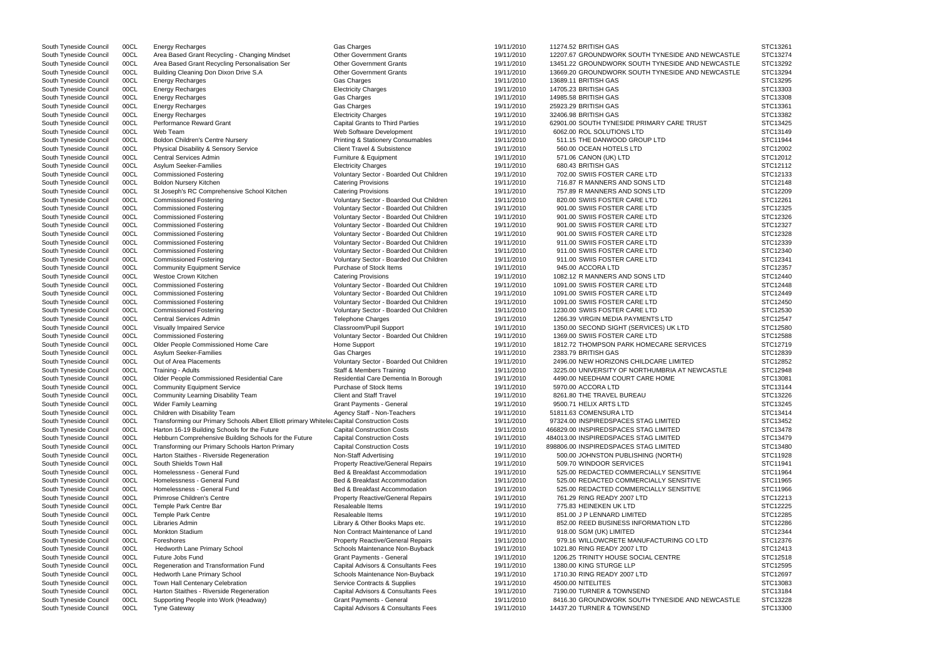South Tyneside Council COCL Transforming our Primary Schools Albert Elliott primary Whitele Capital Construction Costs 19/11/2010 97324.00 INSPIREDSPACES STAG LIMITED STC13452 South Tyneside Council 00CL Area Based Grant Recycling - Changing Mindset Other Government Grants 19/11/2010 12207.67 GROUNDWORK SOUTH TYNESIDE AND NE South Tyneside Council 00CL Area Based Grant Recycling Personalisation Ser **Other Government Grants** 19/11/2010 13451.22 GROUNDWORK SOUTH TYNESIDE AND NEW South Tyneside Council 00CL Building Cleaning Don Dixon Drive S.A Other Government Grants 19/11/2010 13669.20 GROUNDWORK SOUTH TYNESIDE AND NEW South Tyneside Council 00CL Energy Recharges 19/11/2010 13689.11 BRITISH GAS STC13295 South Tyneside Council 00CL Energy Recharges 19/11/2010 14705.23 BRITISH GAS STC13303 STC13303 South Tyneside Council 00CL Energy Recharges 19/11/2010 14985.58 BRITISH GAS STC13308 South Tyneside Council 00CL Energy Recharges 25923.29 BRITISH GAS STC13361 STC13361 South Tyneside Council 00CL Energy Recharges Electricity Charges 19/11/2010 32406.98 BRITISH GAS STC13382 South Tyneside Council 00CL Performance Reward Grant Capital Crant Capital Grants to Third Parties 19/11/2010 62901.00 SOUTH TYNESIDE PRIMARY CARE TRUST South Tyneside Council 00CL Web Team Web Software Development 19/11/2010 6062.00 ROL SOLUTIONS LTD STC13149 South Tyneside Council 00CL Boldon Children's Centre Nursery examples Printing & Stationery Consumables 19/11/2010 511.15 THE DANWOOD GROUP LTD South Tyneside Council 00CL Physical Disability & Sensory Service Client Travel & Subsistence 19/11/2010 560.00 OCEAN HOTELS LTD South Tyneside Council COCL Central Services Admin Nature 19/11/2010 571.06 CANON (UK) LTD STC12012 STC12012 STC12012 South Tyneside Council COCL Asylum Seeker-Families (STC12112 Electricity Charges 19/11/2010 680.43 BRITISH GAS STC12112 South Tyneside Council 00CL Commissioned Fostering The State of Coluntary Sector - Boarded Out Children 19/11/2010 702.00 SWIIS FOSTER CARE LTD South Tyneside Council 00CL Boldon Nursery Kitchen Catering Provisions Catering Provisions 19/11/2010 716.87 R MANNERS AND SONS LTD South Tyneside Council 00CL St Joseph's RC Comprehensive School Kitchen Catering Provisions Catering Provisions 19/11/2010 757.89 R MANNERS AND SONS LTD SONS LTD SOUNT AT STAGE AND SONS LTD SOUNT AT STAGE AND SONS LTD STEI OOCL Commissioned Fostering Council 2000 Voluntary Sector - Boarded Out Children 19/11/2010 820.00 SWIIS FOSTER CARE LTD South Tyneside Council 00CL Commissioned Fostering Commissioned Fostering Voluntary Sector - Boarded Out Children 19/11/2010 901.00 SWIIS FOSTER CARE LTD South Tyneside Council 00CL Commissioned Fostering variable voluntary Sector - Boarded Out Children 19/11/2010 901.00 SWIIS FOSTER CARE LTD South Tyneside Council 00CL Commissioned Fostering COM State Commissioned Fostering Voluntary Sector - Boarded Out Children 19/11/2010 901.00 SWIIS FOSTER CARE LTD South Tyneside Council 00CL Commissioned Fostering COM States and Municary Sector - Boarded Out Children 19/11/2010 901.00 SWIIS FOSTER CARE LTD South Tyneside Council 00CL Commissioned Fostering Commissioned Fostering Voluntary Sector - Boarded Out Children 19/11/2010 911.00 SWIIS FOSTER CARE LTD South Tyneside Council 00CL Commissioned Fostering **Suppleman Sector - Soundary Sector - Boarded Out Children** 19/11/2010 911.00 SWIIS FOSTER CARE LTD South Tyneside Council 00CL Commissioned Fostering COM State Commissioned Fostering Commissioned Fostering Council Voluntary Sector - Boarded Out Children 19/11/2010 911.00 SWIIS FOSTER CARE LTD South Tyneside Council COOL Community Equipment Service **Purchase of Stock Items 19/11/2010** 945.00 ACCORA LTD STC12357 South Tyneside Council 00CL Westoe Crown Kitchen Catering Provisions Catering Provisions 19/11/2010 1082.12 R MANNERS AND SONS LTD South Tyneside Council 00CL Commissioned Fostering COM States and Mountary Sector - Boarded Out Children 19/11/2010 1091.00 SWIIS FOSTER CARE LTD South Tyneside Council 00CL Commissioned Fostering The State of Coluntary Sector - Boarded Out Children 19/11/2010 1091.00 SWIIS FOSTER CARE LTD South Tyneside Council 00CL Commissioned Fostering Commissioned Fostering Voluntary Sector - Boarded Out Children 19/11/2010 1091.00 SWIIS FOSTER CARE LTD South Tyneside Council 00CL Commissioned Fostering variable voluntary Sector - Boarded Out Children 19/11/2010 1230.00 SWIIS FOSTER CARE LTD South Tyneside Council 00CL Central Services Admin 1976 1976 1977 Telephone Charges 19/11/2010 1266.39 VIRGIN MEDIA PAYMENTS LTD South Tyneside Council 00CL Visually Impaired Service Classroom/Pupil Support Classroom/Pupil Support 19/11/2010 1350.00 SECOND SIGHT (SERVICES) UK LTD South Tyneside Council 00CL Commissioned Fostering Commissioned Fostering Voluntary Sector - Boarded Out Children 19/11/2010 1369.00 SWIIS FOSTER CARE LTD South Tyneside Council 00CL Older People Commissioned Home Care Home Support Nume Support 19/11/2010 1812.72 THOMPSON PARK HOMECARE SERVICES South Tyneside Council 00CL Asylum Seeker-Families Gas Charges 19/11/2010 2383.79 BRITISH GAS STC12839 South Tyneside Council 00CL Out of Area Placements Council Council Council Voluntary Sector - Boarded Out Children 19/11/2010 2496.00 NEW HORIZONS CHILDCARE LIMITED South Tyneside Council 00CL Training - Adults Staff & Members Training Staff & Members Training 19/11/2010 3225.00 UNIVERSITY OF NORTHUMBRIA AT NEWCASTLE STC. South Tyneside Council 00CL Older People Commissioned Residential Care Residential Care Dementia In Borough 19/11/2010 4490.00 NEEDHAM COURT CARE HOME South Tyneside Council 00CL Community Equipment Service **Purchase of Stock Items** 19/11/2010 5970.00 ACCORA LTD South Tyneside Council 00CL Community Learning Disability Team Client and Staff Travel 19/11/2010 8261.80 THE TRAVEL BUREAU South Tyneside Council COCL Wider Family Learning Contain Community Crant Payments - General Country 19/11/2010 9500.71 HELIX ARTS LTD STC13245 South Tyneside Council COCL Children with Disability Team Agency Staff - Non-Teachers 19/11/2010 51811.63 COMENSURA LTD STC13414 South Tyneside Council 00CL Harton 16-19 Building Schools for the Future Capital Construction Costs 19/11/2010 466829.00 INSPIREDSPACES STAG LIMITED South Tyneside Council 00CL Hebburn Comprehensive Building Schools for the Future Capital Construction Costs 19/11/2010 484013.00 INSPIREDSPACES STAG LIMITED South Tyneside Council 00CL Transforming our Primary Schools Harton Primary Capital Construction Costs 19/11/2010 898806.00 INSPIREDSPACES STAG LIMITED South Tyneside Council 00CL Harton Staithes - Riverside Regeneration Non-Staff Advertising Non-Staff Advertising 19/11/2010 500.00 JOHNSTON PUBLISHING (NORTH) South Tyneside Council 00CL South Shields Town Hall **Property Reactive/General Repairs** 19/11/2010 509.70 WINDOOR SERVICES South Tyneside Council 00CL Homelessness - General Fund Bed & Breakfast Accommodation 19/11/2010 525.00 REDACTED COMMERCIALLY SENSITIVE South Tyneside Council 00CL Homelessness - General Fund Bed & Breakfast Accommodation 19/11/2010 525.00 REDACTED COMMERCIALLY SENSITIVE South Tyneside Council 00CL Homelessness - General Fund Bed & Breakfast Accommodation 19/11/2010 525.00 REDACTED COMMERCIALLY SENSITIVE South Tyneside Council 00CL Primrose Children's Centre **Property Reactive/General Repairs** 19/11/2010 761.29 RING READY 2007 LTD South Tyneside Council COCL Temple Park Centre Bar Resaleable Items 2009 (19/11/2010 775.83 HEINEKEN UK LTD STC12225 South Tyneside Council 00CL Temple Park Centre **Reseaux Centre Resaleable Items** 19/11/2010 851.00 J P LENNARD LIMITED South Tyneside Council 00CL Libraries Admin 1999 1999 (Library & Other Books Maps etc. 19/11/2010 852.00 REED BUSINESS INFORMATION LTD South Tyneside Council 00CL Monkton Stadium Non Contract Maintenance of Land 19/11/2010 918.00 SGM (UK) LIMITED South Tyneside Council 00CL Foreshores examples and the property Reactive/General Repairs 19/11/2010 979.16 WILLOWCRETE MANUFACTURING CO LTD South Tyneside Council 00CL Hedworth Lane Primary School School Schools Maintenance Non-Buyback 19/11/2010 1021.80 RING READY 2007 LTD South Tyneside Council 00CL Future Jobs Fund Carries Council Central Grant Payments - General 19/11/2010 1206.25 TRINITY HOUSE SOCIAL CENTRE South Tyneside Council 00CL Regeneration and Transformation Fund Capital Advisors & Consultants Fees 19/11/2010 1380.00 KING STURGE LLP South Tyneside Council 00CL Hedworth Lane Primary School School Schools Maintenance Non-Buyback 19/11/2010 1710.30 RING READY 2007 LTD South Tyneside Council 00CL Town Hall Centenary Celebration Service Contracts & Supplies 19/11/2010 4500.00 NITELITES South Tyneside Council 00CL Harton Staithes - Riverside Regeneration Capital Advisors & Consultants Fees 19/11/2010 7190.00 TURNER & TOWNSEND South Tyneside Council 00CL Supporting People into Work (Headway) Grant Payments - General 19/11/2010 8416.30 GROUNDWORK SOUTH TYNESIDE AND NE South Tyneside Council 00CL Tyne Gateway Capital Advisors & Consultants Fees 19/11/2010 14437.20 TURNER & TOWNSEND

South Tyneside Council 00CL Energy Recharges 19/11/2010 11274.52 BRITISH GAS STC13261 STC13261

|             | STC13261             |
|-------------|----------------------|
| WCASTLE     | STC13274             |
| WCASTLE     | STC13292             |
| WCASTLE     | STC13294             |
|             | STC13295             |
|             | STC13303             |
|             | STC13308             |
|             | STC13361             |
|             | STC13382             |
|             | STC13425             |
|             | STC13149             |
|             | STC11944             |
|             | STC12002             |
|             | STC12012             |
|             | STC12112             |
|             | STC12133             |
|             | STC12148             |
|             | STC12209             |
|             | STC12261             |
|             | STC12325             |
|             | STC12326             |
|             | STC12327             |
|             | STC12328             |
|             | STC12339             |
|             | STC12340             |
|             | STC12341             |
|             | STC12357             |
|             | STC12440             |
|             | STC12448             |
|             | STC12449             |
|             | STC12450             |
|             | STC12530             |
|             | STC12547             |
|             | STC12580             |
|             | STC12588             |
|             | STC12719             |
|             | STC12839             |
|             | STC12852             |
| <b>STLE</b> | STC12948             |
|             | STC13081             |
|             | STC13144             |
|             | STC13226             |
|             | STC13245             |
|             | STC13414<br>STC13452 |
|             | STC13478             |
|             | STC13479             |
|             | STC13480             |
|             | STC11928             |
|             | STC11941             |
|             | STC11964             |
|             | STC11965             |
|             | STC11966             |
|             | STC12213             |
|             | STC12225             |
|             | STC12285             |
|             | STC12286             |
|             | STC12344             |
|             | STC12376             |
|             | STC12413             |
|             | STC12518             |
|             | STC12595             |
|             | STC12697             |
|             | STC13083             |
|             | STC13184             |
| WCASTLE     | STC13228             |
|             | STC13300             |
|             |                      |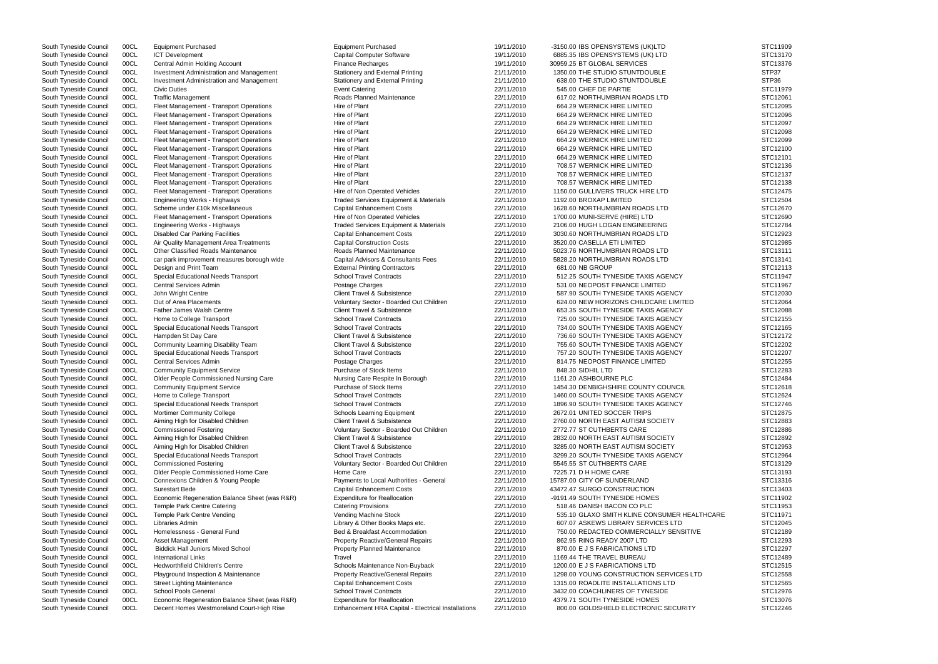South Tyneside Council 00CL ICT Development Capital Computer Software Capital Computer Software 19/11/2010 6885.35 IBS OPENSYSTEMS (UK) LTD STC13170 South Tyneside Council 00CL Central Admin Holding Account Finance Recharges Finance Recharges 19/11/2010 30959.25 BT GLOBAL SERVICES STC13376 South Tyneside Council 00CL Investment Administration and Management Stationery and External Printing 21/11/2010 1350.00 THE STUDIO STUNTDOUBLE STP37 South Tyneside Council 00CL Investment Administration and Management Stationery and External Printing 21/11/2010 638.00 THE STUDIO STUNTDOUBLE STP36 South Tyneside Council 00CL Civic Duties Event Catering 22/11/2010 545.00 CHEF DE PARTIE STC11979 South Tyneside Council 00CL Traffic Management Comment Roads Planned Maintenance 22/11/2010 617.02 NORTHUMBRIAN ROADS LTD STC12061 South Tyneside Council 00CL Fleet Management - Transport Operations Hire of Plant Hire of Plant 22/11/2010 664.29 WERNICK HIRE LIMITED STC12095 South Tyneside Council 00CL Fleet Management - Transport Operations Hire of Plant Hire of Plant 22/11/2010 664.29 WERNICK HIRE LIMITED STC12096 South Tyneside Council 00CL Fleet Management - Transport Operations Hire of Plant Hire of Plant 22/11/2010 664.29 WERNICK HIRE LIMITED STC12097 South Tyneside Council 00CL Fleet Management - Transport Operations Hire of Plant Hire of Plant 22/11/2010 664.29 WERNICK HIRE LIMITED STC12098 South Tyneside Council 00CL Fleet Management - Transport Operations Hire of Plant Hire of Plant 22/11/2010 664.29 WERNICK HIRE LIMITED STC12099 South Tyneside Council 00CL Fleet Management - Transport Operations Hire of Plant Hire of Plant 22/11/2010 664.29 WERNICK HIRE LIMITED STC12100 South Tyneside Council 00CL Fleet Management - Transport Operations Hire of Plant Hire of Plant 22/11/2010 664.29 WERNICK HIRE LIMITED STC12101 South Tyneside Council 00CL Fleet Management - Transport Operations Hire of Plant 22/11/2010 708.57 WERNICK HIRE LIMITED STC12136 South Tyneside Council 00CL Fleet Management - Transport Operations Hire of Plant Hire of Plant 22/11/2010 708.57 WERNICK HIRE LIMITED STC12137 South Tyneside Council 00CL Fleet Management - Transport Operations Hire of Plant Hire of Plant 22/11/2010 708.57 WERNICK HIRE LIMITED STC12138 South Tyneside Council 00CL Fleet Management - Transport Operations Hire of Non Operated Vehicles 22/11/2010 1150.00 GULLIVERS TRUCK HIRE LTD STC12475<br>South Tyneside Council 00CL Engineering Works - Highways Traded Service South Tyneside Council 00CL Scheme under £10k Miscellaneous Capital Enhancement Costs 22/11/2010 1628.60 NORTHUMBRIAN ROADS LTD STC12670 South Tyneside Council 00CL Fleet Management - Transport Operations Hire of Non Operated Vehicles 22/11/2010 1700.00 MUNI-SERVE (HIRE) LTD STC12690 South Tyneside Council 00CL Engineering Works - Highways Traded Services Equipment & Materials 22/11/2010 2106.00 HUGH LOGAN ENGINEERING STC12784 South Tyneside Council 00CL Disabled Car Parking Facilities Capital Enhancement Costs 22/11/2010 3030.60 NORTHUMBRIAN ROADS LTD STC12923 South Tyneside Council 00CL Air Quality Management Area Treatments Capital Construction Costs 22/11/2010 3520.00 CASELLA ETI LIMITED STC12985 South Tyneside Council 00CL Other Classified Roads Maintenance **Roads Planned Maintenance** 22/11/2010 5023.76 NORTHUMBRIAN ROADS LTD STC13111 South Tyneside Council 00CL car park improvement measures borough wide Capital Advisors & Consultants Fees 22/11/2010 5828.20 NORTHUMBRIAN ROADS LTD STC13141 South Tyneside Council COCL Design and Print Team **External Printing Contractors** 22/11/2010 681.00 NB GROUP STC12113 South Tyneside Council 00CL Special Educational Needs Transport School Travel Contracts 22/11/2010 512.25 SOUTH TYNESIDE TAXIS AGENCY STC11947 South Tyneside Council 00CL Central Services Admin Postage Charges 22/11/2010 531.00 NEOPOST FINANCE LIMITED STC11967 South Tyneside Council 00CL John Wright Centre Client Travel & Subsistence Client Travel & Subsistence 22/11/2010 587.90 SOUTH TYNESIDE TAXIS AGENCY STC12030 South Tyneside Council 00CL Out of Area Placements **STC12064** Voluntary Sector - Boarded Out Children 22/11/2010 624.00 NEW HORIZONS CHILDCARE LIMITED STC12064 South Tyneside Council 00CL Father James Walsh Centre Client Travel & Subsistence 22/11/2010 653.35 SOUTH TYNESIDE TAXIS AGENCY STC12088 South Tyneside Council 00CL Home to College Transport School Travel Contracts School Travel Contracts 22/11/2010 725.00 SOUTH TYNESIDE TAXIS AGENCY STC12155 South Tyneside Council 00CL Special Educational Needs Transport School Travel Contracts 22/11/2010 734.00 SOUTH TYNESIDE TAXIS AGENCY STC12165 South Tyneside Council 00CL Hampden St Day Care Client Travel & Subsistence 22/11/2010 736.60 SOUTH TYNESIDE TAXIS AGENCY STC12172 South Tyneside Council 00CL Community Learning Disability Team Client Travel & Subsistence 22/11/2010 755.60 SOUTH TYNESIDE TAXIS AGENCY STC12202 South Tyneside Council 00CL Special Educational Needs Transport School Travel Contracts 22/11/2010 757.20 SOUTH TYNESIDE TAXIS AGENCY STC12207 South Tyneside Council 00CL Central Services Admin Postage Charges 22/11/2010 814.75 NEOPOST FINANCE LIMITED STC12255 South Tyneside Council 00CL Community Equipment Service Purchase of Stock Items 22/11/2010 848.30 SIDHIL LTD STC12283 South Tyneside Council 00CL Older People Commissioned Nursing Care Nursing Care Respite In Borough 22/11/2010 1161.20 ASHBOURNE PLC STC12484 South Tyneside Council 00CL Community Equipment Service Purchase of Stock Items 22/11/2010 1454.30 DENBIGHSHIRE COUNTY COUNCIL STC12618 South Tyneside Council 00CL Home to College Transport School Travel Contracts School Travel Contracts 22/11/2010 1460.00 SOUTH TYNESIDE TAXIS AGENCY STC12624 South Tyneside Council 00CL Special Educational Needs Transport School Travel Contracts 22/11/2010 1896.90 SOUTH TYNESIDE TAXIS AGENCY STC12746 South Tyneside Council 00CL Mortimer Community College Schools Learning Equipment 22/11/2010 2672.01 UNITED SOCCER TRIPS STC12875 South Tyneside Council 00CL Aiming High for Disabled Children Client Travel & Subsistence 22/11/2010 2760.00 NORTH EAST AUTISM SOCIETY STC12883 South Tyneside Council 00CL Commissioned Fostering vera vera vera Voluntary Sector - Boarded Out Children 22/11/2010 2772.77 ST CUTHBERTS CARE STC12886 South Tyneside Council 00CL Aiming High for Disabled Children Client Travel & Subsistence 22/11/2010 2832.00 NORTH EAST AUTISM SOCIETY STC12892 South Tyneside Council 00CL Aiming High for Disabled Children Client Travel & Subsistence 22/11/2010 3285.00 NORTH EAST AUTISM SOCIETY STC12953 South Tyneside Council 00CL Special Educational Needs Transport School Travel Contracts 22/11/2010 3299.20 SOUTH TYNESIDE TAXIS AGENCY STC12964 South Tyneside Council 00CL Commissioned Fostering vertex Voluntary Sector - Boarded Out Children 22/11/2010 5545.55 ST CUTHBERTS CARE STC13129 South Tyneside Council 00CL Older People Commissioned Home Care Home Care Home Care 22/11/2010 7225.71 D H HOME CARE STC13193 South Tyneside Council 00CL Connexions Children & Young People Payments to Local Authorities - General 22/11/2010 15787.00 CITY OF SUNDERLAND STC13316 South Tyneside Council 00CL Surestart Bede Capital Capital Enhancement Costs 22/11/2010 43472.47 SURGO CONSTRUCTION STC13403 South Tyneside Council 00CL Economic Regeneration Balance Sheet (was R&R) Expenditure for Reallocation 22/11/2010 -9191.49 SOUTH TYNESIDE HOMES STC11902 South Tyneside Council 00CL Temple Park Centre Catering Catering Provisions Catering Provisions 22/11/2010 518.46 DANISH BACON CO PLC STC11953 South Tyneside Council 00CL Temple Park Centre Vending Vending Vending Machine Stock 22/11/2010 535.10 GLAXO SMITH KLINE CONSUMER HEALTHCARE STC11971 South Tyneside Council 00CL Libraries Admin 2012 2012 22/11/2010 607.07 ASKEWS LIBRARY SERVICES LTD STC12045 South Tyneside Council 00CL Homelessness - General Fund Bed & Breakfast Accommodation 22/11/2010 750.00 REDACTED COMMERCIALLY SENSITIVE STC12189 South Tyneside Council 00CL Asset Management examples and the Property Reactive/General Repairs 22/11/2010 862.95 RING READY 2007 LTD STC12293 South Tyneside Council 00CL Biddick Hall Juniors Mixed School Property Planned Maintenance 22/11/2010 870.00 E J S FABRICATIONS LTD STC12297 South Tyneside Council 00CL International Links **Travel Travel Council 22/11/2010** 1169.44 THE TRAVEL BUREAU STC12489 South Tyneside Council 00CL Hedworthfield Children's Centre Schools Maintenance Non-Buyback 22/11/2010 1200.00 E J S FABRICATIONS LTD STC12515 South Tyneside Council 00CL Playground Inspection & Maintenance Property Reactive/General Repairs 22/11/2010 1298.00 YOUNG CONSTRUCTION SERVICES LTD STC12558 South Tyneside Council 00CL Street Lighting Maintenance Capital Enhancement Costs 22/11/2010 1315.00 ROADLITE INSTALLATIONS LTD STC12565 South Tyneside Council 00CL School Pools General School Travel Contracts School Travel Contracts 22/11/2010 3432.00 COACHLINERS OF TYNESIDE STC12976 South Tyneside Council 00CL Economic Regeneration Balance Sheet (was R&R) Expenditure for Reallocation 22/11/2010 4379.71 SOUTH TYNESIDE HOMES STC13076 South Tyneside Council 00CL Decent Homes Westmoreland Court-High Rise Enhancement HRA Capital - Electrical Installations 22/11/2010 800.00 GOLDSHIELD ELECTRONIC SECURITY STC12246

South Tyneside Council 00CL Equipment Purchased Equipment Purchased Equipment Purchased 19/11/2010 -3150.00 IBS OPENSYSTEMS (UK)LTD STC11909 OOCL Engineering Works - Highways Council 2008 Traded Services Equipment & Materials 22/11/2010 1192.00 BROXAP LIMITED STC12504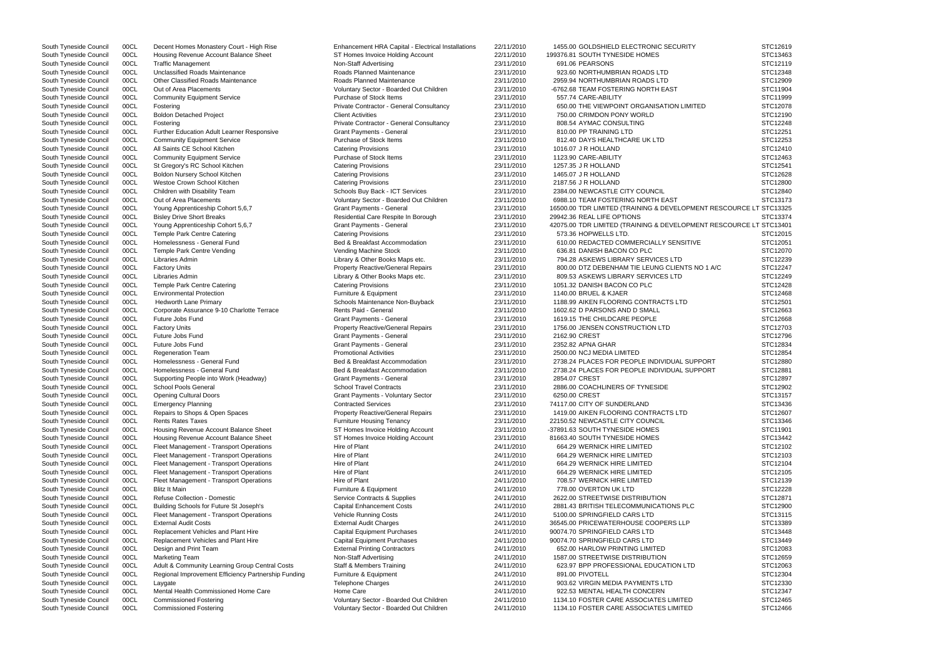South Tyneside Council 00CL Housing Revenue Account Balance Sheet ST Homes Invoice Holding Account 22/11/2010 199376.81 SOUTH TYNESIDE HOMES South Tyneside Council COCL Traffic Management Non-Staff Advertising 23/11/2010 691.06 PEARSONS STC12119 STC12119 South Tyneside Council 00CL Unclassified Roads Maintenance **Roads Planned Maintenance** 23/11/2010 923.60 NORTHUMBRIAN ROADS LTD South Tyneside Council 00CL Other Classified Roads Maintenance **Roads Planned Maintenance** 23/11/2010 2959.94 NORTHUMBRIAN ROADS LTD South Tyneside Council 00CL Out of Area Placements Council Council Council Council Council Council Out On Area Placements Council Council Council Council Council Council Council Council Council Council Council Council Coun South Tyneside Council COCL Community Equipment Service **Purchase of Stock Items 23/11/2010** 557.74 CARE-ABILITY STC11999 STC11999 South Tyneside Council 00CL Fostering external private Contractor - General Consultancy 23/11/2010 650.00 THE VIEWPOINT ORGANISATION LIMITED South Tyneside Council 00CL Boldon Detached Project Client Activities Client Activities 23/11/2010 750.00 CRIMDON PONY WORLD South Tyneside Council 00CL Fostering example and the Private Contractor - General Consultancy 23/11/2010 808.54 AYMAC CONSULTING South Tyneside Council 00CL Further Education Adult Learner Responsive Grant Payments - General 23/11/2010 810.00 PP TRAINING LTD South Tyneside Council 00CL Community Equipment Service Purchase of Stock Items 23/11/2010 812.40 DAYS HEALTHCARE UK LTD South Tyneside Council COCL All Saints CE School Kitchen Catering Provisions Catering Provisions 23/11/2010 1016.07 J R HOLLAND STC12410 South Tyneside Council 00CL Community Equipment Service Purchase of Stock Items 23/11/2010 1123.90 CARE-ABILITY South Tyneside Council 00CL St Gregory's RC School Kitchen Catering Provisions 23/11/2010 1257.35 J R HOLLAND South Tyneside Council 00CL Boldon Nursery School Kitchen Catering Provisions Catering Provisions 23/11/2010 1465.07 J R HOLLAND South Tyneside Council 00CL Westoe Crown School Kitchen Catering Provisions Catering Provisions 23/11/2010 2187.56 J R HOLLAND South Tyneside Council 00CL Children with Disability Team Schools Buy Back - ICT Services 23/11/2010 2384.00 NEWCASTLE CITY COUNCIL South Tyneside Council 00CL Cut of Area Placements (State of Stener Schools Buy Back - ICT South Tyneside Council 00CL Young Apprenticeship Cohort 5,6,7 Grant Payments - General 23/11/2010 16500.00 TDR LIMITED (TRAINING & DEVELOPMENT South Tyneside Council 00CL Bisley Drive Short Breaks **Residential Care Respite In Borough** 23/11/2010 29942.36 REAL LIFE OPTIONS South Tyneside Council 00CL Young Apprenticeship Cohort 5,6,7 Grant Payments - General 23/11/2010 42075.00 TDR LIMITED (TRAINING & DEVELOPMENT South Tyneside Council 00CL Temple Park Centre Catering Catering Catering Provisions 23/11/2010 573.36 HOPWELLS LTD. South Tyneside Council 00CL Homelessness - General Fund Bed & Breakfast Accommodation 23/11/2010 610.00 REDACTED COMMERCIALLY SENSITIVE South Tyneside Council 00CL Temple Park Centre Vending Vending Vending Machine Stock 23/11/2010 636.81 DANISH BACON CO PLC South Tyneside Council 00CL Libraries Admin 2000 2000 23/11/2010 794.28 ASKEWS LIBRARY SERVICES LTD South Tyneside Council 00CL Factory Units Council and the Section Property Reactive/General Repairs 23/11/2010 800.00 DTZ DEBENHAM TIE LEUNG CLIENTS NO 1 South Tyneside Council 00CL Libraries Admin 2000 2001 23/11/2010 809.53 ASKEWS LIBRARY SERVICES LTD STC1249 23/11/2010 809.53 ASKEWS LIBRARY SERVICES LTD South Tyneside Council 00CL Temple Park Centre Catering Catering Catering Provisions 23/11/2010 1051.32 DANISH BACON CO PLC South Tyneside Council 00CL Environmental Protection **Furniture & Equipment** 23/11/2010 1140.00 BRUEL & KJAER STC12468 South Tyneside Council 00CL Hedworth Lane Primary **Schools Maintenance Non-Buyback** 23/11/2010 1188.99 AIKEN FLOORING CONTRACTS LTD South Tyneside Council 00CL Corporate Assurance 9-10 Charlotte Terrace Rents Paid - General 23/11/2010 1602.62 D PARSONS AND D SMALL South Tyneside Council 00CL Future Jobs Fund Council Council Crant Payments - General Crant Payments - General 23/11/2010 1619.15 THE CHILDCARE PEOPLE South Tyneside Council 00CL Factory Units **Property Reactive/General Repairs** 23/11/2010 1756.00 JENSEN CONSTRUCTION LTD South Tyneside Council COCL Future Jobs Fund (STC12796 Crant Payments - General 23/11/2010 2162.90 CREST STC12796 South Tyneside Council COCL Future Jobs Fund (STC12834 Crant Payments - General 23/11/2010 2352.82 APNA GHAR STC12834 South Tyneside Council 00CL Regeneration Team **Promotional Activities** 23/11/2010 2500.00 NCJ MEDIA LIMITED Stutter South Tyneside Council 00CL Homelessness - General Fund Bed & Breakfast Accommodation 23/11/2010 2738.24 PLACES FOR PEOPLE INDIVIDUAL SUPPOR South Tyneside Council 00CL Homelessness - General Fund Bed & Breakfast Accommodation 23/11/2010 2738.24 PLACES FOR PEOPLE INDIVIDUAL SUPPOR South Tyneside Council 00CL Supporting People into Work (Headway) Grant Payments - General 23/11/2010 2854.07 CREST South Tyneside Council 00CL School Pools General School Travel Contracts Contracts 23/11/2010 2886.00 COACHLINERS OF TYNESIDE South Tyneside Council 00CL Opening Cultural Doors Crant Payments - Voluntary Sector 23/11/2010 6250.00 CREST South Tyneside Council 00CL Emergency Planning Contracted Services Contracted Services 23/11/2010 74117.00 CITY OF SUNDERLAND South Tyneside Council 00CL Repairs to Shops & Open Spaces Property Reactive/General Repairs 23/11/2010 1419.00 AIKEN FLOORING CONTRACTS LTD South Tyneside Council 00CL Rents Rates Taxes **Furniture Housing Tenancy** 23/11/2010 22150.52 NEWCASTLE CITY COUNCIL South Tyneside Council 00CL Housing Revenue Account Balance Sheet ST Homes Invoice Holding Account 23/11/2010 -37891.63 SOUTH TYNESIDE HOMES South Tyneside Council 00CL Housing Revenue Account Balance Sheet ST Homes Invoice Holding Account 23/11/2010 81663.40 SOUTH TYNESIDE HOMES South Tyneside Council 00CL Fleet Management - Transport Operations Hire of Plant 24/11/2010 664.29 WERNICK HIRE LIMITED South Tyneside Council 00CL Fleet Management - Transport Operations Hire of Plant Number 24/11/2010 664.29 WERNICK HIRE LIMITED South Tyneside Council 00CL Fleet Management - Transport Operations Hire of Plant 24/11/2010 664.29 WERNICK HIRE LIMITED South Tyneside Council 00CL Fleet Management - Transport Operations Hire of Plant 24/11/2010 664.29 WERNICK HIRE LIMITED South Tyneside Council 00CL Fleet Management - Transport Operations Hire of Plant 24/11/2010 708.57 WERNICK HIRE LIMITED South Tyneside Council COCL Blitz It Main North States of the States of Termiture & Equipment 24/11/2010 778.00 OVERTON UK LTD STC12228 South Tyneside Council 00CL Refuse Collection - Domestic Supplies Service Contracts & Supplies 24/11/2010 2622.00 STREETWISE DISTRIBUTION South Tyneside Council 00CL Building Schools for Future St Joseph's Capital Enhancement Costs 24/11/2010 2881.43 BRITISH TELECOMMUNICATIONS PLC South Tyneside Council 00CL Fleet Management - Transport Operations Vehicle Running Costs 24/11/2010 5100.00 SPRINGFIELD CARS LTD South Tyneside Council 00CL External Audit Costs **External Audit Charges** 24/11/2010 36545.00 PRICEWATERHOUSE COOPERS LLP South Tyneside Council 00CL Replacement Vehicles and Plant Hire Capital Equipment Purchases 24/11/2010 90074.70 SPRINGFIELD CARS LTD South Tyneside Council 00CL Replacement Vehicles and Plant Hire Capital Equipment Purchases 24/11/2010 90074.70 SPRINGFIELD CARS LTD South Tyneside Council 00CL Design and Print Team **External Printing Contractors** 24/11/2010 652.00 HARLOW PRINTING LIMITED South Tyneside Council 00CL Marketing Team Non-Staff Advertising 24/11/2010 1587.00 STREETWISE DISTRIBUTION South Tyneside Council 00CL Adult & Community Learning Group Central Costs Staff & Members Training 24/11/2010 623.97 BPP PROFESSIONAL EDUCATION LTD South Tyneside Council 00CL Regional Improvement Efficiency Partnership Funding Furniture & Equipment 24/11/2010 24/11/2010 891.00 PIVOTELL South Tyneside Council 00CL Laygate Council and the Charges Telephone Charges Charges 24/11/2010 903.62 VIRGIN MEDIA PAYMENTS LTD South Tyneside Council 00CL Mental Health Commissioned Home Care Home Care Home Care 24/11/2010 922.53 MENTAL HEALTH CONCERN South Tyneside Council 00CL Commissioned Fostering Commissioned Fostering Voluntary Sector - Boarded Out Children 24/11/2010 1134.10 FOSTER CARE ASSOCIATES LIMITED South Tyneside Council 00CL Commissioned Fostering Commissioned Fostering Voluntary Sector - Boarded Out Children 24/11/2010 1134.10 FOSTER CARE ASSOCIATES LIMITED

South Tyneside Council 00CL Decent Homes Monastery Court - High Rise Enhancement HRA Capital - Electrical Installations 22/11/2010 1455.00 GOLDSHIELD ELECTRONIC SECURITY OOCL Out of Area Placements **Council 2006** Voluntary Sector - Boarded Out Children 23/11/2010 6988.10 TEAM FOSTERING NORTH EAST

|                       | STC12619 |
|-----------------------|----------|
|                       | STC13463 |
|                       |          |
|                       | STC12119 |
|                       | STC12348 |
|                       | STC12909 |
|                       | STC11904 |
|                       |          |
|                       | STC11999 |
|                       | STC12078 |
|                       | STC12190 |
|                       | STC12248 |
|                       |          |
|                       | STC12251 |
|                       | STC12253 |
|                       | STC12410 |
|                       | STC12463 |
|                       |          |
|                       | STC12541 |
|                       | STC12628 |
|                       | STC12800 |
|                       | STC12840 |
|                       |          |
|                       | STC13173 |
| RESCOURCE LT STC13325 |          |
|                       | STC13374 |
| RESCOURCE LT STC13401 |          |
|                       | STC12015 |
|                       |          |
|                       | STC12051 |
|                       | STC12070 |
|                       | STC12239 |
| A/C                   | STC12247 |
|                       |          |
|                       | STC12249 |
|                       | STC12428 |
|                       | STC12468 |
|                       | STC12501 |
|                       |          |
|                       | STC12663 |
|                       | STC12668 |
|                       | STC12703 |
|                       | STC12796 |
|                       |          |
|                       | STC12834 |
|                       | STC12854 |
| RT                    | STC12880 |
| RT                    | STC12881 |
|                       |          |
|                       | STC12897 |
|                       | STC12902 |
|                       | STC13157 |
|                       | STC13436 |
|                       |          |
|                       | STC12607 |
|                       | STC13346 |
|                       | STC11901 |
|                       | STC13442 |
|                       | STC12102 |
|                       |          |
|                       | STC12103 |
|                       | STC12104 |
|                       | STC12105 |
|                       | STC12139 |
|                       |          |
|                       | STC12228 |
|                       | STC12871 |
|                       | STC12900 |
|                       | STC13115 |
|                       | STC13389 |
|                       |          |
|                       | STC13448 |
|                       | STC13449 |
|                       | STC12083 |
|                       | STC12659 |
|                       |          |
|                       | STC12063 |
|                       | STC12304 |
|                       | STC12330 |
|                       | STC12347 |
|                       |          |
|                       | STC12465 |
|                       | STC12466 |
|                       |          |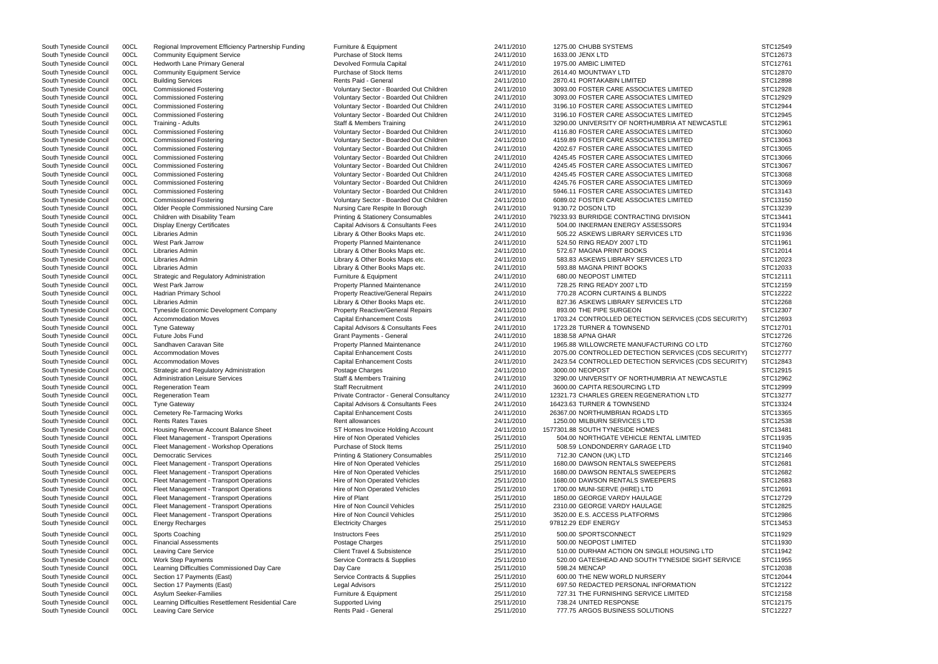South Tyneside Council 00CL Regional Improvement Efficiency Partnership Funding Furniture & Equipment 24/11/2010 1275.00 CHUBB SYSTEMS South Tyneside Council COOL Community Equipment Service **Purchase of Stock Items 24/11/2010** 1633.00 JENX LTD STC12673 South Tyneside Council 00CL Hedworth Lane Primary General 2001 26 Devolved Formula Capital 24/11/2010 1975.00 AMBIC LIMITED South Tyneside Council 00CL Community Equipment Service Purchase of Stock Items 24/11/2010 2614.40 MOUNTWAY LTD South Tyneside Council 00CL Building Services **Rents Paid - General** 24/11/2010 2870.41 PORTAKABIN LIMITED South Tyneside Council 00CL Commissioned Fostering Commissioned Fostering Voluntary Sector - Boarded Out Children 24/11/2010 3093.00 FOSTER CARE ASSOCIATES LIMITED South Tyneside Council 00CL Commissioned Fostering variable voluntary Sector - Boarded Out Children 24/11/2010 3093.00 FOSTER CARE ASSOCIATES LIMITED South Tyneside Council 00CL Commissioned Fostering Commissioned Fostering Voluntary Sector - Boarded Out Children 24/11/2010 3196.10 FOSTER CARE ASSOCIATES LIMITED South Tyneside Council 00CL Commissioned Fostering Commissioned Fostering Voluntary Sector - Boarded Out Children 24/11/2010 3196.10 FOSTER CARE ASSOCIATES LIMITED South Tyneside Council 00CL Training - Adults Council and Members Training Staff & Members Training 24/11/2010 3290.00 UNIVERSITY OF NORTHUMBRIA AT NEWCA South Tyneside Council 00CL Commissioned Fostering Commissioned Fostering Voluntary Sector - Boarded Out Children 24/11/2010 4116.80 FOSTER CARE ASSOCIATES LIMITED South Tyneside Council 00CL Commissioned Fostering Commissioned Fostering Voluntary Sector - Boarded Out Children 24/11/2010 4159.89 FOSTER CARE ASSOCIATES LIMITED South Tyneside Council 00CL Commissioned Fostering The Stephan Voluntary Sector - Boarded Out Children 24/11/2010 4202.67 FOSTER CARE ASSOCIATES LIMITED South Tyneside Council 00CL Commissioned Fostering Commissioned Fostering Voluntary Sector - Boarded Out Children 24/11/2010 4245.45 FOSTER CARE ASSOCIATES LIMITED South Tyneside Council 00CL Commissioned Fostering The Stephan Voluntary Sector - Boarded Out Children 24/11/2010 4245.45 FOSTER CARE ASSOCIATES LIMITED South Tyneside Council 00CL Commissioned Fostering Commissioned Fostering Voluntary Sector - Boarded Out Children 24/11/2010 4245.45 FOSTER CARE ASSOCIATES LIMITED South Tyneside Council 00CL Commissioned Fostering Commissioned Fostering Voluntary Sector - Boarded Out Children 24/11/2010 4245.76 FOSTER CARE ASSOCIATES LIMITED South Tyneside Council 00CL Commissioned Fostering vancuation voluntary Sector - Boarded Out Children 24/11/2010 5946.11 FOSTER CARE ASSOCIATES LIMITED<br>South Tyneside Council 00CL Commissioned Fostering vancuation voluntar South Tyneside Council 00CL Commissioned Fostering Voluntary Sector - Boarded Out Children 24/11/2010 6089.02 FOSTER CARE ASSOCIATES LIMITED South Tyneside Council 00CL Older People Commissioned Nursing Care Nursing Care Respite In Borough 24/11/2010 9130.72 DOSON LTD South Tyneside Council 00CL Children with Disability Team Printing & Stationery Consumables 24/11/2010 79233.93 BURRIDGE CONTRACTING DIVISION South Tyneside Council 00CL Display Energy Certificates Capital Advisors & Consultants Fees 24/11/2010 504.00 INKERMAN ENERGY ASSESSORS South Tyneside Council 00CL Libraries Admin 2000 100 2000 24/11/2010 505.22 ASKEWS LIBRARY SERVICES LTD STC119366 22 ASKEWS LIBRARY SERVICES LTD South Tyneside Council 00CL West Park Jarrow **Property Planned Maintenance** 24/11/2010 524.50 RING READY 2007 LTD South Tyneside Council 00CL Libraries Admin 200KS 24/11/2010 572.67 MAGNA PRINT BOOKS South Tyneside Council 00CL Libraries Admin 2000 100 Example 24/11/2010 583.83 ASKEWS LIBRARY SERVICES LTD STC12023 South Tyneside Council 00CL Libraries Admin Computer Council Cibrary & Other Books Maps etc. 24/11/2010 593.88 MAGNA PRINT BOOKS South Tyneside Council 00CL Strategic and Regulatory Administration Furniture & Equipment 24/11/2010 680.00 NEOPOST LIMITED South Tyneside Council 00CL West Park Jarrow **Property Property Planned Maintenance** 24/11/2010 728.25 RING READY 2007 LTD South Tyneside Council 00CL Hadrian Primary School example 24/11/2010 770.28 ACORN CURTAINS & BLINDS South Tyneside Council 00CL Libraries Admin Compact Company Cibrary & Other Books Maps etc. 24/11/2010 827.36 ASKEWS LIBRARY SERVICES LTD South Tyneside Council 00CL Tyneside Economic Development Company Property Reactive/ South Tyneside Council 00CL Tyneside Economic Development Company Property Reactive/General Repairs 24/11/2010 South Tyneside Council 00CL Accommodation Moves Capital Enhancement Costs 24/11/2010 1703.24 CONTROLLED DETECTION SERVICES (CDS South Tyneside Council 00CL Tyne Gateway Capital Advisors & Consultants Fees 24/11/2010 1723.28 TURNER & TOWNSEND South Tyneside Council COCL Future Jobs Fund (STC12726 Crant Payments - General 24/11/2010 1838.58 APNA GHAR STC12726 STC12726 South Tyneside Council 00CL Sandhaven Caravan Site **Property Planned Maintenance** 24/11/2010 1965.88 WILLOWCRETE MANUFACTURING CO LTD South Tyneside Council 00CL Accommodation Moves Capital Enhancement Costs 24/11/2010 2075.00 CONTROLLED DETECTION SERVICES (CDS South Tyneside Council 00CL Accommodation Moves Capital Enhancement Costs 24/11/2010 2423.54 CONTROLLED DETECTION SERVICES (CDS South Tyneside Council 00CL Strategic and Regulatory Administration Postage Charges 24/11/2010 3000.00 NEOPOST South Tyneside Council 00CL Administration Leisure Services States Staff & Members Training 24/11/2010 3290.00 UNIVERSITY OF NORTHUMBRIA AT NEWCA South Tyneside Council 00CL Regeneration Team Staff Recruitment Staff Recruitment 24/11/2010 3600.00 CAPITA RESOURCING LTD South Tyneside Council 00CL Regeneration Team **Private Contractor - General Consultancy** 24/11/2010 12321.73 CHARLES GREEN REGENERATION LTD South Tyneside Council 00CL Tyne Gateway Capital Advisors & Consultants Fees 24/11/2010 16423.63 TURNER & TOWNSEND South Tyneside Council 00CL Cemetery Re-Tarmacing Works Capital Enhancement Costs 24/11/2010 26367.00 NORTHUMBRIAN ROADS LTD South Tyneside Council 00CL Rents Rates Taxes **Rent allowances** 24/11/2010 1250.00 MILBURN SERVICES LTD South Tyneside Council 00CL Housing Revenue Account Balance Sheet ST Homes Invoice Holding Account 24/11/2010 1577301.88 SOUTH TYNESIDE HOMES South Tyneside Council 00CL Fleet Management - Transport Operations Hire of Non Operated Vehicles 25/11/2010 504.00 NORTHGATE VEHICLE RENTAL LIMITED South Tyneside Council 00CL Fleet Management - Workshop Operations Purchase of Stock Items 25/11/2010 508.59 LONDONDERRY GARAGE LTD South Tyneside Council 00CL Democratic Services examples Printing & Stationery Consumables 25/11/2010 712.30 CANON (UK) LTD South Tyneside Council 00CL Fleet Management - Transport Operations Hire of Non Operated Vehicles 25/11/2010 1680.00 DAWSON RENTALS SWEEPERS South Tyneside Council 00CL Fleet Management - Transport Operations Hire of Non Operated Vehicles 25/11/2010 1680.00 DAWSON RENTALS SWEEPERS South Tyneside Council 00CL Fleet Management - Transport Operations Hire of Non Operated Vehicles 25/11/2010 1680.00 DAWSON RENTALS SWEEPERS South Tyneside Council 00CL Fleet Management - Transport Operations Hire of Non Operated Vehicles 25/11/2010 1700.00 MUNI-SERVE (HIRE) LTD South Tyneside Council 00CL Fleet Management - Transport Operations Hire of Plant 25/11/2010 1850.00 GEORGE VARDY HAULAGE South Tyneside Council 00CL Fleet Management - Transport Operations Hire of Non Council Vehicles 25/11/2010 2310.00 GEORGE VARDY HAULAGE South Tyneside Council 00CL Fleet Management - Transport Operations Hire of Non Council Vehicles 25/11/2010 3520.00 E.S. ACCESS PLATFORMS South Tyneside Council 00CL Energy Recharges Electricity Charges 25/11/2010 97812.29 EDF ENERGY STC13453 South Tyneside Council 00CL Sports Coaching Instructors Fees 25/11/2010 500.00 SPORTSCONNECT STC11929 South Tyneside Council COCL Financial Assessments National Assessments Postage Charges National Assessments Postage Charges National Assessments 25/11/2010 500.00 NEOPOST LIMITED STC11930 South Tyneside Council 00CL Leaving Care Service Client Travel & Subsistence 25/11/2010 510.00 DURHAM ACTION ON SINGLE HOUSING LT South Tyneside Council 00CL Work Step Payments Supplies Service Contracts & Supplies 25/11/2010 520.00 GATESHEAD AND SOUTH TYNESIDE SIGHT South Tyneside Council 00CL Learning Difficulties Commissioned Day Care Day Care Day Care 25/11/2010 598.24 MENCAP South Tyneside Council 00CL Section 17 Payments (East) Service Contracts & Supplies 25/11/2010 600.00 THE NEW WORLD NURSERY South Tyneside Council 00CL Section 17 Payments (East) Council Cegal Advisors Legal Advisors 25/11/2010 697.50 REDACTED PERSONAL INFORMATION South Tyneside Council 00CL Asylum Seeker-Families **Furniture & Equipment** Furniture & Equipment 25/11/2010 727.31 THE FURNISHING SERVICE LIMITED South Tyneside Council 00CL Learning Difficulties Resettlement Residential Care Supported Living 25/11/2010 738.24 UNITED RESPONSE South Tyneside Council 00CL Leaving Care Service **Rents Paid - Rents Paid - General** 25/11/2010 777.75 ARGOS BUSINESS SOLUTIONS

|                  | STC12549             |
|------------------|----------------------|
|                  | STC12673             |
|                  | STC12761             |
|                  | STC12870             |
|                  | STC12898             |
|                  | STC12928             |
|                  | STC12929             |
|                  | STC12944             |
|                  | STC12945             |
| ASTLE            | STC12961             |
|                  | STC13060             |
|                  | STC13063             |
|                  | STC13065             |
|                  | STC13066             |
|                  | STC13067             |
|                  | STC13068             |
|                  | STC13069             |
|                  | STC13143             |
|                  | STC13150             |
|                  | STC13239             |
|                  | STC13441             |
|                  | STC11934             |
|                  | STC11936             |
|                  | STC11961             |
|                  | STC12014             |
|                  | STC12023             |
|                  | STC12033             |
|                  | STC12111             |
|                  | STC12159             |
|                  | STC12222             |
|                  | STC12268             |
|                  | STC12307             |
| S SECURITY)      | STC12693             |
|                  | STC12701             |
|                  | STC12726             |
|                  | STC12760             |
| S SECURITY)      | STC12777             |
| S SECURITY)      | STC12843             |
|                  | STC12915             |
| <b>ASTLE</b>     | STC12962             |
|                  | STC12999<br>STC13277 |
|                  |                      |
|                  | STC13324             |
|                  | STC13365             |
|                  | STC12538<br>STC13481 |
|                  | STC11935             |
|                  | STC11940             |
|                  | STC12146             |
|                  | STC12681             |
|                  | STC12682             |
|                  | STC12683             |
|                  | STC12691             |
|                  | STC12729             |
|                  | STC12825             |
|                  | STC12986             |
|                  | STC13453             |
|                  |                      |
|                  | STC11929             |
|                  | STC11930             |
| D                | STC11942             |
| <b>T SERVICE</b> | STC11955             |
|                  | STC12038             |
|                  | STC12044<br>STC12122 |
|                  | STC12158             |
|                  | STC12175             |
|                  | STC12227             |
|                  |                      |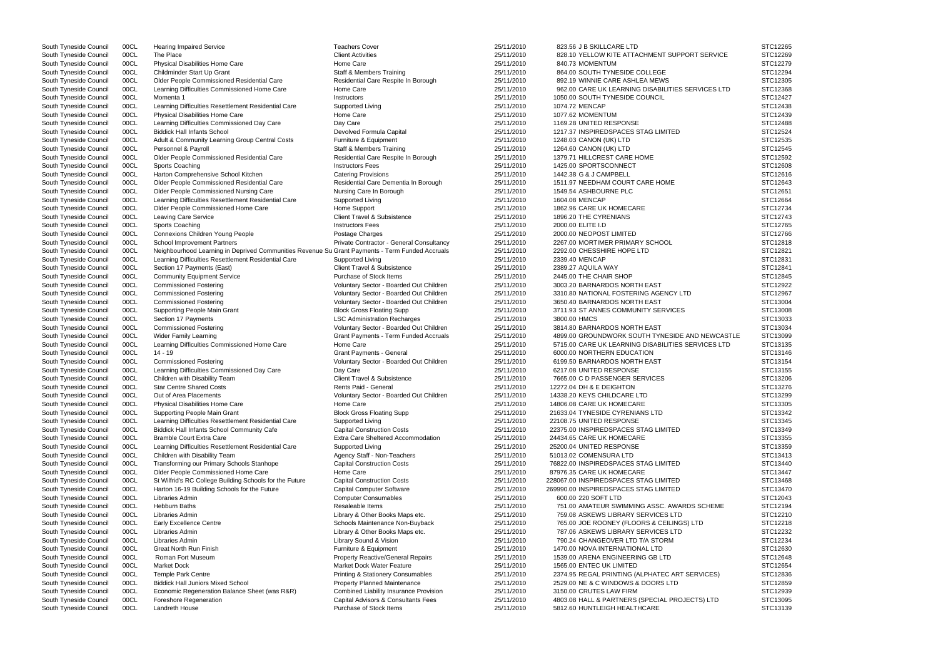| South Tyneside Council | 00CL | <b>Hearing Impaired Service</b>                                                                 | <b>Teachers Cover</b>                        | 25/11/2010 | 823.56 J B SKILLCARE LTD                           | STC12265 |
|------------------------|------|-------------------------------------------------------------------------------------------------|----------------------------------------------|------------|----------------------------------------------------|----------|
| South Tyneside Council | 00CL | The Place                                                                                       | <b>Client Activities</b>                     | 25/11/2010 | 828.10 YELLOW KITE ATTACHMENT SUPPORT SERVICE      | STC12269 |
| South Tyneside Council | 00CL | <b>Physical Disabilities Home Care</b>                                                          | Home Care                                    | 25/11/2010 | 840.73 MOMENTUM                                    | STC12279 |
| South Tyneside Council | 00CL | Childminder Start Up Grant                                                                      | <b>Staff &amp; Members Training</b>          | 25/11/2010 | 864.00 SOUTH TYNESIDE COLLEGE                      | STC12294 |
|                        |      |                                                                                                 |                                              |            |                                                    | STC12305 |
| South Tyneside Council | 00CL | Older People Commissioned Residential Care                                                      | Residential Care Respite In Borough          | 25/11/2010 | 892.19 WINNIE CARE ASHLEA MEWS                     |          |
| South Tyneside Council | 00CL | Learning Difficulties Commissioned Home Care                                                    | Home Care                                    | 25/11/2010 | 962.00 CARE UK LEARNING DISABILITIES SERVICES LTD  | STC12368 |
| South Tyneside Council | 00CL | Momenta 1                                                                                       | Instructors                                  | 25/11/2010 | 1050.00 SOUTH TYNESIDE COUNCIL                     | STC12427 |
| South Tyneside Council | 00CL | Learning Difficulties Resettlement Residential Care                                             | Supported Living                             | 25/11/2010 | 1074.72 MENCAP                                     | STC12438 |
| South Tyneside Council | 00CL | Physical Disabilities Home Care                                                                 | Home Care                                    | 25/11/2010 | 1077.62 MOMENTUM                                   | STC12439 |
| South Tyneside Council | 00CL | Learning Difficulties Commissioned Day Care                                                     | Day Care                                     | 25/11/2010 | 1169.28 UNITED RESPONSE                            | STC12488 |
| South Tyneside Council | 00CL | <b>Biddick Hall Infants School</b>                                                              | Devolved Formula Capital                     | 25/11/2010 | 1217.37 INSPIREDSPACES STAG LIMITED                | STC12524 |
|                        |      |                                                                                                 |                                              |            |                                                    |          |
| South Tyneside Council | 00CL | Adult & Community Learning Group Central Costs                                                  | Furniture & Equipment                        | 25/11/2010 | 1248.03 CANON (UK) LTD                             | STC12535 |
| South Tyneside Council | 00CL | Personnel & Payroll                                                                             | <b>Staff &amp; Members Training</b>          | 25/11/2010 | 1264.60 CANON (UK) LTD                             | STC12545 |
| South Tyneside Council | 00CL | Older People Commissioned Residential Care                                                      | Residential Care Respite In Borough          | 25/11/2010 | 1379.71 HILLCREST CARE HOME                        | STC12592 |
| South Tyneside Council | 00CL | Sports Coaching                                                                                 | <b>Instructors Fees</b>                      | 25/11/2010 | 1425.00 SPORTSCONNECT                              | STC12608 |
| South Tyneside Council | 00CL | Harton Comprehensive School Kitchen                                                             | <b>Catering Provisions</b>                   | 25/11/2010 | 1442.38 G & J CAMPBELL                             | STC12616 |
| South Tyneside Council | 00CL | Older People Commissioned Residential Care                                                      | Residential Care Dementia In Borough         | 25/11/2010 | 1511.97 NEEDHAM COURT CARE HOME                    | STC12643 |
| South Tyneside Council | 00CL | Older People Commissioned Nursing Care                                                          | Nursing Care In Borough                      | 25/11/2010 | 1549.54 ASHBOURNE PLC                              | STC12651 |
|                        |      |                                                                                                 |                                              |            |                                                    |          |
| South Tyneside Council | 00CL | Learning Difficulties Resettlement Residential Care                                             | Supported Living                             | 25/11/2010 | 1604.08 MENCAP                                     | STC12664 |
| South Tyneside Council | 00CL | Older People Commissioned Home Care                                                             | Home Support                                 | 25/11/2010 | 1862.96 CARE UK HOMECARE                           | STC12734 |
| South Tyneside Council | 00CL | Leaving Care Service                                                                            | <b>Client Travel &amp; Subsistence</b>       | 25/11/2010 | 1896.20 THE CYRENIANS                              | STC12743 |
| South Tyneside Council | 00CL | Sports Coaching                                                                                 | <b>Instructors Fees</b>                      | 25/11/2010 | 2000.00 ELITE I.D                                  | STC12765 |
| South Tyneside Council | 00CL | Connexions Children Young People                                                                | Postage Charges                              | 25/11/2010 | 2000.00 NEOPOST LIMITED                            | STC12766 |
| South Tyneside Council | 00CL | <b>School Improvement Partners</b>                                                              | Private Contractor - General Consultancy     | 25/11/2010 | 2267.00 MORTIMER PRIMARY SCHOOL                    | STC12818 |
|                        |      |                                                                                                 |                                              |            |                                                    |          |
| South Tyneside Council | 00CL | Neighbourhood Learning in Deprived Communities Revenue Su Grant Payments - Term Funded Accruals |                                              | 25/11/2010 | 2292.00 CHESSHIRE HOPE LTD                         | STC12821 |
| South Tyneside Council | 00CL | Learning Difficulties Resettlement Residential Care                                             | Supported Living                             | 25/11/2010 | 2339.40 MENCAP                                     | STC12831 |
| South Tyneside Council | 00CL | Section 17 Payments (East)                                                                      | <b>Client Travel &amp; Subsistence</b>       | 25/11/2010 | 2389.27 AQUILA WAY                                 | STC12841 |
| South Tyneside Council | 00CL | <b>Community Equipment Service</b>                                                              | Purchase of Stock Items                      | 25/11/2010 | 2445.00 THE CHAIR SHOP                             | STC12845 |
| South Tyneside Council | 00CL | <b>Commissioned Fostering</b>                                                                   | Voluntary Sector - Boarded Out Children      | 25/11/2010 | 3003.20 BARNARDOS NORTH EAST                       | STC12922 |
| South Tyneside Council | 00CL | <b>Commissioned Fostering</b>                                                                   | Voluntary Sector - Boarded Out Children      | 25/11/2010 | 3310.80 NATIONAL FOSTERING AGENCY LTD              | STC12967 |
| South Tyneside Council | 00CL | <b>Commissioned Fostering</b>                                                                   | Voluntary Sector - Boarded Out Children      | 25/11/2010 | 3650.40 BARNARDOS NORTH EAST                       | STC13004 |
|                        |      |                                                                                                 |                                              |            |                                                    |          |
| South Tyneside Council | 00CL | Supporting People Main Grant                                                                    | <b>Block Gross Floating Supp</b>             | 25/11/2010 | 3711.93 ST ANNES COMMUNITY SERVICES                | STC13008 |
| South Tyneside Council | 00CL | Section 17 Payments                                                                             | <b>LSC Administration Recharges</b>          | 25/11/2010 | 3800.00 HMCS                                       | STC13033 |
| South Tyneside Council | 00CL | <b>Commissioned Fostering</b>                                                                   | Voluntary Sector - Boarded Out Children      | 25/11/2010 | 3814.80 BARNARDOS NORTH EAST                       | STC13034 |
| South Tyneside Council | 00CL | <b>Wider Family Learning</b>                                                                    | <b>Grant Payments - Term Funded Accruals</b> | 25/11/2010 | 4899.00 GROUNDWORK SOUTH TYNESIDE AND NEWCASTLE    | STC13099 |
| South Tyneside Council | 00CL | Learning Difficulties Commissioned Home Care                                                    | Home Care                                    | 25/11/2010 | 5715.00 CARE UK LEARNING DISABILITIES SERVICES LTD | STC13135 |
| South Tyneside Council | 00CL | 14 - 19                                                                                         | <b>Grant Payments - General</b>              | 25/11/2010 | 6000.00 NORTHERN EDUCATION                         | STC13146 |
|                        |      |                                                                                                 |                                              |            |                                                    | STC13154 |
| South Tyneside Council | 00CL | <b>Commissioned Fostering</b>                                                                   | Voluntary Sector - Boarded Out Children      | 25/11/2010 | 6199.50 BARNARDOS NORTH EAST                       |          |
| South Tyneside Council | 00CL | Learning Difficulties Commissioned Day Care                                                     | Day Care                                     | 25/11/2010 | 6217.08 UNITED RESPONSE                            | STC13155 |
| South Tyneside Council | 00CL | Children with Disability Team                                                                   | <b>Client Travel &amp; Subsistence</b>       | 25/11/2010 | 7665.00 C D PASSENGER SERVICES                     | STC13206 |
| South Tyneside Council | 00CL | <b>Star Centre Shared Costs</b>                                                                 | Rents Paid - General                         | 25/11/2010 | 12272.04 DH & E DEIGHTON                           | STC13276 |
| South Tyneside Council | 00CL | Out of Area Placements                                                                          | Voluntary Sector - Boarded Out Children      | 25/11/2010 | 14338.20 KEYS CHILDCARE LTD                        | STC13299 |
| South Tyneside Council | 00CL | <b>Physical Disabilities Home Care</b>                                                          | Home Care                                    | 25/11/2010 | 14806.08 CARE UK HOMECARE                          | STC13305 |
| South Tyneside Council | 00CL | Supporting People Main Grant                                                                    | <b>Block Gross Floating Supp</b>             | 25/11/2010 | 21633.04 TYNESIDE CYRENIANS LTD                    | STC13342 |
|                        |      |                                                                                                 |                                              |            |                                                    |          |
| South Tyneside Council | 00CL | Learning Difficulties Resettlement Residential Care                                             | Supported Living                             | 25/11/2010 | 22108.75 UNITED RESPONSE                           | STC13345 |
| South Tyneside Council | 00CL | <b>Biddick Hall Infants School Community Cafe</b>                                               | <b>Capital Construction Costs</b>            | 25/11/2010 | 22375.00 INSPIREDSPACES STAG LIMITED               | STC13349 |
| South Tyneside Council | 00CL | <b>Bramble Court Extra Care</b>                                                                 | Extra Care Sheltered Accommodation           | 25/11/2010 | 24434.65 CARE UK HOMECARE                          | STC13355 |
| South Tyneside Council | 00CL | Learning Difficulties Resettlement Residential Care                                             | Supported Living                             | 25/11/2010 | 25200.04 UNITED RESPONSE                           | STC13359 |
| South Tyneside Council | 00CL | Children with Disability Team                                                                   | Agency Staff - Non-Teachers                  | 25/11/2010 | 51013.02 COMENSURA LTD                             | STC13413 |
| South Tyneside Council | 00CL | Transforming our Primary Schools Stanhope                                                       | <b>Capital Construction Costs</b>            | 25/11/2010 | 76822.00 INSPIREDSPACES STAG LIMITED               | STC13440 |
|                        | 00CL |                                                                                                 | Home Care                                    | 25/11/2010 | 87976.35 CARE UK HOMECARE                          | STC13447 |
| South Tyneside Council |      | Older People Commissioned Home Care                                                             |                                              |            |                                                    |          |
| South Tyneside Council | 00CL | St Wilfrid's RC College Building Schools for the Future                                         | <b>Capital Construction Costs</b>            | 25/11/2010 | 228067.00 INSPIREDSPACES STAG LIMITED              | STC13468 |
| South Tyneside Council | 00CL | Harton 16-19 Building Schools for the Future                                                    | <b>Capital Computer Software</b>             | 25/11/2010 | 269990.00 INSPIREDSPACES STAG LIMITED              | STC13470 |
| South Tyneside Council | 00CL | Libraries Admin                                                                                 | <b>Computer Consumables</b>                  | 25/11/2010 | 600.00 220 SOFT LTD                                | STC12043 |
| South Tyneside Council | 00CL | <b>Hebburn Baths</b>                                                                            | Resaleable Items                             | 25/11/2010 | 751.00 AMATEUR SWIMMING ASSC. AWARDS SCHEME        | STC12194 |
| South Tyneside Council | 00CL | Libraries Admin                                                                                 | Library & Other Books Maps etc.              | 25/11/2010 | 759.08 ASKEWS LIBRARY SERVICES LTD                 | STC12210 |
| South Tyneside Council | 00CL | Early Excellence Centre                                                                         | Schools Maintenance Non-Buyback              | 25/11/2010 | 765.00 JOE ROONEY (FLOORS & CEILINGS) LTD          | STC12218 |
|                        |      |                                                                                                 |                                              |            |                                                    |          |
| South Tyneside Council | 00CL | Libraries Admin                                                                                 | Library & Other Books Maps etc.              | 25/11/2010 | 787.06 ASKEWS LIBRARY SERVICES LTD                 | STC12232 |
| South Tyneside Council | 00CL | Libraries Admin                                                                                 | Library Sound & Vision                       | 25/11/2010 | 790.24 CHANGEOVER LTD T/A STORM                    | STC12234 |
| South Tyneside Council | 00CL | <b>Great North Run Finish</b>                                                                   | Furniture & Equipment                        | 25/11/2010 | 1470.00 NOVA INTERNATIONAL LTD                     | STC12630 |
| South Tyneside Council | 00CL | Roman Fort Museum                                                                               | <b>Property Reactive/General Repairs</b>     | 25/11/2010 | 1539.00 ARENA ENGINEERING GB LTD                   | STC12648 |
| South Tyneside Council | 00CL | <b>Market Dock</b>                                                                              | <b>Market Dock Water Feature</b>             | 25/11/2010 | 1565.00 ENTEC UK LIMITED                           | STC12654 |
| South Tyneside Council | 00CL | <b>Temple Park Centre</b>                                                                       | <b>Printing &amp; Stationery Consumables</b> | 25/11/2010 | 2374.95 REGAL PRINTING (ALPHATEC ART SERVICES)     | STC12836 |
|                        |      |                                                                                                 |                                              |            |                                                    |          |
| South Tyneside Council | 00CL | <b>Biddick Hall Juniors Mixed School</b>                                                        | Property Planned Maintenance                 | 25/11/2010 | 2529.00 NE & C WINDOWS & DOORS LTD                 | STC12859 |
| South Tyneside Council | 00CL | Economic Regeneration Balance Sheet (was R&R)                                                   | Combined Liability Insurance Provision       | 25/11/2010 | 3150.00 CRUTES LAW FIRM                            | STC12939 |
| South Tyneside Council | 00CL | Foreshore Regeneration                                                                          | Capital Advisors & Consultants Fees          | 25/11/2010 | 4803.08 HALL & PARTNERS (SPECIAL PROJECTS) LTD     | STC13095 |
| South Tyneside Council | 00CL | Landreth House                                                                                  | Purchase of Stock Items                      | 25/11/2010 | 5812.60 HUNTLEIGH HEALTHCARE                       | STC13139 |
|                        |      |                                                                                                 |                                              |            |                                                    |          |

| RVICE                    | STC12265<br>STC12269<br>STC12279                                                                                                                                                                                                                                                 |
|--------------------------|----------------------------------------------------------------------------------------------------------------------------------------------------------------------------------------------------------------------------------------------------------------------------------|
| ES LTD                   | STC12294<br>STC12305<br>STC12368<br>STC12427<br>STC12438<br>STC12439<br>STC12488<br>STC12524<br>STC12535                                                                                                                                                                         |
|                          | STC12545<br>STC12592<br>STC12608<br>STC12616<br>STC12643<br>STC12651<br>STC12664<br>STC12734<br>STC12743<br>STC12765                                                                                                                                                             |
| <b>WCASTLE</b><br>ES LTD | STC12766<br>STC12818<br>STC12821<br>STC12831<br>STC12841<br>STC12845<br>STC12922<br>STC12967<br>STC13004<br>STC13008<br>STC13033<br>STC13034<br>STC13099<br>STC13135<br>STC13146<br>STC13154<br>STC13155<br>STC13206<br>STC13276<br>STC13299<br>STC13305<br>STC13342<br>STC13345 |
| IEME                     | STC13349<br>STC13355<br>STC13359<br>STC13413<br>STC13440<br>STC13447<br>STC13468<br>STC13470<br>STC12043<br>STC12194<br>STC12210<br>STC12218<br>STC12232<br>STC12234<br>STC12630<br>STC12648                                                                                     |
| ES)                      | STC12654<br>STC12836<br>STC12859                                                                                                                                                                                                                                                 |
| TD.                      | STC12939<br>STC13095<br>STC13139                                                                                                                                                                                                                                                 |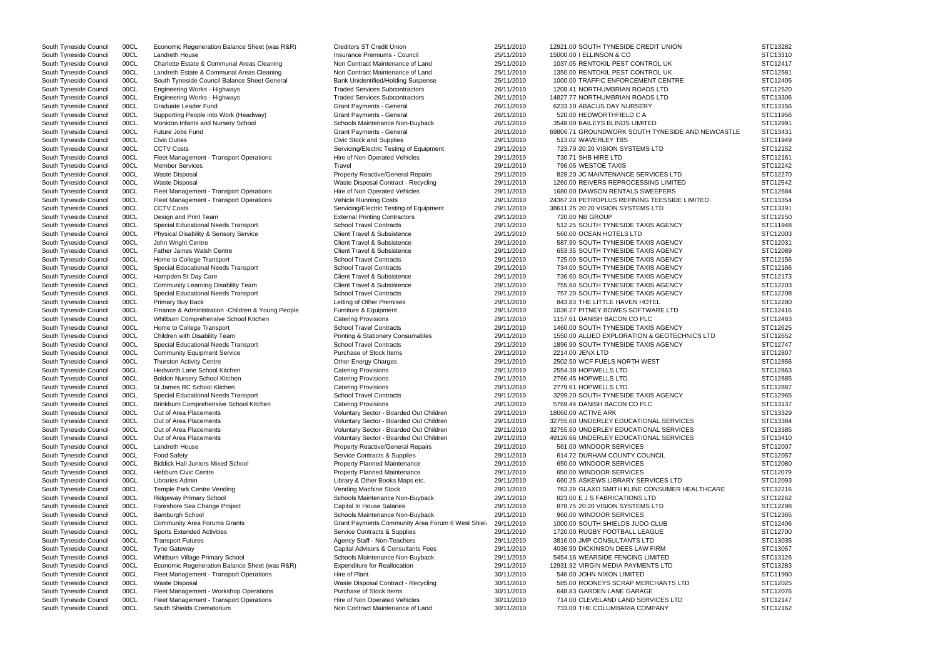| South Tyneside Council | 00CL | Economic Regeneration Balance Sheet (was R&R)      | <b>Creditors ST Credit Union</b>                  | 25/11/2010 | 12921.00 SOUTH TYNESIDE CREDIT UNION             | STC13282 |
|------------------------|------|----------------------------------------------------|---------------------------------------------------|------------|--------------------------------------------------|----------|
| South Tyneside Council | 00CL | Landreth House                                     | Insurance Premiums - Council                      | 25/11/2010 | 15000.00   ELLINSON & CO                         | STC13310 |
| South Tyneside Council | 00CL | Charlotte Estate & Communal Areas Cleaning         | Non Contract Maintenance of Land                  | 25/11/2010 | 1037.05 RENTOKIL PEST CONTROL UK                 | STC12417 |
| South Tyneside Council | 00CL | Landreth Estate & Communal Areas Cleaning          | Non Contract Maintenance of Land                  | 25/11/2010 | 1350.00 RENTOKIL PEST CONTROL UK                 | STC12581 |
|                        | 00CL | South Tyneside Council Balance Sheet General       | <b>Bank Unidentified/Holding Suspense</b>         | 25/11/2010 | 1000.00 TRAFFIC ENFORCEMENT CENTRE               | STC12405 |
| South Tyneside Council |      |                                                    |                                                   |            |                                                  |          |
| South Tyneside Council | 00CL | <b>Engineering Works - Highways</b>                | <b>Traded Services Subcontractors</b>             | 26/11/2010 | 1208.41 NORTHUMBRIAN ROADS LTD                   | STC12520 |
| South Tyneside Council | 00CL | <b>Engineering Works - Highways</b>                | <b>Traded Services Subcontractors</b>             | 26/11/2010 | 14827.77 NORTHUMBRIAN ROADS LTD                  | STC13306 |
| South Tyneside Council | 00CL | Graduate Leader Fund                               | <b>Grant Payments - General</b>                   | 26/11/2010 | 6233.10 ABACUS DAY NURSERY                       | STC13156 |
| South Tyneside Council | 00CL | Supporting People into Work (Headway)              | <b>Grant Payments - General</b>                   | 26/11/2010 | 520.00 HEDWORTHFIELD C A                         | STC11956 |
| South Tyneside Council | 00CL | Monkton Infants and Nursery School                 | Schools Maintenance Non-Buyback                   | 26/11/2010 | 3548.00 BAILEYS BLINDS LIMITED                   | STC12991 |
| South Tyneside Council | 00CL | Future Jobs Fund                                   | <b>Grant Payments - General</b>                   | 26/11/2010 | 69806.71 GROUNDWORK SOUTH TYNESIDE AND NEWCASTLE | STC13431 |
|                        |      |                                                    |                                                   |            |                                                  |          |
| South Tyneside Council | 00CL | <b>Civic Duties</b>                                | Civic Stock and Supplies                          | 29/11/2010 | 513.02 WAVERLEY TBS                              | STC11949 |
| South Tyneside Council | 00CL | <b>CCTV Costs</b>                                  | Servicing/Electric Testing of Equipment           | 29/11/2010 | 723.79 20:20 VISION SYSTEMS LTD                  | STC12152 |
| South Tyneside Council | 00CL | Fleet Management - Transport Operations            | Hire of Non Operated Vehicles                     | 29/11/2010 | 730.71 SHB HIRE LTD                              | STC12161 |
| South Tyneside Council | 00CL | <b>Member Services</b>                             | Travel                                            | 29/11/2010 | 796.05 WESTOE TAXIS                              | STC12242 |
| South Tyneside Council | 00CL | <b>Waste Disposal</b>                              | <b>Property Reactive/General Repairs</b>          | 29/11/2010 | 828.20 JC MAINTENANCE SERVICES LTD               | STC12270 |
| South Tyneside Council | 00CL | <b>Waste Disposal</b>                              | Waste Disposal Contract - Recycling               | 29/11/2010 | 1260.00 REIVERS REPROCESSING LIMITED             | STC12542 |
|                        |      |                                                    |                                                   |            |                                                  |          |
| South Tyneside Council | 00CL | Fleet Management - Transport Operations            | Hire of Non Operated Vehicles                     | 29/11/2010 | 1680.00 DAWSON RENTALS SWEEPERS                  | STC12684 |
| South Tyneside Council | 00CL | Fleet Management - Transport Operations            | Vehicle Running Costs                             | 29/11/2010 | 24367.20 PETROPLUS REFINING TEESSIDE LIMITED     | STC13354 |
| South Tyneside Council | 00CL | <b>CCTV Costs</b>                                  | Servicing/Electric Testing of Equipment           | 29/11/2010 | 38611.25 20:20 VISION SYSTEMS LTD                | STC13391 |
| South Tyneside Council | 00CL | Design and Print Team                              | <b>External Printing Contractors</b>              | 29/11/2010 | 720.00 NB GROUP                                  | STC12150 |
| South Tyneside Council | 00CL | Special Educational Needs Transport                | <b>School Travel Contracts</b>                    | 29/11/2010 | 512.25 SOUTH TYNESIDE TAXIS AGENCY               | STC11948 |
| South Tyneside Council | 00CL | Physical Disability & Sensory Service              | <b>Client Travel &amp; Subsistence</b>            | 29/11/2010 | 560.00 OCEAN HOTELS LTD                          | STC12003 |
|                        |      |                                                    |                                                   |            |                                                  |          |
| South Tyneside Council | 00CL | John Wright Centre                                 | <b>Client Travel &amp; Subsistence</b>            | 29/11/2010 | 587.90 SOUTH TYNESIDE TAXIS AGENCY               | STC12031 |
| South Tyneside Council | 00CL | Father James Walsh Centre                          | Client Travel & Subsistence                       | 29/11/2010 | 653.35 SOUTH TYNESIDE TAXIS AGENCY               | STC12089 |
| South Tyneside Council | 00CL | Home to College Transport                          | <b>School Travel Contracts</b>                    | 29/11/2010 | 725.00 SOUTH TYNESIDE TAXIS AGENCY               | STC12156 |
| South Tyneside Council | 00CL | <b>Special Educational Needs Transport</b>         | <b>School Travel Contracts</b>                    | 29/11/2010 | 734.00 SOUTH TYNESIDE TAXIS AGENCY               | STC12166 |
| South Tyneside Council | 00CL | Hampden St Day Care                                | <b>Client Travel &amp; Subsistence</b>            | 29/11/2010 | 736.60 SOUTH TYNESIDE TAXIS AGENCY               | STC12173 |
| South Tyneside Council | 00CL | Community Learning Disability Team                 | <b>Client Travel &amp; Subsistence</b>            | 29/11/2010 | 755.60 SOUTH TYNESIDE TAXIS AGENCY               | STC12203 |
|                        |      |                                                    |                                                   |            |                                                  |          |
| South Tyneside Council | 00CL | Special Educational Needs Transport                | <b>School Travel Contracts</b>                    | 29/11/2010 | 757.20 SOUTH TYNESIDE TAXIS AGENCY               | STC12208 |
| South Tyneside Council | 00CL | Primary Buy Back                                   | Letting of Other Premises                         | 29/11/2010 | 843.83 THE LITTLE HAVEN HOTEL                    | STC12280 |
| South Tyneside Council | 00CL | Finance & Administration - Children & Young People | Furniture & Equipment                             | 29/11/2010 | 1036.27 PITNEY BOWES SOFTWARE LTD                | STC12416 |
| South Tyneside Council | 00CL | Whitburn Comprehensive School Kitchen              | <b>Catering Provisions</b>                        | 29/11/2010 | 1157.61 DANISH BACON CO PLC                      | STC12483 |
| South Tyneside Council | 00CL | Home to College Transport                          | <b>School Travel Contracts</b>                    | 29/11/2010 | 1460.00 SOUTH TYNESIDE TAXIS AGENCY              | STC12625 |
| South Tyneside Council | 00CL | Children with Disability Team                      | Printing & Stationery Consumables                 | 29/11/2010 | 1550.00 ALLIED EXPLORATION & GEOTECHNICS LTD     | STC12652 |
|                        |      |                                                    |                                                   |            |                                                  |          |
| South Tyneside Council | 00CL | Special Educational Needs Transport                | <b>School Travel Contracts</b>                    | 29/11/2010 | 1896.90 SOUTH TYNESIDE TAXIS AGENCY              | STC12747 |
| South Tyneside Council | 00CL | <b>Community Equipment Service</b>                 | Purchase of Stock Items                           | 29/11/2010 | 2214.00 JENX LTD                                 | STC12807 |
| South Tyneside Council | 00CL | <b>Thurston Activity Centre</b>                    | Other Energy Charges                              | 29/11/2010 | 2502.50 WCF FUELS NORTH WEST                     | STC12856 |
| South Tyneside Council | 00CL | Hedworth Lane School Kitchen                       | <b>Catering Provisions</b>                        | 29/11/2010 | 2554.38 HOPWELLS LTD.                            | STC12863 |
| South Tyneside Council | 00CL | Boldon Nursery School Kitchen                      | <b>Catering Provisions</b>                        | 29/11/2010 | 2766.45 HOPWELLS LTD.                            | STC12885 |
| South Tyneside Council | 00CL | St James RC School Kitchen                         | <b>Catering Provisions</b>                        | 29/11/2010 | 2779.61 HOPWELLS LTD.                            | STC12887 |
|                        |      |                                                    |                                                   |            |                                                  |          |
| South Tyneside Council | 00CL | Special Educational Needs Transport                | <b>School Travel Contracts</b>                    | 29/11/2010 | 3299.20 SOUTH TYNESIDE TAXIS AGENCY              | STC12965 |
| South Tyneside Council | 00CL | Brinkburn Comprehensive School Kitchen             | <b>Catering Provisions</b>                        | 29/11/2010 | 5769.44 DANISH BACON CO PLC                      | STC13137 |
| South Tyneside Council | 00CL | Out of Area Placements                             | Voluntary Sector - Boarded Out Children           | 29/11/2010 | 18060.00 ACTIVE ARK                              | STC13329 |
| South Tyneside Council | 00CL | Out of Area Placements                             | Voluntary Sector - Boarded Out Children           | 29/11/2010 | 32755.60 UNDERLEY EDUCATIONAL SERVICES           | STC13384 |
| South Tyneside Council | 00CL | Out of Area Placements                             | Voluntary Sector - Boarded Out Children           | 29/11/2010 | 32755.60 UNDERLEY EDUCATIONAL SERVICES           | STC13385 |
|                        |      |                                                    |                                                   |            |                                                  |          |
| South Tyneside Council | 00CL | Out of Area Placements                             | Voluntary Sector - Boarded Out Children           | 29/11/2010 | 49126.66 UNDERLEY EDUCATIONAL SERVICES           | STC13410 |
| South Tyneside Council | 00CL | Landreth House                                     | <b>Property Reactive/General Repairs</b>          | 29/11/2010 | 561.00 WINDOOR SERVICES                          | STC12007 |
| South Tyneside Council | 00CL | <b>Food Safety</b>                                 | Service Contracts & Supplies                      | 29/11/2010 | 614.72 DURHAM COUNTY COUNCIL                     | STC12057 |
| South Tyneside Council | 00CL | <b>Biddick Hall Juniors Mixed School</b>           | <b>Property Planned Maintenance</b>               | 29/11/2010 | 650.00 WINDOOR SERVICES                          | STC12080 |
| South Tyneside Council | 00CL | <b>Hebburn Civic Centre</b>                        | <b>Property Planned Maintenance</b>               | 29/11/2010 | 650.00 WINDOOR SERVICES                          | STC12079 |
| South Tyneside Council | 00CL | Libraries Admin                                    | Library & Other Books Maps etc.                   | 29/11/2010 | 660.25 ASKEWS LIBRARY SERVICES LTD               | STC12093 |
|                        |      |                                                    |                                                   |            |                                                  |          |
| South Tyneside Council | 00CL | Temple Park Centre Vending                         | Vending Machine Stock                             | 29/11/2010 | 763.29 GLAXO SMITH KLINE CONSUMER HEALTHCARE     | STC12216 |
| South Tyneside Council | 00CL | <b>Ridgeway Primary School</b>                     | Schools Maintenance Non-Buyback                   | 29/11/2010 | 823.00 E J S FABRICATIONS LTD                    | STC12262 |
| South Tyneside Council | 00CL | Foreshore Sea Change Project                       | <b>Capital In House Salaries</b>                  | 29/11/2010 | 878.75 20:20 VISION SYSTEMS LTD                  | STC12298 |
| South Tyneside Council | 00CL | <b>Bamburgh School</b>                             | Schools Maintenance Non-Buyback                   | 29/11/2010 | 960.00 WINDOOR SERVICES                          | STC12365 |
| South Tyneside Council | 00CL | <b>Community Area Forums Grants</b>                | Grant Payments Community Area Forum 6 West Shield | 29/11/2010 | 1000.00 SOUTH SHIELDS JUDO CLUB                  | STC12406 |
| South Tyneside Council | 00CL | <b>Sports Extended Activities</b>                  | Service Contracts & Supplies                      | 29/11/2010 | 1720.00 RUGBY FOOTBALL LEAGUE                    | STC12700 |
|                        |      |                                                    |                                                   |            |                                                  |          |
| South Tyneside Council | 00CL | <b>Transport Futures</b>                           | Agency Staff - Non-Teachers                       | 29/11/2010 | 3816.00 JMP CONSULTANTS LTD                      | STC13035 |
| South Tyneside Council | 00CL | <b>Tyne Gateway</b>                                | Capital Advisors & Consultants Fees               | 29/11/2010 | 4036.90 DICKINSON DEES LAW FIRM                  | STC13057 |
| South Tyneside Council | 00CL | Whitburn Village Primary School                    | Schools Maintenance Non-Buyback                   | 29/11/2010 | 5454.16 WEARSIDE FENCING LIMITED                 | STC13126 |
| South Tyneside Council | 00CL | Economic Regeneration Balance Sheet (was R&R)      | <b>Expenditure for Reallocation</b>               | 29/11/2010 | 12931.92 VIRGIN MEDIA PAYMENTS LTD               | STC13283 |
| South Tyneside Council | 00CL | Fleet Management - Transport Operations            | Hire of Plant                                     | 30/11/2010 | 546.00 JOHN NIXON LIMITED                        | STC11980 |
|                        | 00CL | <b>Waste Disposal</b>                              |                                                   | 30/11/2010 | 585.00 ROONEYS SCRAP MERCHANTS LTD               | STC12025 |
| South Tyneside Council |      |                                                    | Waste Disposal Contract - Recycling               |            |                                                  |          |
| South Tyneside Council | 00CL | Fleet Management - Workshop Operations             | Purchase of Stock Items                           | 30/11/2010 | 648.83 GARDEN LANE GARAGE                        | STC12076 |
| South Tyneside Council | 00CL | Fleet Management - Transport Operations            | Hire of Non Operated Vehicles                     | 30/11/2010 | 714.00 CLEVELAND LAND SERVICES LTD               | STC12147 |
| South Tyneside Council | 00CL | South Shields Crematorium                          | Non Contract Maintenance of Land                  | 30/11/2010 | 733.00 THE COLUMBARIA COMPANY                    | STC12162 |
|                        |      |                                                    |                                                   |            |                                                  |          |

| WCASTLE | STC13282<br>STC13310<br>STC12417<br>STC12581<br>STC12405<br>STC12520<br>STC13306<br>STC13156<br>STC11956<br>STC12991<br>STC13431<br>STC11949 |
|---------|----------------------------------------------------------------------------------------------------------------------------------------------|
|         | STC12152<br>STC12161<br>STC12242<br>STC12270<br>STC12542<br>STC12684<br>STC13354<br>STC13391<br>STC12150<br>STC11948<br>STC12003<br>STC12031 |
|         | STC12089<br>STC12156<br>STC12166<br>STC12173<br>STC12203<br>STC12208<br>STC12280<br>STC12416<br>STC12483                                     |
| D       | STC12625<br>STC12652<br>STC12747<br>STC12807<br>STC12856<br>STC12863<br>STC12885<br>STC12887                                                 |
|         | STC<br>12965<br>STC13137<br>STC13329<br>STC13384<br>STC13385<br>STC13410<br>STC12007<br>STC12057<br>STC12080<br>STC12079                     |
| :ARE    | STC12093<br>STC12216<br>STC12262<br>STC12298<br>STC12365<br>STC12406<br>STC12700<br>STC13035<br>STC13057<br>STC13126<br>STC13283             |
|         | STC11980<br>STC12025<br>STC12076<br>STC12147<br>STC12162                                                                                     |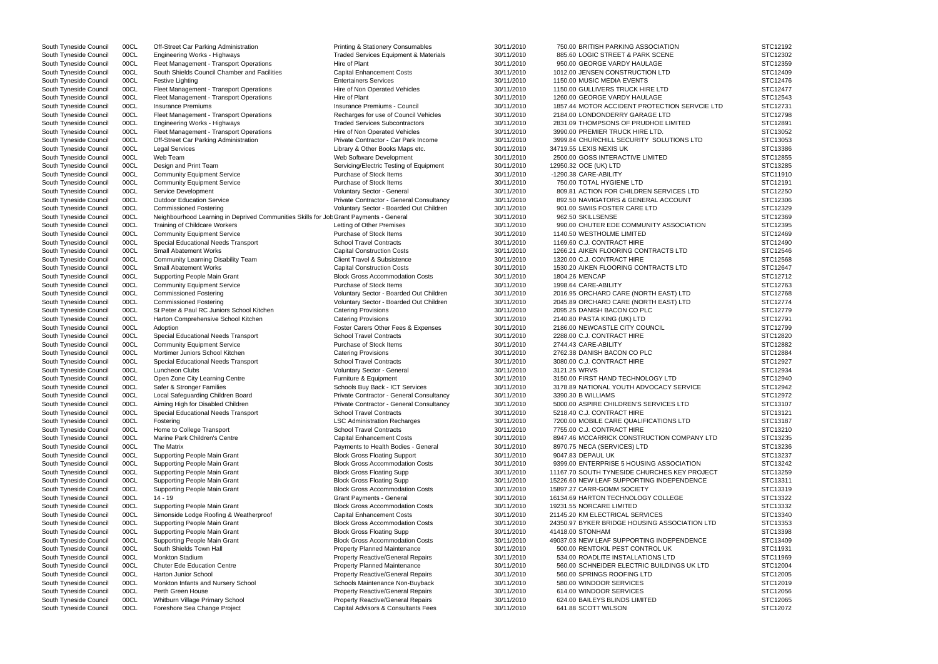South Tyneside Council COCL Neighbourhood Learning in Deprived Communities Skills for Jot Grant Payments - General 30/11/2010 962.50 SKILLSENSE STC12369 STC12369 South Tyneside Council 00CL Engineering Works - Highways Traded Services Equipment & Materials 30/11/2010 885.60 LOGIC STREET & PARK SCENE South Tyneside Council 00CL Fleet Management - Transport Operations Hire of Plant 30/11/2010 950.00 GEORGE VARDY HAULAGE South Tyneside Council 00CL South Shields Council Chamber and Facilities Capital Enhancement Costs 30/11/2010 1012.00 JENSEN CONSTRUCTION LTD South Tyneside Council 00CL Festive Lighting Council Council Council Council Council Council Council Council Council Council Council Council Council Council Council Council Council Council Council Council Council Council C South Tyneside Council 00CL Fleet Management - Transport Operations Hire of Non Operated Vehicles 30/11/2010 1150.00 GULLIVERS TRUCK HIRE LTD South Tyneside Council 00CL Fleet Management - Transport Operations Hire of Plant 30/11/2010 1260.00 GEORGE VARDY HAULAGE South Tyneside Council 00CL Insurance Premiums Material 2001 1857.44 MOTOR ACCIDENT PROTECTION SERVCIE South Tyneside Council 00CL Fleet Management - Transport Operations Recharges for use of Council Vehicles 30/11/2010 2184.00 LONDONDERRY GARAGE LTD South Tyneside Council 00CL Engineering Works - Highways Traded Services Subcontractors 30/11/2010 2831.09 THOMPSONS OF PRUDHOE LIMITED South Tyneside Council 00CL Fleet Management - Transport Operations Hire of Non Operated Vehicles 30/11/2010 3990.00 PREMIER TRUCK HIRE LTD. South Tyneside Council 00CL Off-Street Car Parking Administration Private Contractor - Car Park Income 30/11/2010 3999.84 CHURCHILL SECURITY SOLUTIONS LTD South Tyneside Council 00CL Legal Services Library & Other Books Maps etc. 30/11/2010 34719.55 LEXIS NEXIS UK South Tyneside Council 00CL Web Team Web Software Development 30/11/2010 2500.00 GOSS INTERACTIVE LIMITED South Tyneside Council 00CL Design and Print Team Servicing/Electric Testing of Equipment 30/11/2010 12950.32 OCE (UK) LTD South Tyneside Council 00CL Community Equipment Service Purchase of Stock Items 30/11/2010 -1290.38 CARE-ABILITY South Tyneside Council 00CL Community Equipment Service Purchase of Stock Items 30/11/2010 750.00 TOTAL HYGIENE LTD South Tyneside Council 00CL Service Development Council Council Council Council Service Services LTD<br>South Tyneside Council 00CL Outdoor Education Service Service Private Contractor - General Consultancy 30/11/2010 892.50 South Tyneside Council 00CL Commissioned Fostering Commissioned Fostering Voluntary Sector - Boarded Out Children 30/11/2010 901.00 SWIIS FOSTER CARE LTD South Tyneside Council 00CL Training of Childcare Workers Letting of Other Premises 30/11/2010 990.00 CHUTER EDE COMMUNITY ASSOCIATION South Tyneside Council 00CL Community Equipment Service Purchase of Stock Items 30/11/2010 1140.50 WESTHOLME LIMITED South Tyneside Council 00CL Special Educational Needs Transport School Travel Contracts 30/11/2010 1169.60 C.J. CONTRACT HIRE South Tyneside Council 00CL Small Abatement Works Capital Construction Costs 30/11/2010 1266.21 AIKEN FLOORING CONTRACTS LTD South Tyneside Council 00CL Community Learning Disability Team Client Travel & Subsistence 30/11/2010 1320.00 C.J. CONTRACT HIRE South Tyneside Council 00CL Small Abatement Works Capital Construction Costs 30/11/2010 1530.20 AIKEN FLOORING CONTRACTS LTD South Tyneside Council 00CL Supporting People Main Grant Block Gross Accommodation Costs 30/11/2010 1804.26 MENCAP South Tyneside Council 00CL Community Equipment Service Purchase of Stock Items 30/11/2010 1998.64 CARE-ABILITY South Tyneside Council 00CL Commissioned Fostering Table 100 and Voluntary Sector - Boarded Out Children 30/11/2010 2016.95 ORCHARD CARE (NORTH EAST) LTD South Tyneside Council 00CL Commissioned Fostering Table 100 and Voluntary Sector - Boarded Out Children 30/11/2010 2045.89 ORCHARD CARE (NORTH EAST) LTD South Tyneside Council 00CL St Peter & Paul RC Juniors School Kitchen Catering Provisions 30/11/2010 2095.25 DANISH BACON CO PLC South Tyneside Council 00CL Harton Comprehensive School Kitchen Catering Provisions 20/11/2010 2140.80 PASTA KING (UK) LTD South Tyneside Council 00CL Adoption **Foster Carers Other Fees & Expenses** 30/11/2010 2186.00 NEWCASTLE CITY COUNCIL South Tyneside Council 00CL Special Educational Needs Transport School Travel Contracts 30/11/2010 2288.00 C.J. CONTRACT HIRE South Tyneside Council 00CL Community Equipment Service Purchase of Stock Items 30/11/2010 2744.43 CARE-ABILITY South Tyneside Council 00CL Mortimer Juniors School Kitchen Catering Provisions Catering Provisions 30/11/2010 2762.38 DANISH BACON CO PLC South Tyneside Council 00CL Special Educational Needs Transport School Travel Contracts 30/11/2010 3080.00 C.J. CONTRACT HIRE South Tyneside Council COCL Luncheon Clubs (STC12934 Voluntary Sector - General 30/11/2010 3121.25 WRVS STC12934 South Tyneside Council 00CL Open Zone City Learning Centre Furniture & Equipment Furniture & Equipment 30/11/2010 3150.00 FIRST HAND TECHNOLOGY LTD South Tyneside Council 00CL Safer & Stronger Families Schools Buy Back - ICT Services 30/11/2010 3178.89 NATIONAL YOUTH ADVOCACY SERVICE South Tyneside Council 00CL Local Safeguarding Children Board Private Contractor - General Consultancy 30/11/2010 3390.30 B WILLIAMS South Tyneside Council 00CL Aiming High for Disabled Children Private Contractor - General Consultancy 30/11/2010 5000.00 ASPIRE CHILDREN'S SERVICES LTD South Tyneside Council 00CL Special Educational Needs Transport School Travel Contracts 30/11/2010 5218.40 C.J. CONTRACT HIRE South Tyneside Council 00CL Fostering COUNTY CONTENT CONTENTS And LSC Administration Recharges 30/11/2010 7200.00 MOBILE CARE QUALIFICATIONS LTD South Tyneside Council COCL Home to College Transport School Travel Contracts 30/11/2010 7755.00 C.J. CONTRACT HIRE STC13210 South Tyneside Council 00CL Marine Park Children's Centre Capital Enhancement Costs 30/11/2010 8947.46 MCCARRICK CONSTRUCTION COMPANY LT South Tyneside Council 00CL The Matrix example and the Matrix Payments to Health Bodies - General 30/11/2010 8970.75 NECA (SERVICES) LTD South Tyneside Council COCL Supporting People Main Grant And Block Gross Floating Support 30/11/2010 9047.83 DEPAUL UK STC13237 South Tyneside Council 00CL Supporting People Main Grant **Block Gross Accommodation Costs** 30/11/2010 9399.00 ENTERPRISE 5 HOUSING ASSOCIATION South Tyneside Council 00CL Supporting People Main Grant State Block Gross Floating Supp 30/11/2010 11167.70 SOUTH TYNESIDE CHURCHES KEY PROJE South Tyneside Council 00CL Supporting People Main Grant Supp Block Gross Floating Supp 30/11/2010 15226.60 NEW LEAF SUPPORTING INDEPENDENCE South Tyneside Council 00CL Supporting People Main Grant Correct Block Gross Accommodation Costs 30/11/2010 15897.27 CARR-GOMM SOCIETY South Tyneside Council 00CL 14 - 19 Council 30/11/2010 16134.69 HARTON TECHNOLOGY COLLEGE STATE STATE STATE STATE STATE STATE STATE STATE STATE STATE STATE STATE STATE STATE STATE STATE STATE STATE STATE STATE STATE STATE South Tyneside Council 00CL Supporting People Main Grant Block Gross Accommodation Costs 30/11/2010 19231.55 NORCARE LIMITED South Tyneside Council 00CL Simonside Lodge Roofing & Weatherproof Capital Enhancement Costs 30/11/2010 21145.20 KM ELECTRICAL SERVICES South Tyneside Council 00CL Supporting People Main Grant The Block Gross Accommodation Costs 30/11/2010 24350.97 BYKER BRIDGE HOUSING ASSOCIATION LT South Tyneside Council 00CL Supporting People Main Grant Block Gross Floating Supp 30/11/2010 41418.00 STONHAM South Tyneside Council 00CL Supporting People Main Grant Block Gross Accommodation Costs 30/11/2010 49037.03 NEW LEAF SUPPORTING INDEPENDENCE South Tyneside Council 00CL South Shields Town Hall **Property Planned Maintenance** 30/11/2010 500.00 RENTOKIL PEST CONTROL UK South Tyneside Council 00CL Monkton Stadium 
and the State of Property Reactive/General Repairs and the State 30/11/2010 534.00 ROADLITE INSTALLATIONS LTD South Tyneside Council 00CL Chuter Ede Education Centre **Canadiance** Property Planned Maintenance 30/11/2010 560.00 SCHNEIDER ELECTRIC BUILDINGS UK LTD South Tyneside Council 00CL Harton Junior School **Property Reactive/General Repairs** 30/11/2010 560.00 SPRINGS ROOFING LTD South Tyneside Council 00CL Monkton Infants and Nursery School School Schools Maintenance Non-Buyback 30/11/2010 580.00 WINDOOR SERVICES South Tyneside Council 00CL Perth Green House **Property Reactive/General Repairs** 30/11/2010 614.00 WINDOOR SERVICES South Tyneside Council 00CL Whitburn Village Primary School Property Reactive/General Repairs 30/11/2010 624.00 BAILEYS BLINDS LIMITED South Tyneside Council 00CL Foreshore Sea Change Project Capital Advisors & Consultants Fees 30/11/2010 641.88 SCOTT WILSON

South Tyneside Council 00CL Off-Street Car Parking Administration Printing & Stationery Consumables 30/11/2010 750.00 BRITISH PARKING ASSOCIATION OOCL Outdoor Education Service **Private Contractor - General Consultancy** 30/11/2010 892.50 NAVIGATORS & GENERAL ACCOUNT

|     | STC12192<br>STC12302 |
|-----|----------------------|
|     | STC12359             |
|     | STC12409             |
|     | STC12476             |
|     | STC12477             |
| LTD | STC12543<br>STC12731 |
|     | STC12798             |
|     | STC12891             |
|     | STC13052             |
|     | STC13053             |
|     | STC13386             |
|     | STC12855<br>STC13285 |
|     | STC11910             |
|     | STC12191             |
|     | STC12250             |
|     | STC12306             |
|     | STC12329             |
|     | STC12369             |
|     | STC12395             |
|     | STC12469<br>STC12490 |
|     | STC12546             |
|     | STC12568             |
|     | STC12647             |
|     | STC12712             |
|     | STC12763             |
|     | STC12768             |
|     | STC12774<br>STC12779 |
|     | STC12791             |
|     | STC12799             |
|     | STC12820             |
|     | STC12882             |
|     | STC12884             |
|     | STC12927             |
|     | STC12934<br>STC12940 |
|     | STC12942             |
|     | STC12972             |
|     | STC13107             |
|     | STC13121             |
|     | STC13187             |
|     | STC13210             |
| TD  | STC13235<br>STC13236 |
|     | STC13237             |
|     | STC13242             |
| СT  | STC13259             |
|     | STC13311             |
|     | STC13319             |
|     | STC13322<br>STC13332 |
|     | STC13340             |
| TD  | STC13353             |
|     | STC13398             |
|     | STC13409             |
|     | STC11931             |
|     | STC11969             |
|     | STC12004<br>STC12005 |
|     | STC12019             |
|     | STC12056             |
|     | STC12065             |
|     | STC12072             |